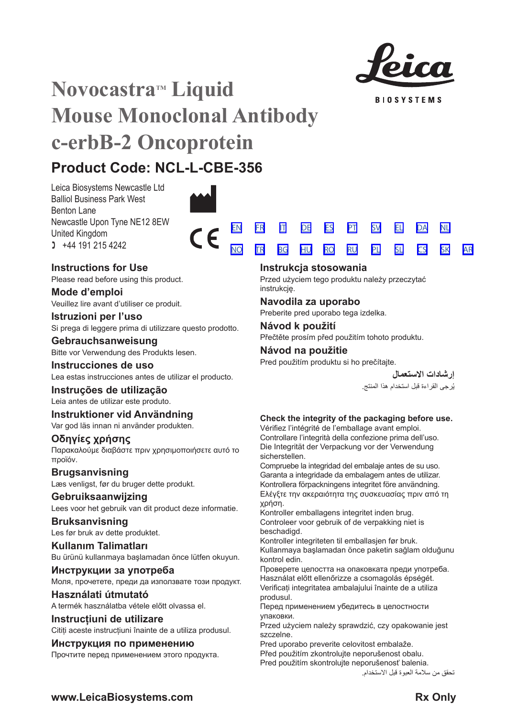

**RIOSVSTEMS** 

[SV](#page-20-0) [EL](#page-23-0) [DA](#page-26-0)

[NL](#page-29-0)

[SK](#page-59-0) [AR](#page-62-0)

# **Novocastra™ Liquid Mouse Monoclonal Antibody c-erbB-2 Oncoprotein**

## **Product Code: NCL-L-CBE-356**

Leica Biosystems Newcastle Ltd Balliol Business Park West Benton Lane Newcastle Upon Tyne NE12 8EW United Kingdom  $1 +44 191 215 4242$ 



## **Instructions for Use**

Please read before using this product.

**Mode d'emploi** Veuillez lire avant d'utiliser ce produit.

## **Istruzioni per l'uso**

Si prega di leggere prima di utilizzare questo prodotto.

## **Gebrauchsanweisung**

Bitte vor Verwendung des Produkts lesen.

## **Instrucciones de uso**

Lea estas instrucciones antes de utilizar el producto.

## **Instruções de utilização**

Leia antes de utilizar este produto.

## **Instruktioner vid Användning**

Var god läs innan ni använder produkten.

## **Οδηγίες χρήσης**

Παρακαλούμε διαβάστε πριν χρησιμοποιήσετε αυτό το προϊόν.

## **Brugsanvisning**

Læs venligst, før du bruger dette produkt.

## **Gebruiksaanwijzing** Lees voor het gebruik van dit product deze informatie.

## **Bruksanvisning**

Les før bruk av dette produktet.

**Kullanım Talimatları** Bu ürünü kullanmaya başlamadan önce lütfen okuyun.

**Инструкции за употреба** Моля, прочетете, преди да използвате този продукт.

## **Használati útmutató**

A termék használatba vétele előtt olvassa el.

## **Instrucțiuni de utilizare**

Citiți aceste instrucțiuni înainte de a utiliza produsul.

## **Инструкция по применению**

Прочтите перед применением этого продукта.

## <u>[NO](#page-32-0) [TR](#page-35-0) [BG](#page-38-0) [HU](#page-41-0) [RO](#page-44-0) [RU](#page-47-0)</u> [PL](#page-50-0) [SL](#page-53-0) [CS](#page-56-0)

## **Instrukcja stosowania**

Przed użyciem tego produktu należy przeczytać instrukcję.

## **Navodila za uporabo**

Preberite pred uporabo tega izdelka.

## **Návod k použití**

Přečtěte prosím před použitím tohoto produktu.

## **Návod na použitie**

Pred použitím produktu si ho prečítajte.

**إرشادات االستعمال** ُرجى القراءة قبل استخدام هذا المنتج. ي

## **Check the integrity of the packaging before use.**

Vérifiez l'intégrité de l'emballage avant emploi. Controllare l'integrità della confezione prima dell'uso. Die Integrität der Verpackung vor der Verwendung sicherstellen.

Compruebe la integridad del embalaje antes de su uso. Garanta a integridade da embalagem antes de utilizar. Kontrollera förpackningens integritet före användning. Ελέγξτε την ακεραιότητα της συσκευασίας πριν από τη χρήση.

Kontroller emballagens integritet inden brug. Controleer voor gebruik of de verpakking niet is beschadigd.

Kontroller integriteten til emballasjen før bruk. Kullanmaya başlamadan önce paketin sağlam olduğunu kontrol edin.

Проверете целостта на опаковката преди употреба. Használat előtt ellenőrizze a csomagolás épségét. Verificați integritatea ambalajului înainte de a utiliza produsul.

Перед применением убедитесь в целостности упаковки.

Przed użyciem należy sprawdzić, czy opakowanie jest szczelne.

Pred uporabo preverite celovitost embalaže. Před použitím zkontrolujte neporušenost obalu. Pred použitím skontrolujte neporušenosť balenia.

تحقق من سالمة العبوة قبل االستخدام.

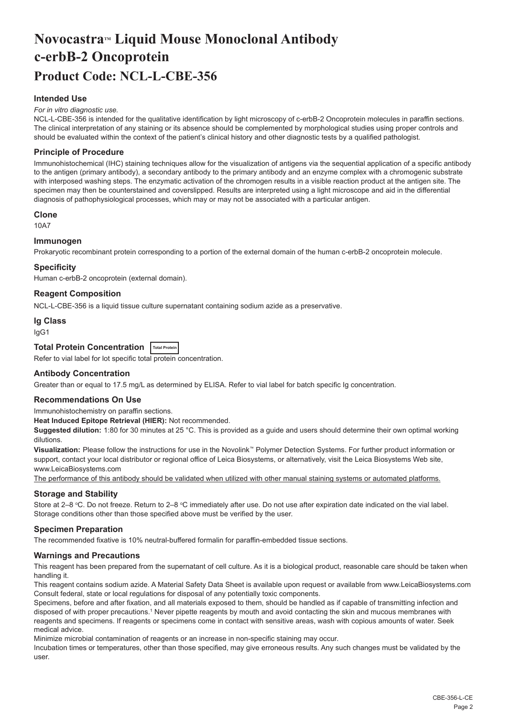## <span id="page-2-0"></span>**NovocastraTM Liquid Mouse Monoclonal Antibody c-erbB-2 Oncoprotein Product Code: NCL-L-CBE-356**

## **Intended Use**

#### *For in vitro diagnostic use.*

NCL-L-CBE-356 is intended for the qualitative identification by light microscopy of c-erbB-2 Oncoprotein molecules in paraffin sections. The clinical interpretation of any staining or its absence should be complemented by morphological studies using proper controls and should be evaluated within the context of the patient's clinical history and other diagnostic tests by a qualified pathologist.

### **Principle of Procedure**

Immunohistochemical (IHC) staining techniques allow for the visualization of antigens via the sequential application of a specific antibody to the antigen (primary antibody), a secondary antibody to the primary antibody and an enzyme complex with a chromogenic substrate with interposed washing steps. The enzymatic activation of the chromogen results in a visible reaction product at the antigen site. The specimen may then be counterstained and coverslipped. Results are interpreted using a light microscope and aid in the differential diagnosis of pathophysiological processes, which may or may not be associated with a particular antigen.

#### **Clone**

10A7

### **Immunogen**

Prokaryotic recombinant protein corresponding to a portion of the external domain of the human c-erbB-2 oncoprotein molecule.

#### **Specificity**

Human c-erbB-2 oncoprotein (external domain).

## **Reagent Composition**

NCL-L-CBE-356 is a liquid tissue culture supernatant containing sodium azide as a preservative.

#### **Ig Class**

IgG1

## **Total Protein Concentration Total Protein**

Refer to vial label for lot specific total protein concentration.

### **Antibody Concentration**

Greater than or equal to 17.5 mg/L as determined by ELISA. Refer to vial label for batch specific Ig concentration.

## **Recommendations On Use**

Immunohistochemistry on paraffin sections.

**Heat Induced Epitope Retrieval (HIER):** Not recommended.

**Suggested dilution:** 1:80 for 30 minutes at 25 °C. This is provided as a guide and users should determine their own optimal working dilutions.

**Visualization:** Please follow the instructions for use in the Novolink™ Polymer Detection Systems. For further product information or support, contact your local distributor or regional office of Leica Biosystems, or alternatively, visit the Leica Biosystems Web site, www.LeicaBiosystems.com

The performance of this antibody should be validated when utilized with other manual staining systems or automated platforms.

#### **Storage and Stability**

Store at 2–8 ℃. Do not freeze. Return to 2–8 ℃ immediately after use. Do not use after expiration date indicated on the vial label. Storage conditions other than those specified above must be verified by the user.

#### **Specimen Preparation**

The recommended fixative is 10% neutral-buffered formalin for paraffin-embedded tissue sections.

#### **Warnings and Precautions**

This reagent has been prepared from the supernatant of cell culture. As it is a biological product, reasonable care should be taken when handling it.

This reagent contains sodium azide. A Material Safety Data Sheet is available upon request or available from www.LeicaBiosystems.com Consult federal, state or local regulations for disposal of any potentially toxic components.

Specimens, before and after fixation, and all materials exposed to them, should be handled as if capable of transmitting infection and disposed of with proper precautions.1 Never pipette reagents by mouth and avoid contacting the skin and mucous membranes with reagents and specimens. If reagents or specimens come in contact with sensitive areas, wash with copious amounts of water. Seek medical advice.

Minimize microbial contamination of reagents or an increase in non-specific staining may occur.

Incubation times or temperatures, other than those specified, may give erroneous results. Any such changes must be validated by the user.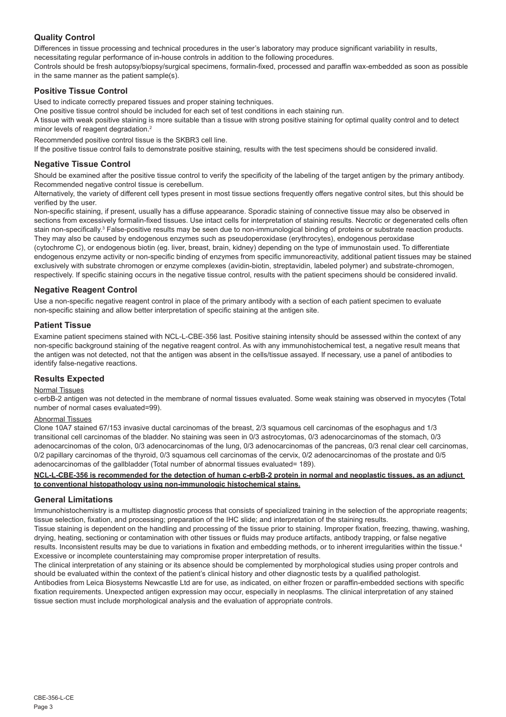## **Quality Control**

Differences in tissue processing and technical procedures in the user's laboratory may produce significant variability in results, necessitating regular performance of in-house controls in addition to the following procedures.

Controls should be fresh autopsy/biopsy/surgical specimens, formalin-fixed, processed and paraffin wax-embedded as soon as possible in the same manner as the patient sample(s).

## **Positive Tissue Control**

Used to indicate correctly prepared tissues and proper staining techniques.

One positive tissue control should be included for each set of test conditions in each staining run.

A tissue with weak positive staining is more suitable than a tissue with strong positive staining for optimal quality control and to detect minor levels of reagent degradation.<sup>2</sup>

Recommended positive control tissue is the SKBR3 cell line.

If the positive tissue control fails to demonstrate positive staining, results with the test specimens should be considered invalid.

## **Negative Tissue Control**

Should be examined after the positive tissue control to verify the specificity of the labeling of the target antigen by the primary antibody. Recommended negative control tissue is cerebellum.

Alternatively, the variety of different cell types present in most tissue sections frequently offers negative control sites, but this should be verified by the user.

Non-specific staining, if present, usually has a diffuse appearance. Sporadic staining of connective tissue may also be observed in sections from excessively formalin-fixed tissues. Use intact cells for interpretation of staining results. Necrotic or degenerated cells often stain non-specifically.<sup>3</sup> False-positive results may be seen due to non-immunological binding of proteins or substrate reaction products. They may also be caused by endogenous enzymes such as pseudoperoxidase (erythrocytes), endogenous peroxidase

(cytochrome C), or endogenous biotin (eg. liver, breast, brain, kidney) depending on the type of immunostain used. To differentiate endogenous enzyme activity or non-specific binding of enzymes from specific immunoreactivity, additional patient tissues may be stained exclusively with substrate chromogen or enzyme complexes (avidin-biotin, streptavidin, labeled polymer) and substrate-chromogen, respectively. If specific staining occurs in the negative tissue control, results with the patient specimens should be considered invalid.

## **Negative Reagent Control**

Use a non-specific negative reagent control in place of the primary antibody with a section of each patient specimen to evaluate non-specific staining and allow better interpretation of specific staining at the antigen site.

## **Patient Tissue**

Examine patient specimens stained with NCL-L-CBE-356 last. Positive staining intensity should be assessed within the context of any non-specific background staining of the negative reagent control. As with any immunohistochemical test, a negative result means that the antigen was not detected, not that the antigen was absent in the cells/tissue assayed. If necessary, use a panel of antibodies to identify false-negative reactions.

## **Results Expected**

#### Normal Tissues

c-erbB-2 antigen was not detected in the membrane of normal tissues evaluated. Some weak staining was observed in myocytes (Total number of normal cases evaluated=99).

### Abnormal Tissues

Clone 10A7 stained 67/153 invasive ductal carcinomas of the breast, 2/3 squamous cell carcinomas of the esophagus and 1/3 transitional cell carcinomas of the bladder. No staining was seen in 0/3 astrocytomas, 0/3 adenocarcinomas of the stomach, 0/3 adenocarcinomas of the colon, 0/3 adenocarcinomas of the lung, 0/3 adenocarcinomas of the pancreas, 0/3 renal clear cell carcinomas, 0/2 papillary carcinomas of the thyroid, 0/3 squamous cell carcinomas of the cervix, 0/2 adenocarcinomas of the prostate and 0/5 adenocarcinomas of the gallbladder (Total number of abnormal tissues evaluated= 189).

#### **NCL-L-CBE-356 is recommended for the detection of human c-erbB-2 protein in normal and neoplastic tissues, as an adjunct to conventional histopathology using non-immunologic histochemical stains.**

## **General Limitations**

Immunohistochemistry is a multistep diagnostic process that consists of specialized training in the selection of the appropriate reagents; tissue selection, fixation, and processing; preparation of the IHC slide; and interpretation of the staining results.

Tissue staining is dependent on the handling and processing of the tissue prior to staining. Improper fixation, freezing, thawing, washing, drying, heating, sectioning or contamination with other tissues or fluids may produce artifacts, antibody trapping, or false negative results. Inconsistent results may be due to variations in fixation and embedding methods, or to inherent irregularities within the tissue.<sup>4</sup> Excessive or incomplete counterstaining may compromise proper interpretation of results.

The clinical interpretation of any staining or its absence should be complemented by morphological studies using proper controls and should be evaluated within the context of the patient's clinical history and other diagnostic tests by a qualified pathologist. Antibodies from Leica Biosystems Newcastle Ltd are for use, as indicated, on either frozen or paraffin-embedded sections with specific fixation requirements. Unexpected antigen expression may occur, especially in neoplasms. The clinical interpretation of any stained tissue section must include morphological analysis and the evaluation of appropriate controls.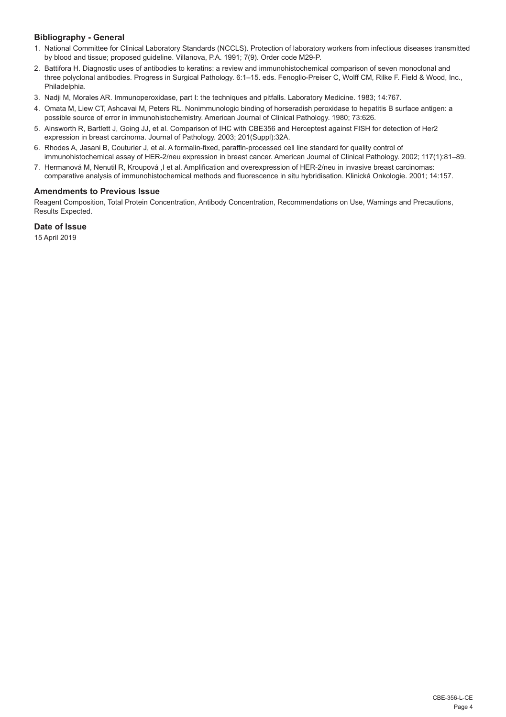## **Bibliography - General**

- 1. National Committee for Clinical Laboratory Standards (NCCLS). Protection of laboratory workers from infectious diseases transmitted by blood and tissue; proposed guideline. Villanova, P.A. 1991; 7(9). Order code M29-P.
- 2. Battifora H. Diagnostic uses of antibodies to keratins: a review and immunohistochemical comparison of seven monoclonal and three polyclonal antibodies. Progress in Surgical Pathology. 6:1–15. eds. Fenoglio-Preiser C, Wolff CM, Rilke F. Field & Wood, Inc., Philadelphia.
- 3. Nadji M, Morales AR. Immunoperoxidase, part I: the techniques and pitfalls. Laboratory Medicine. 1983; 14:767.
- 4. Omata M, Liew CT, Ashcavai M, Peters RL. Nonimmunologic binding of horseradish peroxidase to hepatitis B surface antigen: a possible source of error in immunohistochemistry. American Journal of Clinical Pathology. 1980; 73:626.
- 5. Ainsworth R, Bartlett J, Going JJ, et al. Comparison of IHC with CBE356 and Herceptest against FISH for detection of Her2 expression in breast carcinoma. Journal of Pathology. 2003; 201(Suppl):32A.
- 6. Rhodes A, Jasani B, Couturier J, et al. A formalin-fixed, paraffin-processed cell line standard for quality control of immunohistochemical assay of HER-2/neu expression in breast cancer. American Journal of Clinical Pathology. 2002; 117(1):81–89.
- 7. Hermanová M, Nenutil R, Kroupová ,I et al. Amplification and overexpression of HER-2/neu in invasive breast carcinomas: comparative analysis of immunohistochemical methods and fluorescence in situ hybridisation. Klinická Onkologie. 2001; 14:157.

## **Amendments to Previous Issue**

Reagent Composition, Total Protein Concentration, Antibody Concentration, Recommendations on Use, Warnings and Precautions, Results Expected.

## **Date of Issue**

15 April 2019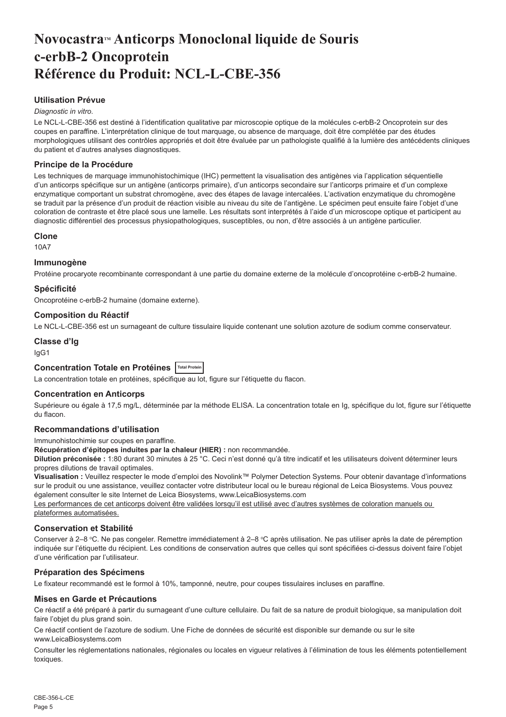## <span id="page-5-0"></span>**NovocastraTM Anticorps Monoclonal liquide de Souris c-erbB-2 Oncoprotein Référence du Produit: NCL-L-CBE-356**

## **Utilisation Prévue**

#### *Diagnostic in vitro*.

Le NCL-L-CBE-356 est destiné à l'identification qualitative par microscopie optique de la molécules c-erbB-2 Oncoprotein sur des coupes en paraffine. L'interprétation clinique de tout marquage, ou absence de marquage, doit être complétée par des études morphologiques utilisant des contrôles appropriés et doit être évaluée par un pathologiste qualifié à la lumière des antécédents cliniques du patient et d'autres analyses diagnostiques.

## **Principe de la Procédure**

Les techniques de marquage immunohistochimique (IHC) permettent la visualisation des antigènes via l'application séquentielle d'un anticorps spécifique sur un antigène (anticorps primaire), d'un anticorps secondaire sur l'anticorps primaire et d'un complexe enzymatique comportant un substrat chromogène, avec des étapes de lavage intercalées. L'activation enzymatique du chromogène se traduit par la présence d'un produit de réaction visible au niveau du site de l'antigène. Le spécimen peut ensuite faire l'objet d'une coloration de contraste et être placé sous une lamelle. Les résultats sont interprétés à l'aide d'un microscope optique et participent au diagnostic différentiel des processus physiopathologiques, susceptibles, ou non, d'être associés à un antigène particulier.

#### **Clone**

10A7

#### **Immunogène**

Protéine procaryote recombinante correspondant à une partie du domaine externe de la molécule d'oncoprotéine c-erbB-2 humaine.

#### **Spécificité**

Oncoprotéine c-erbB-2 humaine (domaine externe).

#### **Composition du Réactif**

Le NCL-L-CBE-356 est un surnageant de culture tissulaire liquide contenant une solution azoture de sodium comme conservateur.

## **Classe d'Ig**

IgG1

## **Concentration Totale en Protéines Total Protein**

La concentration totale en protéines, spécifique au lot, figure sur l'étiquette du flacon.

## **Concentration en Anticorps**

Supérieure ou égale à 17,5 mg/L, déterminée par la méthode ELISA. La concentration totale en Ig, spécifique du lot, figure sur l'étiquette du flacon.

## **Recommandations d'utilisation**

Immunohistochimie sur coupes en paraffine.

**Récupération d'épitopes induites par la chaleur (HIER) :** non recommandée.

**Dilution préconisée :** 1:80 durant 30 minutes à 25 °C. Ceci n'est donné qu'à titre indicatif et les utilisateurs doivent déterminer leurs propres dilutions de travail optimales.

**Visualisation :** Veuillez respecter le mode d'emploi des Novolink™ Polymer Detection Systems. Pour obtenir davantage d'informations sur le produit ou une assistance, veuillez contacter votre distributeur local ou le bureau régional de Leica Biosystems. Vous pouvez également consulter le site Internet de Leica Biosystems, www.LeicaBiosystems.com

Les performances de cet anticorps doivent être validées lorsqu'il est utilisé avec d'autres systèmes de coloration manuels ou plateformes automatisées.

### **Conservation et Stabilité**

Conserver à 2–8 °C. Ne pas congeler. Remettre immédiatement à 2–8 °C après utilisation. Ne pas utiliser après la date de péremption indiquée sur l'étiquette du récipient. Les conditions de conservation autres que celles qui sont spécifiées ci-dessus doivent faire l'objet d'une vérification par l'utilisateur.

## **Préparation des Spécimens**

Le fixateur recommandé est le formol à 10%, tamponné, neutre, pour coupes tissulaires incluses en paraffine.

#### **Mises en Garde et Précautions**

Ce réactif a été préparé à partir du surnageant d'une culture cellulaire. Du fait de sa nature de produit biologique, sa manipulation doit faire l'obiet du plus grand soin.

Ce réactif contient de l'azoture de sodium. Une Fiche de données de sécurité est disponible sur demande ou sur le site www.LeicaBiosystems.com

Consulter les réglementations nationales, régionales ou locales en vigueur relatives à l'élimination de tous les éléments potentiellement toxiques.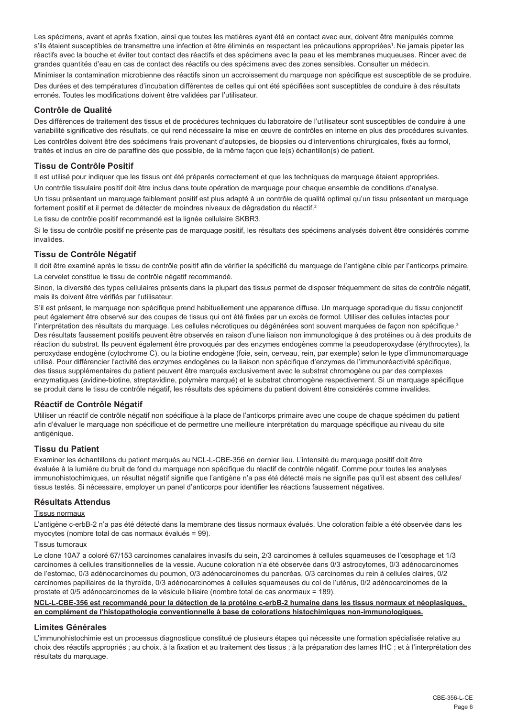Les spécimens, avant et après fixation, ainsi que toutes les matières ayant été en contact avec eux, doivent être manipulés comme s'ils étaient susceptibles de transmettre une infection et être éliminés en respectant les précautions appropriées<sup>1</sup>. Ne jamais pipeter les réactifs avec la bouche et éviter tout contact des réactifs et des spécimens avec la peau et les membranes muqueuses. Rincer avec de grandes quantités d'eau en cas de contact des réactifs ou des spécimens avec des zones sensibles. Consulter un médecin.

Minimiser la contamination microbienne des réactifs sinon un accroissement du marquage non spécifique est susceptible de se produire. Des durées et des températures d'incubation différentes de celles qui ont été spécifiées sont susceptibles de conduire à des résultats erronés. Toutes les modifications doivent être validées par l'utilisateur.

## **Contrôle de Qualité**

Des différences de traitement des tissus et de procédures techniques du laboratoire de l'utilisateur sont susceptibles de conduire à une variabilité significative des résultats, ce qui rend nécessaire la mise en œuvre de contrôles en interne en plus des procédures suivantes.

Les contrôles doivent être des spécimens frais provenant d'autopsies, de biopsies ou d'interventions chirurgicales, fixés au formol, traités et inclus en cire de paraffine dès que possible, de la même façon que le(s) échantillon(s) de patient.

## **Tissu de Contrôle Positif**

Il est utilisé pour indiquer que les tissus ont été préparés correctement et que les techniques de marquage étaient appropriées. Un contrôle tissulaire positif doit être inclus dans toute opération de marquage pour chaque ensemble de conditions d'analyse. Un tissu présentant un marquage faiblement positif est plus adapté à un contrôle de qualité optimal qu'un tissu présentant un marquage fortement positif et il permet de détecter de moindres niveaux de dégradation du réactif.<sup>2</sup>

Le tissu de contrôle positif recommandé est la lignée cellulaire SKBR3.

Si le tissu de contrôle positif ne présente pas de marquage positif, les résultats des spécimens analysés doivent être considérés comme invalides.

#### **Tissu de Contrôle Négatif**

Il doit être examiné après le tissu de contrôle positif afin de vérifier la spécificité du marquage de l'antigène cible par l'anticorps primaire. La cervelet constitue le tissu de contrôle négatif recommandé.

Sinon, la diversité des types cellulaires présents dans la plupart des tissus permet de disposer fréquemment de sites de contrôle négatif, mais ils doivent être vérifiés par l'utilisateur.

S'il est présent, le marquage non spécifique prend habituellement une apparence diffuse. Un marquage sporadique du tissu conjonctif peut également être observé sur des coupes de tissus qui ont été fixées par un excès de formol. Utiliser des cellules intactes pour l'interprétation des résultats du marquage. Les cellules nécrotiques ou dégénérées sont souvent marquées de façon non spécifique.<sup>3</sup> Des résultats faussement positifs peuvent être observés en raison d'une liaison non immunologique à des protéines ou à des produits de réaction du substrat. Ils peuvent également être provoqués par des enzymes endogènes comme la pseudoperoxydase (érythrocytes), la peroxydase endogène (cytochrome C), ou la biotine endogène (foie, sein, cerveau, rein, par exemple) selon le type d'immunomarquage utilisé. Pour différencier l'activité des enzymes endogènes ou la liaison non spécifique d'enzymes de l'immunoréactivité spécifique, des tissus supplémentaires du patient peuvent être marqués exclusivement avec le substrat chromogène ou par des complexes enzymatiques (avidine-biotine, streptavidine, polymère marqué) et le substrat chromogène respectivement. Si un marquage spécifique se produit dans le tissu de contrôle négatif, les résultats des spécimens du patient doivent être considérés comme invalides.

## **Réactif de Contrôle Négatif**

Utiliser un réactif de contrôle négatif non spécifique à la place de l'anticorps primaire avec une coupe de chaque spécimen du patient afin d'évaluer le marquage non spécifique et de permettre une meilleure interprétation du marquage spécifique au niveau du site antigénique.

### **Tissu du Patient**

Examiner les échantillons du patient marqués au NCL-L-CBE-356 en dernier lieu. L'intensité du marquage positif doit être évaluée à la lumière du bruit de fond du marquage non spécifique du réactif de contrôle négatif. Comme pour toutes les analyses immunohistochimiques, un résultat négatif signifie que l'antigène n'a pas été détecté mais ne signifie pas qu'il est absent des cellules/ tissus testés. Si nécessaire, employer un panel d'anticorps pour identifier les réactions faussement négatives.

## **Résultats Attendus**

#### Tissus normaux

L'antigène c-erbB-2 n'a pas été détecté dans la membrane des tissus normaux évalués. Une coloration faible a été observée dans les myocytes (nombre total de cas normaux évalués = 99).

#### Tissus tumoraux

Le clone 10A7 a coloré 67/153 carcinomes canalaires invasifs du sein, 2/3 carcinomes à cellules squameuses de l'œsophage et 1/3 carcinomes à cellules transitionnelles de la vessie. Aucune coloration n'a été observée dans 0/3 astrocytomes, 0/3 adénocarcinomes de l'estomac, 0/3 adénocarcinomes du poumon, 0/3 adénocarcinomes du pancréas, 0/3 carcinomes du rein à cellules claires, 0/2 carcinomes papillaires de la thyroïde, 0/3 adénocarcinomes à cellules squameuses du col de l'utérus, 0/2 adénocarcinomes de la prostate et 0/5 adénocarcinomes de la vésicule biliaire (nombre total de cas anormaux = 189).

**NCL-L-CBE-356 est recommandé pour la détection de la protéine c-erbB-2 humaine dans les tissus normaux et néoplasiques, en complément de l'histopathologie conventionnelle à base de colorations histochimiques non-immunologiques.**

#### **Limites Générales**

L'immunohistochimie est un processus diagnostique constitué de plusieurs étapes qui nécessite une formation spécialisée relative au choix des réactifs appropriés ; au choix, à la fixation et au traitement des tissus ; à la préparation des lames IHC ; et à l'interprétation des résultats du marquage.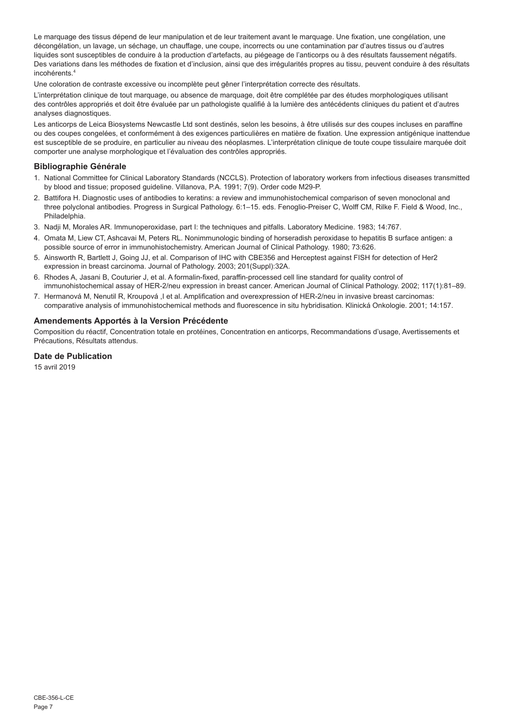Le marquage des tissus dépend de leur manipulation et de leur traitement avant le marquage. Une fixation, une congélation, une décongélation, un lavage, un séchage, un chauffage, une coupe, incorrects ou une contamination par d'autres tissus ou d'autres liquides sont susceptibles de conduire à la production d'artefacts, au piégeage de l'anticorps ou à des résultats faussement négatifs. Des variations dans les méthodes de fixation et d'inclusion, ainsi que des irrégularités propres au tissu, peuvent conduire à des résultats incohérents.<sup>4</sup>

Une coloration de contraste excessive ou incomplète peut gêner l'interprétation correcte des résultats.

L'interprétation clinique de tout marquage, ou absence de marquage, doit être complétée par des études morphologiques utilisant des contrôles appropriés et doit être évaluée par un pathologiste qualifié à la lumière des antécédents cliniques du patient et d'autres analyses diagnostiques.

Les anticorps de Leica Biosystems Newcastle Ltd sont destinés, selon les besoins, à être utilisés sur des coupes incluses en paraffine ou des coupes congelées, et conformément à des exigences particulières en matière de fixation. Une expression antigénique inattendue est susceptible de se produire, en particulier au niveau des néoplasmes. L'interprétation clinique de toute coupe tissulaire marquée doit comporter une analyse morphologique et l'évaluation des contrôles appropriés.

## **Bibliographie Générale**

- 1. National Committee for Clinical Laboratory Standards (NCCLS). Protection of laboratory workers from infectious diseases transmitted by blood and tissue; proposed guideline. Villanova, P.A. 1991; 7(9). Order code M29-P.
- 2. Battifora H. Diagnostic uses of antibodies to keratins: a review and immunohistochemical comparison of seven monoclonal and three polyclonal antibodies. Progress in Surgical Pathology. 6:1–15. eds. Fenoglio-Preiser C, Wolff CM, Rilke F. Field & Wood, Inc., Philadelphia.
- 3. Nadji M, Morales AR. Immunoperoxidase, part I: the techniques and pitfalls. Laboratory Medicine. 1983; 14:767.
- 4. Omata M, Liew CT, Ashcavai M, Peters RL. Nonimmunologic binding of horseradish peroxidase to hepatitis B surface antigen: a possible source of error in immunohistochemistry. American Journal of Clinical Pathology. 1980; 73:626.
- 5. Ainsworth R, Bartlett J, Going JJ, et al. Comparison of IHC with CBE356 and Herceptest against FISH for detection of Her2 expression in breast carcinoma. Journal of Pathology. 2003; 201(Suppl):32A.
- 6. Rhodes A, Jasani B, Couturier J, et al. A formalin-fixed, paraffin-processed cell line standard for quality control of immunohistochemical assay of HER-2/neu expression in breast cancer. American Journal of Clinical Pathology. 2002; 117(1):81–89.
- 7. Hermanová M, Nenutil R, Kroupová ,I et al. Amplification and overexpression of HER-2/neu in invasive breast carcinomas: comparative analysis of immunohistochemical methods and fluorescence in situ hybridisation. Klinická Onkologie. 2001; 14:157.

## **Amendements Apportés à la Version Précédente**

Composition du réactif, Concentration totale en protéines, Concentration en anticorps, Recommandations d'usage, Avertissements et Précautions, Résultats attendus.

## **Date de Publication**

15 avril 2019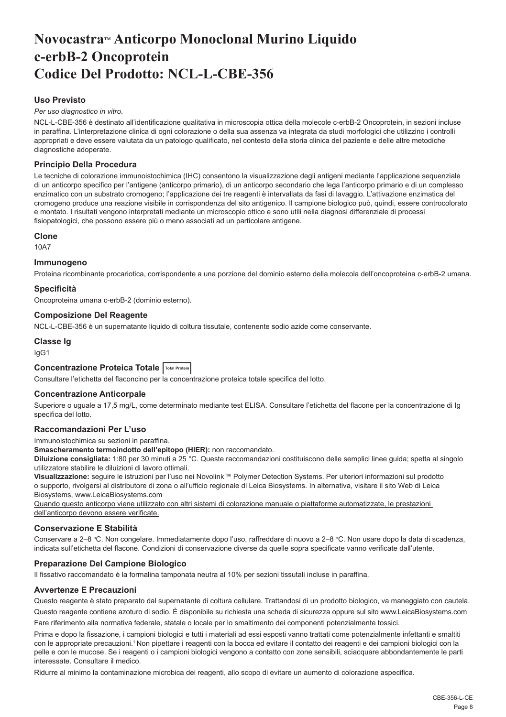## <span id="page-8-0"></span>**NovocastraTM Anticorpo Monoclonal Murino Liquido c-erbB-2 Oncoprotein Codice Del Prodotto: NCL-L-CBE-356**

## **Uso Previsto**

*Per uso diagnostico in vitro*.

NCL-L-CBE-356 è destinato all'identificazione qualitativa in microscopia ottica della molecole c-erbB-2 Oncoprotein, in sezioni incluse in paraffina. L'interpretazione clinica di ogni colorazione o della sua assenza va integrata da studi morfologici che utilizzino i controlli appropriati e deve essere valutata da un patologo qualificato, nel contesto della storia clinica del paziente e delle altre metodiche diagnostiche adoperate.

## **Principio Della Procedura**

Le tecniche di colorazione immunoistochimica (IHC) consentono la visualizzazione degli antigeni mediante l'applicazione sequenziale di un anticorpo specifico per l'antigene (anticorpo primario), di un anticorpo secondario che lega l'anticorpo primario e di un complesso enzimatico con un substrato cromogeno; l'applicazione dei tre reagenti è intervallata da fasi di lavaggio. L'attivazione enzimatica del cromogeno produce una reazione visibile in corrispondenza del sito antigenico. Il campione biologico può, quindi, essere controcolorato e montato. I risultati vengono interpretati mediante un microscopio ottico e sono utili nella diagnosi differenziale di processi fisiopatologici, che possono essere più o meno associati ad un particolare antigene.

#### **Clone**

10A7

## **Immunogeno**

Proteina ricombinante procariotica, corrispondente a una porzione del dominio esterno della molecola dell'oncoproteina c-erbB-2 umana.

## **Specificità**

Oncoproteina umana c-erbB-2 (dominio esterno).

#### **Composizione Del Reagente**

NCL-L-CBE-356 è un supernatante liquido di coltura tissutale, contenente sodio azide come conservante.

**Classe Ig** IgG1

## **Concentrazione Proteica Totale Total Protein**

Consultare l'etichetta del flaconcino per la concentrazione proteica totale specifica del lotto.

## **Concentrazione Anticorpale**

Superiore o uguale a 17,5 mg/L, come determinato mediante test ELISA. Consultare l'etichetta del flacone per la concentrazione di Ig specifica del lotto.

## **Raccomandazioni Per L'uso**

Immunoistochimica su sezioni in paraffina.

**Smascheramento termoindotto dell'epitopo (HIER):** non raccomandato.

**Diluizione consigliata:** 1:80 per 30 minuti a 25 °C. Queste raccomandazioni costituiscono delle semplici linee guida; spetta al singolo utilizzatore stabilire le diluizioni di lavoro ottimali.

**Visualizzazione:** seguire le istruzioni per l'uso nei Novolink™ Polymer Detection Systems. Per ulteriori informazioni sul prodotto o supporto, rivolgersi al distributore di zona o all'ufficio regionale di Leica Biosystems. In alternativa, visitare il sito Web di Leica Biosystems, www.LeicaBiosystems.com

Quando questo anticorpo viene utilizzato con altri sistemi di colorazione manuale o piattaforme automatizzate, le prestazioni dell'anticorpo devono essere verificate.

### **Conservazione E Stabilità**

Conservare a 2–8 °C. Non congelare. Immediatamente dopo l'uso, raffreddare di nuovo a 2–8 °C. Non usare dopo la data di scadenza, indicata sull'etichetta del flacone. Condizioni di conservazione diverse da quelle sopra specificate vanno verificate dall'utente.

## **Preparazione Del Campione Biologico**

Il fissativo raccomandato è la formalina tamponata neutra al 10% per sezioni tissutali incluse in paraffina.

## **Avvertenze E Precauzioni**

Questo reagente è stato preparato dal supernatante di coltura cellulare. Trattandosi di un prodotto biologico, va maneggiato con cautela.

Questo reagente contiene azoturo di sodio. È disponibile su richiesta una scheda di sicurezza oppure sul sito www.LeicaBiosystems.com Fare riferimento alla normativa federale, statale o locale per lo smaltimento dei componenti potenzialmente tossici.

Prima e dopo la fissazione, i campioni biologici e tutti i materiali ad essi esposti vanno trattati come potenzialmente infettanti e smaltiti con le appropriate precauzioni.<sup>1</sup>Non pipettare i reagenti con la bocca ed evitare il contatto dei reagenti e dei campioni biologici con la pelle e con le mucose. Se i reagenti o i campioni biologici vengono a contatto con zone sensibili, sciacquare abbondantemente le parti interessate. Consultare il medico.

Ridurre al minimo la contaminazione microbica dei reagenti, allo scopo di evitare un aumento di colorazione aspecifica.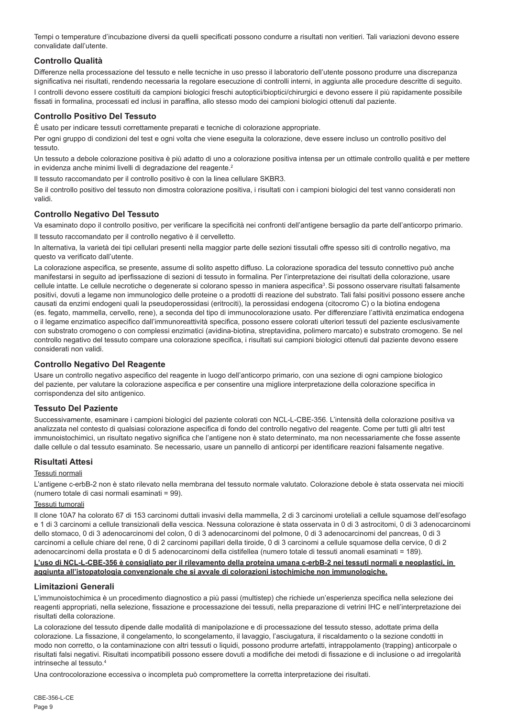Tempi o temperature d'incubazione diversi da quelli specificati possono condurre a risultati non veritieri. Tali variazioni devono essere convalidate dall'utente.

## **Controllo Qualità**

Differenze nella processazione del tessuto e nelle tecniche in uso presso il laboratorio dell'utente possono produrre una discrepanza significativa nei risultati, rendendo necessaria la regolare esecuzione di controlli interni, in aggiunta alle procedure descritte di seguito. I controlli devono essere costituiti da campioni biologici freschi autoptici/bioptici/chirurgici e devono essere il più rapidamente possibile fissati in formalina, processati ed inclusi in paraffina, allo stesso modo dei campioni biologici ottenuti dal paziente.

## **Controllo Positivo Del Tessuto**

È usato per indicare tessuti correttamente preparati e tecniche di colorazione appropriate.

Per ogni gruppo di condizioni del test e ogni volta che viene eseguita la colorazione, deve essere incluso un controllo positivo del tessuto.

Un tessuto a debole colorazione positiva è più adatto di uno a colorazione positiva intensa per un ottimale controllo qualità e per mettere in evidenza anche minimi livelli di degradazione del reagente.<sup>2</sup>

Il tessuto raccomandato per il controllo positivo è con la linea cellulare SKBR3.

Se il controllo positivo del tessuto non dimostra colorazione positiva, i risultati con i campioni biologici del test vanno considerati non validi.

## **Controllo Negativo Del Tessuto**

Va esaminato dopo il controllo positivo, per verificare la specificità nei confronti dell'antigene bersaglio da parte dell'anticorpo primario.

Il tessuto raccomandato per il controllo negativo è il cervelletto.

In alternativa, la varietà dei tipi cellulari presenti nella maggior parte delle sezioni tissutali offre spesso siti di controllo negativo, ma questo va verificato dall'utente.

La colorazione aspecifica, se presente, assume di solito aspetto diffuso. La colorazione sporadica del tessuto connettivo può anche manifestarsi in seguito ad iperfissazione di sezioni di tessuto in formalina. Per l'interpretazione dei risultati della colorazione, usare cellule intatte. Le cellule necrotiche o degenerate si colorano spesso in maniera aspecifica<sup>3</sup>. Si possono osservare risultati falsamente positivi, dovuti a legame non immunologico delle proteine o a prodotti di reazione del substrato. Tali falsi positivi possono essere anche causati da enzimi endogeni quali la pseudoperossidasi (eritrociti), la perossidasi endogena (citocromo C) o la biotina endogena (es. fegato, mammella, cervello, rene), a seconda del tipo di immunocolorazione usato. Per differenziare l'attività enzimatica endogena o il legame enzimatico aspecifico dall'immunoreattività specifica, possono essere colorati ulteriori tessuti del paziente esclusivamente con substrato cromogeno o con complessi enzimatici (avidina-biotina, streptavidina, polimero marcato) e substrato cromogeno. Se nel controllo negativo del tessuto compare una colorazione specifica, i risultati sui campioni biologici ottenuti dal paziente devono essere considerati non validi.

## **Controllo Negativo Del Reagente**

Usare un controllo negativo aspecifico del reagente in luogo dell'anticorpo primario, con una sezione di ogni campione biologico del paziente, per valutare la colorazione aspecifica e per consentire una migliore interpretazione della colorazione specifica in corrispondenza del sito antigenico.

## **Tessuto Del Paziente**

Successivamente, esaminare i campioni biologici del paziente colorati con NCL-L-CBE-356. L'intensità della colorazione positiva va analizzata nel contesto di qualsiasi colorazione aspecifica di fondo del controllo negativo del reagente. Come per tutti gli altri test immunoistochimici, un risultato negativo significa che l'antigene non è stato determinato, ma non necessariamente che fosse assente dalle cellule o dal tessuto esaminato. Se necessario, usare un pannello di anticorpi per identificare reazioni falsamente negative.

## **Risultati Attesi**

## Tessuti normali

L'antigene c-erbB-2 non è stato rilevato nella membrana del tessuto normale valutato. Colorazione debole è stata osservata nei miociti (numero totale di casi normali esaminati = 99).

## Tessuti tumorali

Il clone 10A7 ha colorato 67 di 153 carcinomi duttali invasivi della mammella, 2 di 3 carcinomi uroteliali a cellule squamose dell'esofago e 1 di 3 carcinomi a cellule transizionali della vescica. Nessuna colorazione è stata osservata in 0 di 3 astrocitomi, 0 di 3 adenocarcinomi dello stomaco, 0 di 3 adenocarcinomi del colon, 0 di 3 adenocarcinomi del polmone, 0 di 3 adenocarcinomi del pancreas, 0 di 3 carcinomi a cellule chiare del rene, 0 di 2 carcinomi papillari della tiroide, 0 di 3 carcinomi a cellule squamose della cervice, 0 di 2 adenocarcinomi della prostata e 0 di 5 adenocarcinomi della cistifellea (numero totale di tessuti anomali esaminati = 189).

### **L'uso di NCL-L-CBE-356 è consigliato per il rilevamento della proteina umana c-erbB-2 nei tessuti normali e neoplastici, in aggiunta all'istopatologia convenzionale che si avvale di colorazioni istochimiche non immunologiche.**

## **Limitazioni Generali**

L'immunoistochimica è un procedimento diagnostico a più passi (multistep) che richiede un'esperienza specifica nella selezione dei reagenti appropriati, nella selezione, fissazione e processazione dei tessuti, nella preparazione di vetrini IHC e nell'interpretazione dei risultati della colorazione.

La colorazione del tessuto dipende dalle modalità di manipolazione e di processazione del tessuto stesso, adottate prima della colorazione. La fissazione, il congelamento, lo scongelamento, il lavaggio, l'asciugatura, il riscaldamento o la sezione condotti in modo non corretto, o la contaminazione con altri tessuti o liquidi, possono produrre artefatti, intrappolamento (trapping) anticorpale o risultati falsi negativi. Risultati incompatibili possono essere dovuti a modifiche dei metodi di fissazione e di inclusione o ad irregolarità intrinseche al tessuto.<sup>4</sup>

Una controcolorazione eccessiva o incompleta può compromettere la corretta interpretazione dei risultati.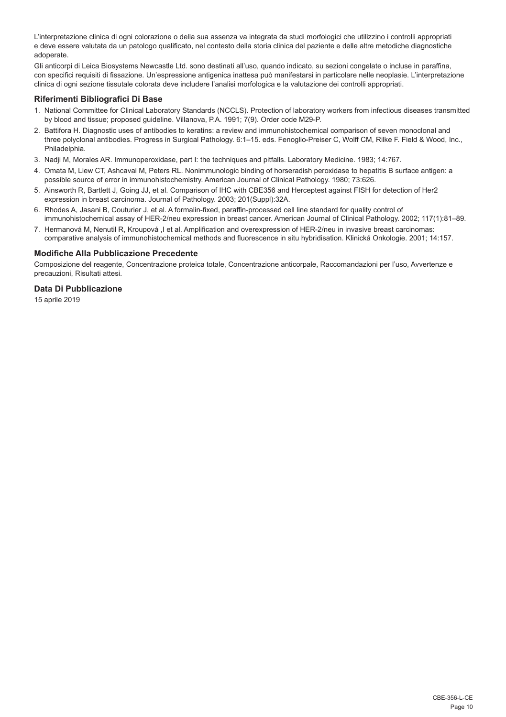L'interpretazione clinica di ogni colorazione o della sua assenza va integrata da studi morfologici che utilizzino i controlli appropriati e deve essere valutata da un patologo qualificato, nel contesto della storia clinica del paziente e delle altre metodiche diagnostiche adoperate.

Gli anticorpi di Leica Biosystems Newcastle Ltd. sono destinati all'uso, quando indicato, su sezioni congelate o incluse in paraffina, con specifici requisiti di fissazione. Un'espressione antigenica inattesa può manifestarsi in particolare nelle neoplasie. L'interpretazione clinica di ogni sezione tissutale colorata deve includere l'analisi morfologica e la valutazione dei controlli appropriati.

## **Riferimenti Bibliografici Di Base**

- 1. National Committee for Clinical Laboratory Standards (NCCLS). Protection of laboratory workers from infectious diseases transmitted by blood and tissue; proposed guideline. Villanova, P.A. 1991; 7(9). Order code M29-P.
- 2. Battifora H. Diagnostic uses of antibodies to keratins: a review and immunohistochemical comparison of seven monoclonal and three polyclonal antibodies. Progress in Surgical Pathology. 6:1–15. eds. Fenoglio-Preiser C, Wolff CM, Rilke F. Field & Wood, Inc., Philadelphia.
- 3. Nadji M, Morales AR. Immunoperoxidase, part I: the techniques and pitfalls. Laboratory Medicine. 1983; 14:767.
- 4. Omata M, Liew CT, Ashcavai M, Peters RL. Nonimmunologic binding of horseradish peroxidase to hepatitis B surface antigen: a possible source of error in immunohistochemistry. American Journal of Clinical Pathology. 1980; 73:626.
- 5. Ainsworth R, Bartlett J, Going JJ, et al. Comparison of IHC with CBE356 and Herceptest against FISH for detection of Her2 expression in breast carcinoma. Journal of Pathology. 2003; 201(Suppl):32A.
- 6. Rhodes A, Jasani B, Couturier J, et al. A formalin-fixed, paraffin-processed cell line standard for quality control of immunohistochemical assay of HER-2/neu expression in breast cancer. American Journal of Clinical Pathology. 2002; 117(1):81–89.
- 7. Hermanová M, Nenutil R, Kroupová ,I et al. Amplification and overexpression of HER-2/neu in invasive breast carcinomas: comparative analysis of immunohistochemical methods and fluorescence in situ hybridisation. Klinická Onkologie. 2001; 14:157.

#### **Modifiche Alla Pubblicazione Precedente**

Composizione del reagente, Concentrazione proteica totale, Concentrazione anticorpale, Raccomandazioni per l'uso, Avvertenze e precauzioni, Risultati attesi.

#### **Data Di Pubblicazione**

15 aprile 2019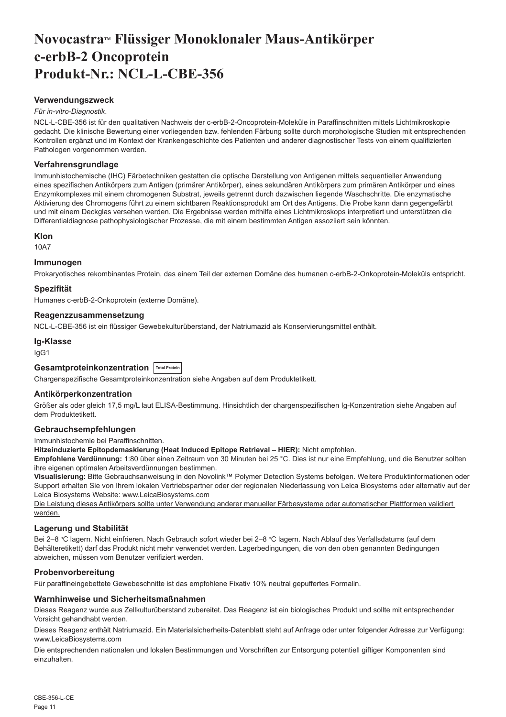## <span id="page-11-0"></span>Novocastra™ Flüssiger Monoklonaler Maus-Antikörper **c-erbB-2 Oncoprotein Produkt-Nr.: NCL-L-CBE-356**

### **Verwendungszweck**

#### *Für in-vitro-Diagnostik*.

NCL-L-CBE-356 ist für den qualitativen Nachweis der c-erbB-2-Oncoprotein-Moleküle in Paraffinschnitten mittels Lichtmikroskopie gedacht. Die klinische Bewertung einer vorliegenden bzw. fehlenden Färbung sollte durch morphologische Studien mit entsprechenden Kontrollen ergänzt und im Kontext der Krankengeschichte des Patienten und anderer diagnostischer Tests von einem qualifizierten Pathologen vorgenommen werden.

#### **Verfahrensgrundlage**

Immunhistochemische (IHC) Färbetechniken gestatten die optische Darstellung von Antigenen mittels sequentieller Anwendung eines spezifischen Antikörpers zum Antigen (primärer Antikörper), eines sekundären Antikörpers zum primären Antikörper und eines Enzymkomplexes mit einem chromogenen Substrat, jeweils getrennt durch dazwischen liegende Waschschritte. Die enzymatische Aktivierung des Chromogens führt zu einem sichtbaren Reaktionsprodukt am Ort des Antigens. Die Probe kann dann gegengefärbt und mit einem Deckglas versehen werden. Die Ergebnisse werden mithilfe eines Lichtmikroskops interpretiert und unterstützen die Differentialdiagnose pathophysiologischer Prozesse, die mit einem bestimmten Antigen assoziiert sein könnten.

#### **Klon**

10A7

## **Immunogen**

Prokaryotisches rekombinantes Protein, das einem Teil der externen Domäne des humanen c-erbB-2-Onkoprotein-Moleküls entspricht.

#### **Spezifität**

Humanes c-erbB-2-Onkoprotein (externe Domäne).

#### **Reagenzzusammensetzung**

NCL-L-CBE-356 ist ein flüssiger Gewebekulturüberstand, der Natriumazid als Konservierungsmittel enthält.

**Ig-Klasse**

IgG1

## **Gesamtproteinkonzentration Total Protein**

Chargenspezifische Gesamtproteinkonzentration siehe Angaben auf dem Produktetikett.

## **Antikörperkonzentration**

Größer als oder gleich 17,5 mg/L laut ELISA-Bestimmung. Hinsichtlich der chargenspezifischen Ig-Konzentration siehe Angaben auf dem Produktetikett.

## **Gebrauchsempfehlungen**

Immunhistochemie bei Paraffinschnitten.

**Hitzeinduzierte Epitopdemaskierung (Heat Induced Epitope Retrieval – HIER):** Nicht empfohlen.

**Empfohlene Verdünnung:** 1:80 über einen Zeitraum von 30 Minuten bei 25 °C. Dies ist nur eine Empfehlung, und die Benutzer sollten ihre eigenen optimalen Arbeitsverdünnungen bestimmen.

**Visualisierung:** Bitte Gebrauchsanweisung in den Novolink™ Polymer Detection Systems befolgen. Weitere Produktinformationen oder Support erhalten Sie von Ihrem lokalen Vertriebspartner oder der regionalen Niederlassung von Leica Biosystems oder alternativ auf der Leica Biosystems Website: www.LeicaBiosystems.com

Die Leistung dieses Antikörpers sollte unter Verwendung anderer manueller Färbesysteme oder automatischer Plattformen validiert werden.

## **Lagerung und Stabilität**

Bei 2–8 °C lagern. Nicht einfrieren. Nach Gebrauch sofort wieder bei 2–8 °C lagern. Nach Ablauf des Verfallsdatums (auf dem Behälteretikett) darf das Produkt nicht mehr verwendet werden. Lagerbedingungen, die von den oben genannten Bedingungen abweichen, müssen vom Benutzer verifiziert werden.

## **Probenvorbereitung**

Für paraffineingebettete Gewebeschnitte ist das empfohlene Fixativ 10% neutral gepuffertes Formalin.

#### **Warnhinweise und Sicherheitsmaßnahmen**

Dieses Reagenz wurde aus Zellkulturüberstand zubereitet. Das Reagenz ist ein biologisches Produkt und sollte mit entsprechender Vorsicht gehandhabt werden.

Dieses Reagenz enthält Natriumazid. Ein Materialsicherheits-Datenblatt steht auf Anfrage oder unter folgender Adresse zur Verfügung: www.LeicaBiosystems.com

Die entsprechenden nationalen und lokalen Bestimmungen und Vorschriften zur Entsorgung potentiell giftiger Komponenten sind einzuhalten.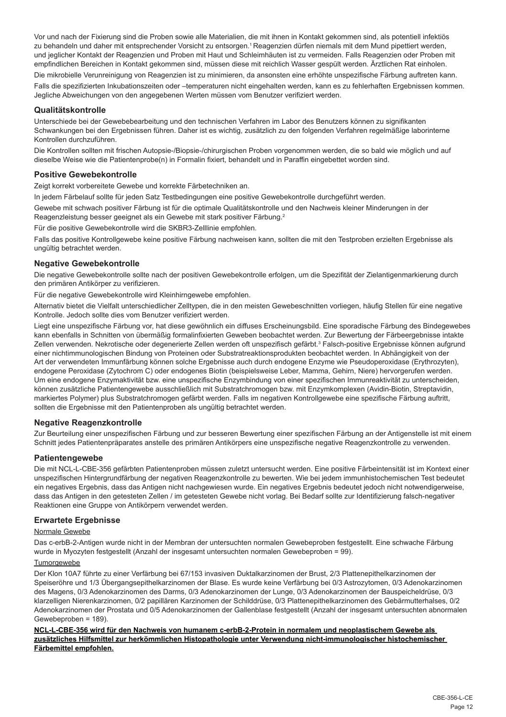Vor und nach der Fixierung sind die Proben sowie alle Materialien, die mit ihnen in Kontakt gekommen sind, als potentiell infektiös zu behandeln und daher mit entsprechender Vorsicht zu entsorgen.<sup>1</sup> Reagenzien dürfen niemals mit dem Mund pipettiert werden, und jeglicher Kontakt der Reagenzien und Proben mit Haut und Schleimhäuten ist zu vermeiden. Falls Reagenzien oder Proben mit empfindlichen Bereichen in Kontakt gekommen sind, müssen diese mit reichlich Wasser gespült werden. Ärztlichen Rat einholen.

Die mikrobielle Verunreinigung von Reagenzien ist zu minimieren, da ansonsten eine erhöhte unspezifische Färbung auftreten kann. Falls die spezifizierten Inkubationszeiten oder –temperaturen nicht eingehalten werden, kann es zu fehlerhaften Ergebnissen kommen. Jegliche Abweichungen von den angegebenen Werten müssen vom Benutzer verifiziert werden.

## **Qualitätskontrolle**

Unterschiede bei der Gewebebearbeitung und den technischen Verfahren im Labor des Benutzers können zu signifikanten Schwankungen bei den Ergebnissen führen. Daher ist es wichtig, zusätzlich zu den folgenden Verfahren regelmäßige laborinterne Kontrollen durchzuführen.

Die Kontrollen sollten mit frischen Autopsie-/Biopsie-/chirurgischen Proben vorgenommen werden, die so bald wie möglich und auf dieselbe Weise wie die Patientenprobe(n) in Formalin fixiert, behandelt und in Paraffin eingebettet worden sind.

## **Positive Gewebekontrolle**

Zeigt korrekt vorbereitete Gewebe und korrekte Färbetechniken an.

In jedem Färbelauf sollte für jeden Satz Testbedingungen eine positive Gewebekontrolle durchgeführt werden.

Gewebe mit schwach positiver Färbung ist für die optimale Qualitätskontrolle und den Nachweis kleiner Minderungen in der Reagenzleistung besser geeignet als ein Gewebe mit stark positiver Färbung.<sup>2</sup>

Für die positive Gewebekontrolle wird die SKBR3-Zelllinie empfohlen.

Falls das positive Kontrollgewebe keine positive Färbung nachweisen kann, sollten die mit den Testproben erzielten Ergebnisse als ungültig betrachtet werden.

## **Negative Gewebekontrolle**

Die negative Gewebekontrolle sollte nach der positiven Gewebekontrolle erfolgen, um die Spezifität der Zielantigenmarkierung durch den primären Antikörper zu verifizieren.

Für die negative Gewebekontrolle wird Kleinhirngewebe empfohlen.

Alternativ bietet die Vielfalt unterschiedlicher Zelltypen, die in den meisten Gewebeschnitten vorliegen, häufig Stellen für eine negative Kontrolle. Jedoch sollte dies vom Benutzer verifiziert werden.

Liegt eine unspezifische Färbung vor, hat diese gewöhnlich ein diffuses Erscheinungsbild. Eine sporadische Färbung des Bindegewebes kann ebenfalls in Schnitten von übermäßig formalinfixierten Geweben beobachtet werden. Zur Bewertung der Färbeergebnisse intakte Zellen verwenden. Nekrotische oder degenerierte Zellen werden oft unspezifisch gefärbt.<sup>3</sup> Falsch-positive Ergebnisse können aufgrund einer nichtimmunologischen Bindung von Proteinen oder Substratreaktionsprodukten beobachtet werden. In Abhängigkeit von der Art der verwendeten Immunfärbung können solche Ergebnisse auch durch endogene Enzyme wie Pseudoperoxidase (Erythrozyten), endogene Peroxidase (Zytochrom C) oder endogenes Biotin (beispielsweise Leber, Mamma, Gehirn, Niere) hervorgerufen werden. Um eine endogene Enzymaktivität bzw. eine unspezifische Enzymbindung von einer spezifischen Immunreaktivität zu unterscheiden, können zusätzliche Patientengewebe ausschließlich mit Substratchromogen bzw. mit Enzymkomplexen (Avidin-Biotin, Streptavidin, markiertes Polymer) plus Substratchromogen gefärbt werden. Falls im negativen Kontrollgewebe eine spezifische Färbung auftritt, sollten die Ergebnisse mit den Patientenproben als ungültig betrachtet werden.

## **Negative Reagenzkontrolle**

Zur Beurteilung einer unspezifischen Färbung und zur besseren Bewertung einer spezifischen Färbung an der Antigenstelle ist mit einem Schnitt jedes Patientenpräparates anstelle des primären Antikörpers eine unspezifische negative Reagenzkontrolle zu verwenden.

## **Patientengewebe**

Die mit NCL-L-CBE-356 gefärbten Patientenproben müssen zuletzt untersucht werden. Eine positive Färbeintensität ist im Kontext einer unspezifischen Hintergrundfärbung der negativen Reagenzkontrolle zu bewerten. Wie bei jedem immunhistochemischen Test bedeutet ein negatives Ergebnis, dass das Antigen nicht nachgewiesen wurde. Ein negatives Ergebnis bedeutet jedoch nicht notwendigerweise, dass das Antigen in den getesteten Zellen / im getesteten Gewebe nicht vorlag. Bei Bedarf sollte zur Identifizierung falsch-negativer Reaktionen eine Gruppe von Antikörpern verwendet werden.

## **Erwartete Ergebnisse**

Normale Gewebe

Das c-erbB-2-Antigen wurde nicht in der Membran der untersuchten normalen Gewebeproben festgestellt. Eine schwache Färbung wurde in Myozyten festgestellt (Anzahl der insgesamt untersuchten normalen Gewebeproben = 99).

## Tumorgewebe

Der Klon 10A7 führte zu einer Verfärbung bei 67/153 invasiven Duktalkarzinomen der Brust, 2/3 Plattenepithelkarzinomen der Speiseröhre und 1/3 Übergangsepithelkarzinomen der Blase. Es wurde keine Verfärbung bei 0/3 Astrozytomen, 0/3 Adenokarzinomen des Magens, 0/3 Adenokarzinomen des Darms, 0/3 Adenokarzinomen der Lunge, 0/3 Adenokarzinomen der Bauspeicheldrüse, 0/3 klarzelligen Nierenkarzinomen, 0/2 papillären Karzinomen der Schilddrüse, 0/3 Plattenepithelkarzinomen des Gebärmutterhalses, 0/2 Adenokarzinomen der Prostata und 0/5 Adenokarzinomen der Gallenblase festgestellt (Anzahl der insgesamt untersuchten abnormalen Gewebeproben = 189).

**NCL-L-CBE-356 wird für den Nachweis von humanem c-erbB-2-Protein in normalem und neoplastischem Gewebe als zusätzliches Hilfsmittel zur herkömmlichen Histopathologie unter Verwendung nicht-immunologischer histochemischer Färbemittel empfohlen.**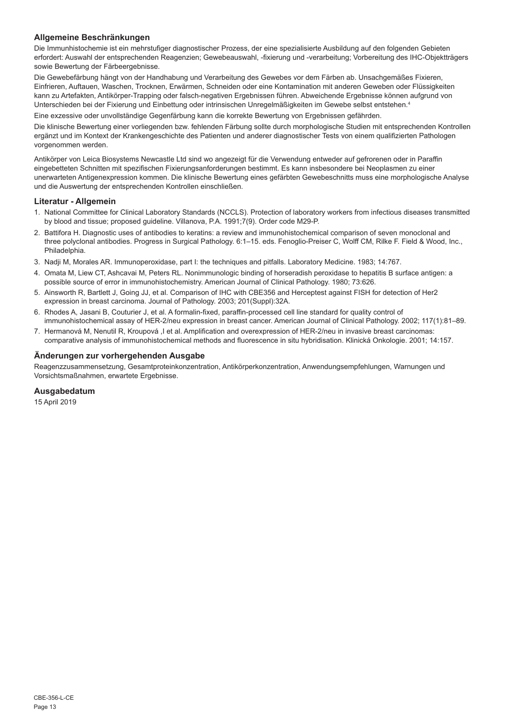## **Allgemeine Beschränkungen**

Die Immunhistochemie ist ein mehrstufiger diagnostischer Prozess, der eine spezialisierte Ausbildung auf den folgenden Gebieten erfordert: Auswahl der entsprechenden Reagenzien; Gewebeauswahl, -fixierung und -verarbeitung; Vorbereitung des IHC-Objektträgers sowie Bewertung der Färbeergebnisse.

Die Gewebefärbung hängt von der Handhabung und Verarbeitung des Gewebes vor dem Färben ab. Unsachgemäßes Fixieren, Einfrieren, Auftauen, Waschen, Trocknen, Erwärmen, Schneiden oder eine Kontamination mit anderen Geweben oder Flüssigkeiten kann zu Artefakten, Antikörper-Trapping oder falsch-negativen Ergebnissen führen. Abweichende Ergebnisse können aufgrund von Unterschieden bei der Fixierung und Einbettung oder intrinsischen Unregelmäßigkeiten im Gewebe selbst entstehen.<sup>4</sup>

Eine exzessive oder unvollständige Gegenfärbung kann die korrekte Bewertung von Ergebnissen gefährden.

Die klinische Bewertung einer vorliegenden bzw. fehlenden Färbung sollte durch morphologische Studien mit entsprechenden Kontrollen ergänzt und im Kontext der Krankengeschichte des Patienten und anderer diagnostischer Tests von einem qualifizierten Pathologen vorgenommen werden.

Antikörper von Leica Biosystems Newcastle Ltd sind wo angezeigt für die Verwendung entweder auf gefrorenen oder in Paraffin eingebetteten Schnitten mit spezifischen Fixierungsanforderungen bestimmt. Es kann insbesondere bei Neoplasmen zu einer unerwarteten Antigenexpression kommen. Die klinische Bewertung eines gefärbten Gewebeschnitts muss eine morphologische Analyse und die Auswertung der entsprechenden Kontrollen einschließen.

#### **Literatur - Allgemein**

- 1. National Committee for Clinical Laboratory Standards (NCCLS). Protection of laboratory workers from infectious diseases transmitted by blood and tissue; proposed guideline. Villanova, P.A. 1991;7(9). Order code M29-P.
- 2. Battifora H. Diagnostic uses of antibodies to keratins: a review and immunohistochemical comparison of seven monoclonal and three polyclonal antibodies. Progress in Surgical Pathology. 6:1–15. eds. Fenoglio-Preiser C, Wolff CM, Rilke F. Field & Wood, Inc., Philadelphia.
- 3. Nadji M, Morales AR. Immunoperoxidase, part I: the techniques and pitfalls. Laboratory Medicine. 1983; 14:767.
- 4. Omata M, Liew CT, Ashcavai M, Peters RL. Nonimmunologic binding of horseradish peroxidase to hepatitis B surface antigen: a possible source of error in immunohistochemistry. American Journal of Clinical Pathology. 1980; 73:626.
- 5. Ainsworth R, Bartlett J, Going JJ, et al. Comparison of IHC with CBE356 and Herceptest against FISH for detection of Her2 expression in breast carcinoma. Journal of Pathology. 2003; 201(Suppl):32A.
- 6. Rhodes A, Jasani B, Couturier J, et al. A formalin-fixed, paraffin-processed cell line standard for quality control of immunohistochemical assay of HER-2/neu expression in breast cancer. American Journal of Clinical Pathology. 2002; 117(1):81–89.
- 7. Hermanová M, Nenutil R, Kroupová ,I et al. Amplification and overexpression of HER-2/neu in invasive breast carcinomas: comparative analysis of immunohistochemical methods and fluorescence in situ hybridisation. Klinická Onkologie. 2001; 14:157.

#### **Änderungen zur vorhergehenden Ausgabe**

Reagenzzusammensetzung, Gesamtproteinkonzentration, Antikörperkonzentration, Anwendungsempfehlungen, Warnungen und Vorsichtsmaßnahmen, erwartete Ergebnisse.

## **Ausgabedatum**

15 April 2019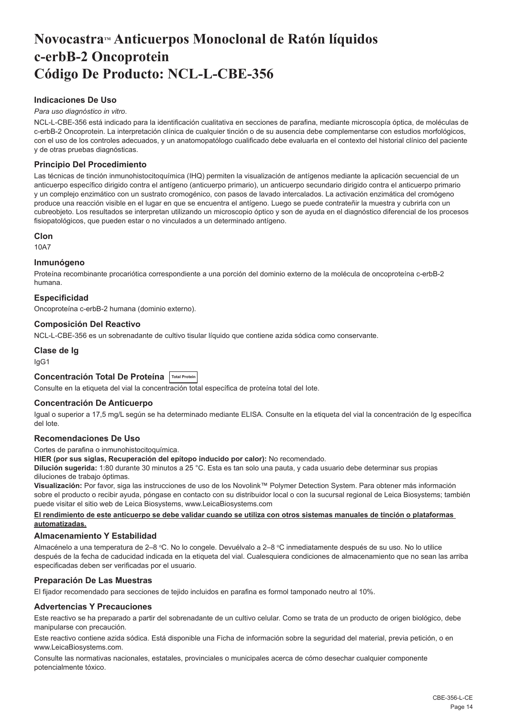## <span id="page-14-0"></span>**NovocastraTM Anticuerpos Monoclonal de Ratón líquidos c-erbB-2 Oncoprotein Código De Producto: NCL-L-CBE-356**

## **Indicaciones De Uso**

#### *Para uso diagnóstico in vitro*.

NCL-L-CBE-356 está indicado para la identificación cualitativa en secciones de parafina, mediante microscopía óptica, de moléculas de c-erbB-2 Oncoprotein. La interpretación clínica de cualquier tinción o de su ausencia debe complementarse con estudios morfológicos, con el uso de los controles adecuados, y un anatomopatólogo cualificado debe evaluarla en el contexto del historial clínico del paciente y de otras pruebas diagnósticas.

## **Principio Del Procedimiento**

Las técnicas de tinción inmunohistocitoquímica (IHQ) permiten la visualización de antígenos mediante la aplicación secuencial de un anticuerpo específico dirigido contra el antígeno (anticuerpo primario), un anticuerpo secundario dirigido contra el anticuerpo primario y un complejo enzimático con un sustrato cromogénico, con pasos de lavado intercalados. La activación enzimática del cromógeno produce una reacción visible en el lugar en que se encuentra el antígeno. Luego se puede contrateñir la muestra y cubrirla con un cubreobjeto. Los resultados se interpretan utilizando un microscopio óptico y son de ayuda en el diagnóstico diferencial de los procesos fisiopatológicos, que pueden estar o no vinculados a un determinado antígeno.

#### **Clon**

10A7

#### **Inmunógeno**

Proteína recombinante procariótica correspondiente a una porción del dominio externo de la molécula de oncoproteína c-erbB-2 humana.

## **Especificidad**

Oncoproteína c-erbB-2 humana (dominio externo).

## **Composición Del Reactivo**

NCL-L-CBE-356 es un sobrenadante de cultivo tisular líquido que contiene azida sódica como conservante.

### **Clase de Ig**

IgG1

## **Concentración Total De Proteína Total Protein**

Consulte en la etiqueta del vial la concentración total específica de proteína total del Iote.

#### **Concentración De Anticuerpo**

Igual o superior a 17,5 mg/L según se ha determinado mediante ELISA. Consulte en la etiqueta del vial la concentración de Ig específica del lote.

## **Recomendaciones De Uso**

Cortes de parafina o inmunohistocitoquímica.

**HIER (por sus siglas, Recuperación del epítopo inducido por calor):** No recomendado.

**Dilución sugerida:** 1:80 durante 30 minutos a 25 °C. Esta es tan solo una pauta, y cada usuario debe determinar sus propias diluciones de trabajo óptimas.

**Visualización:** Por favor, siga las instrucciones de uso de los Novolink™ Polymer Detection System. Para obtener más información sobre el producto o recibir ayuda, póngase en contacto con su distribuidor local o con la sucursal regional de Leica Biosystems; también puede visitar el sitio web de Leica Biosystems, www.LeicaBiosystems.com

#### **El rendimiento de este anticuerpo se debe validar cuando se utiliza con otros sistemas manuales de tinción o plataformas automatizadas.**

## **Almacenamiento Y Estabilidad**

Almacénelo a una temperatura de 2–8 °C. No lo congele. Devuélvalo a 2–8 °C inmediatamente después de su uso. No lo utilice después de la fecha de caducidad indicada en la etiqueta del vial. Cualesquiera condiciones de almacenamiento que no sean las arriba especificadas deben ser verificadas por el usuario.

#### **Preparación De Las Muestras**

El fijador recomendado para secciones de tejido incluidos en parafina es formol tamponado neutro al 10%.

## **Advertencias Y Precauciones**

Este reactivo se ha preparado a partir del sobrenadante de un cultivo celular. Como se trata de un producto de origen biológico, debe manipularse con precaución.

Este reactivo contiene azida sódica. Está disponible una Ficha de información sobre la seguridad del material, previa petición, o en www.LeicaBiosystems.com.

Consulte las normativas nacionales, estatales, provinciales o municipales acerca de cómo desechar cualquier componente potencialmente tóxico.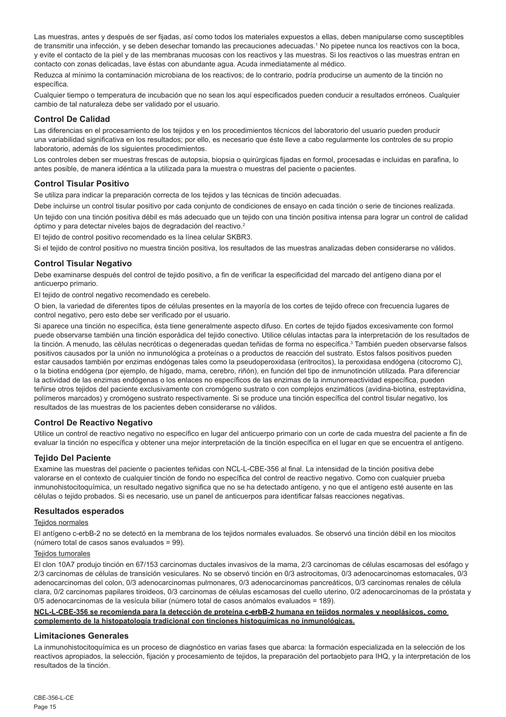Las muestras, antes y después de ser fijadas, así como todos los materiales expuestos a ellas, deben manipularse como susceptibles de transmitir una infección, y se deben desechar tomando las precauciones adecuadas.<sup>1</sup> No pipetee nunca los reactivos con la boca, y evite el contacto de la piel y de las membranas mucosas con los reactivos y las muestras. Si los reactivos o las muestras entran en contacto con zonas delicadas, lave éstas con abundante agua. Acuda inmediatamente al médico.

Reduzca al mínimo la contaminación microbiana de los reactivos; de lo contrario, podría producirse un aumento de la tinción no específica.

Cualquier tiempo o temperatura de incubación que no sean los aquí especificados pueden conducir a resultados erróneos. Cualquier cambio de tal naturaleza debe ser validado por el usuario.

#### **Control De Calidad**

Las diferencias en el procesamiento de los tejidos y en los procedimientos técnicos del laboratorio del usuario pueden producir una variabilidad significativa en los resultados; por ello, es necesario que éste lleve a cabo regularmente los controles de su propio laboratorio, además de los siguientes procedimientos.

Los controles deben ser muestras frescas de autopsia, biopsia o quirúrgicas fijadas en formol, procesadas e incluidas en parafina, lo antes posible, de manera idéntica a la utilizada para la muestra o muestras del paciente o pacientes.

## **Control Tisular Positivo**

Se utiliza para indicar la preparación correcta de los tejidos y las técnicas de tinción adecuadas.

Debe incluirse un control tisular positivo por cada conjunto de condiciones de ensayo en cada tinción o serie de tinciones realizada. Un tejido con una tinción positiva débil es más adecuado que un tejido con una tinción positiva intensa para lograr un control de calidad óptimo y para detectar niveles bajos de degradación del reactivo.<sup>2</sup>

El tejido de control positivo recomendado es la línea celular SKBR3.

Si el tejido de control positivo no muestra tinción positiva, los resultados de las muestras analizadas deben considerarse no válidos.

## **Control Tisular Negativo**

Debe examinarse después del control de tejido positivo, a fin de verificar la especificidad del marcado del antígeno diana por el anticuerpo primario.

El tejido de control negativo recomendado es cerebelo.

O bien, la variedad de diferentes tipos de células presentes en la mayoría de los cortes de tejido ofrece con frecuencia lugares de control negativo, pero esto debe ser verificado por el usuario.

Si aparece una tinción no específica, ésta tiene generalmente aspecto difuso. En cortes de tejido fijados excesivamente con formol puede observarse también una tinción esporádica del tejido conectivo. Utilice células intactas para la interpretación de los resultados de la tinción. A menudo, las células necróticas o degeneradas quedan teñidas de forma no específica.<sup>3</sup> También pueden observarse falsos positivos causados por la unión no inmunológica a proteínas o a productos de reacción del sustrato. Estos falsos positivos pueden estar causados también por enzimas endógenas tales como la pseudoperoxidasa (eritrocitos), la peroxidasa endógena (citocromo C), o la biotina endógena (por ejemplo, de hígado, mama, cerebro, riñón), en función del tipo de inmunotinción utilizada. Para diferenciar la actividad de las enzimas endógenas o los enlaces no específicos de las enzimas de la inmunorreactividad específica, pueden teñirse otros tejidos del paciente exclusivamente con cromógeno sustrato o con complejos enzimáticos (avidina-biotina, estreptavidina, polímeros marcados) y cromógeno sustrato respectivamente. Si se produce una tinción específica del control tisular negativo, los resultados de las muestras de los pacientes deben considerarse no válidos.

#### **Control De Reactivo Negativo**

Utilice un control de reactivo negativo no específico en lugar del anticuerpo primario con un corte de cada muestra del paciente a fin de evaluar la tinción no específica y obtener una mejor interpretación de la tinción específica en el lugar en que se encuentra el antígeno.

## **Tejido Del Paciente**

Examine las muestras del paciente o pacientes teñidas con NCL-L-CBE-356 al final. La intensidad de la tinción positiva debe valorarse en el contexto de cualquier tinción de fondo no específica del control de reactivo negativo. Como con cualquier prueba inmunohistocitoquímica, un resultado negativo significa que no se ha detectado antígeno, y no que el antígeno esté ausente en las células o tejido probados. Si es necesario, use un panel de anticuerpos para identificar falsas reacciones negativas.

#### **Resultados esperados**

#### Teiidos normales

El antígeno c-erbB-2 no se detectó en la membrana de los tejidos normales evaluados. Se observó una tinción débil en los miocitos (número total de casos sanos evaluados = 99).

#### Tejidos tumorales

El clon 10A7 produjo tinción en 67/153 carcinomas ductales invasivos de la mama, 2/3 carcinomas de células escamosas del esófago y 2/3 carcinomas de células de transición vesiculares. No se observó tinción en 0/3 astrocitomas, 0/3 adenocarcinomas estomacales, 0/3 adenocarcinomas del colon, 0/3 adenocarcinomas pulmonares, 0/3 adenocarcinomas pancreáticos, 0/3 carcinomas renales de célula clara, 0/2 carcinomas papilares tiroideos, 0/3 carcinomas de células escamosas del cuello uterino, 0/2 adenocarcinomas de la próstata y 0/5 adenocarcinomas de la vesícula biliar (número total de casos anómalos evaluados = 189).

#### **NCL-L-CBE-356 se recomienda para la detección de proteína c-erbB-2 humana en tejidos normales y neoplásicos, como complemento de la histopatología tradicional con tinciones histoquímicas no inmunológicas.**

#### **Limitaciones Generales**

La inmunohistocitoquímica es un proceso de diagnóstico en varias fases que abarca: la formación especializada en la selección de los reactivos apropiados, la selección, fijación y procesamiento de tejidos, la preparación del portaobjeto para IHQ, y la interpretación de los resultados de la tinción.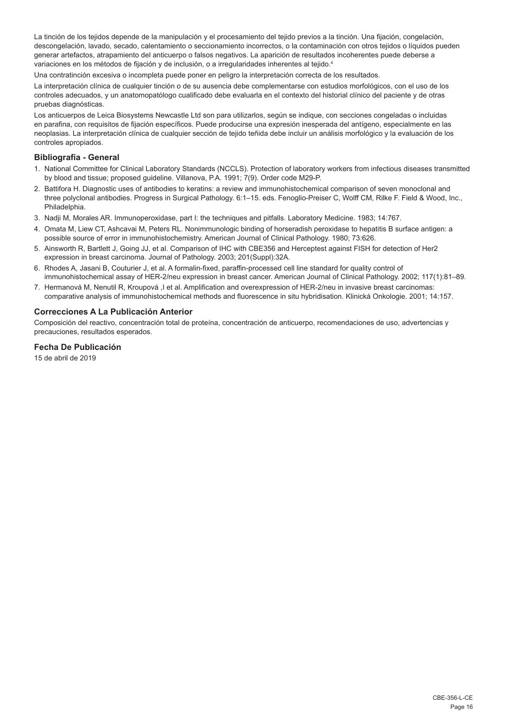La tinción de los tejidos depende de la manipulación y el procesamiento del tejido previos a la tinción. Una fijación, congelación, descongelación, lavado, secado, calentamiento o seccionamiento incorrectos, o la contaminación con otros tejidos o líquidos pueden generar artefactos, atrapamiento del anticuerpo o falsos negativos. La aparición de resultados incoherentes puede deberse a variaciones en los métodos de fijación y de inclusión, o a irregularidades inherentes al tejido.<sup>4</sup>

Una contratinción excesiva o incompleta puede poner en peligro la interpretación correcta de los resultados.

La interpretación clínica de cualquier tinción o de su ausencia debe complementarse con estudios morfológicos, con el uso de los controles adecuados, y un anatomopatólogo cualificado debe evaluarla en el contexto del historial clínico del paciente y de otras pruebas diagnósticas.

Los anticuerpos de Leica Biosystems Newcastle Ltd son para utilizarlos, según se indique, con secciones congeladas o incluidas en parafina, con requisitos de fijación específicos. Puede producirse una expresión inesperada del antígeno, especialmente en las neoplasias. La interpretación clínica de cualquier sección de tejido teñida debe incluir un análisis morfológico y la evaluación de los controles apropiados.

## **Bibliografía - General**

- 1. National Committee for Clinical Laboratory Standards (NCCLS). Protection of laboratory workers from infectious diseases transmitted by blood and tissue; proposed guideline. Villanova, P.A. 1991; 7(9). Order code M29-P.
- 2. Battifora H. Diagnostic uses of antibodies to keratins: a review and immunohistochemical comparison of seven monoclonal and three polyclonal antibodies. Progress in Surgical Pathology. 6:1–15. eds. Fenoglio-Preiser C, Wolff CM, Rilke F. Field & Wood, Inc., Philadelphia.
- 3. Nadji M, Morales AR. Immunoperoxidase, part I: the techniques and pitfalls. Laboratory Medicine. 1983; 14:767.
- 4. Omata M, Liew CT, Ashcavai M, Peters RL. Nonimmunologic binding of horseradish peroxidase to hepatitis B surface antigen: a possible source of error in immunohistochemistry. American Journal of Clinical Pathology. 1980; 73:626.
- 5. Ainsworth R, Bartlett J, Going JJ, et al. Comparison of IHC with CBE356 and Herceptest against FISH for detection of Her2 expression in breast carcinoma. Journal of Pathology. 2003; 201(Suppl):32A.
- 6. Rhodes A, Jasani B, Couturier J, et al. A formalin-fixed, paraffin-processed cell line standard for quality control of immunohistochemical assay of HER-2/neu expression in breast cancer. American Journal of Clinical Pathology. 2002; 117(1):81–89.
- 7. Hermanová M, Nenutil R, Kroupová ,I et al. Amplification and overexpression of HER-2/neu in invasive breast carcinomas: comparative analysis of immunohistochemical methods and fluorescence in situ hybridisation. Klinická Onkologie. 2001; 14:157.

#### **Correcciones A La Publicación Anterior**

Composición del reactivo, concentración total de proteína, concentración de anticuerpo, recomendaciones de uso, advertencias y precauciones, resultados esperados.

## **Fecha De Publicación**

15 de abril de 2019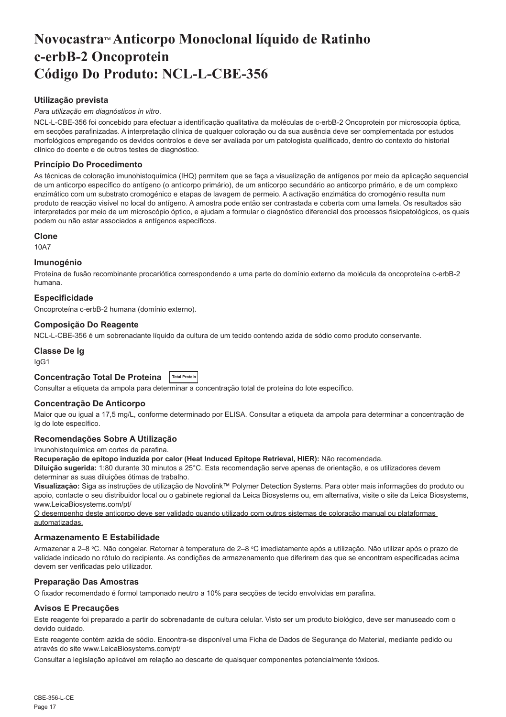## <span id="page-17-0"></span>**NovocastraTM Anticorpo Monoclonal líquido de Ratinho c-erbB-2 Oncoprotein Código Do Produto: NCL-L-CBE-356**

## **Utilização prevista**

#### *Para utilização em diagnósticos in vitro*.

NCL-L-CBE-356 foi concebido para efectuar a identificação qualitativa da moléculas de c-erbB-2 Oncoprotein por microscopia óptica, em secções parafinizadas. A interpretação clínica de qualquer coloração ou da sua ausência deve ser complementada por estudos morfológicos empregando os devidos controlos e deve ser avaliada por um patologista qualificado, dentro do contexto do historial clínico do doente e de outros testes de diagnóstico.

## **Princípio Do Procedimento**

As técnicas de coloração imunohistoquímica (IHQ) permitem que se faça a visualização de antígenos por meio da aplicação sequencial de um anticorpo específico do antígeno (o anticorpo primário), de um anticorpo secundário ao anticorpo primário, e de um complexo enzimático com um substrato cromogénico e etapas de lavagem de permeio. A activação enzimática do cromogénio resulta num produto de reacção visível no local do antígeno. A amostra pode então ser contrastada e coberta com uma lamela. Os resultados são interpretados por meio de um microscópio óptico, e ajudam a formular o diagnóstico diferencial dos processos fisiopatológicos, os quais podem ou não estar associados a antígenos específicos.

#### **Clone**

10A7

#### **Imunogénio**

Proteína de fusão recombinante procariótica correspondendo a uma parte do domínio externo da molécula da oncoproteína c-erbB-2 humana.

## **Especificidade**

Oncoproteína c-erbB-2 humana (domínio externo).

## **Composição Do Reagente**

NCL-L-CBE-356 é um sobrenadante líquido da cultura de um tecido contendo azida de sódio como produto conservante.

#### **Classe De Ig**

IgG1

## **Concentração Total De Proteína Total Protein**

Consultar a etiqueta da ampola para determinar a concentração total de proteína do lote específico.

#### **Concentração De Anticorpo**

Maior que ou igual a 17,5 mg/L, conforme determinado por ELISA. Consultar a etiqueta da ampola para determinar a concentração de Ig do lote específico.

## **Recomendações Sobre A Utilização**

Imunohistoquímica em cortes de parafina.

**Recuperação de epítopo induzida por calor (Heat Induced Epitope Retrieval, HIER):** Não recomendada.

**Diluição sugerida:** 1:80 durante 30 minutos a 25°C. Esta recomendação serve apenas de orientação, e os utilizadores devem determinar as suas diluições ótimas de trabalho.

**Visualização:** Siga as instruções de utilização de Novolink™ Polymer Detection Systems. Para obter mais informações do produto ou apoio, contacte o seu distribuidor local ou o gabinete regional da Leica Biosystems ou, em alternativa, visite o site da Leica Biosystems, www.LeicaBiosystems.com/pt/

O desempenho deste anticorpo deve ser validado quando utilizado com outros sistemas de coloração manual ou plataformas automatizadas.

#### **Armazenamento E Estabilidade**

Armazenar a 2–8 °C. Não congelar. Retornar à temperatura de 2–8 °C imediatamente após a utilização. Não utilizar após o prazo de validade indicado no rótulo do recipiente. As condições de armazenamento que diferirem das que se encontram especificadas acima devem ser verificadas pelo utilizador.

#### **Preparação Das Amostras**

O fixador recomendado é formol tamponado neutro a 10% para secções de tecido envolvidas em parafina.

#### **Avisos E Precauções**

Este reagente foi preparado a partir do sobrenadante de cultura celular. Visto ser um produto biológico, deve ser manuseado com o devido cuidado.

Este reagente contém azida de sódio. Encontra-se disponível uma Ficha de Dados de Segurança do Material, mediante pedido ou através do site www.LeicaBiosystems.com/pt/

Consultar a legislação aplicável em relação ao descarte de quaisquer componentes potencialmente tóxicos.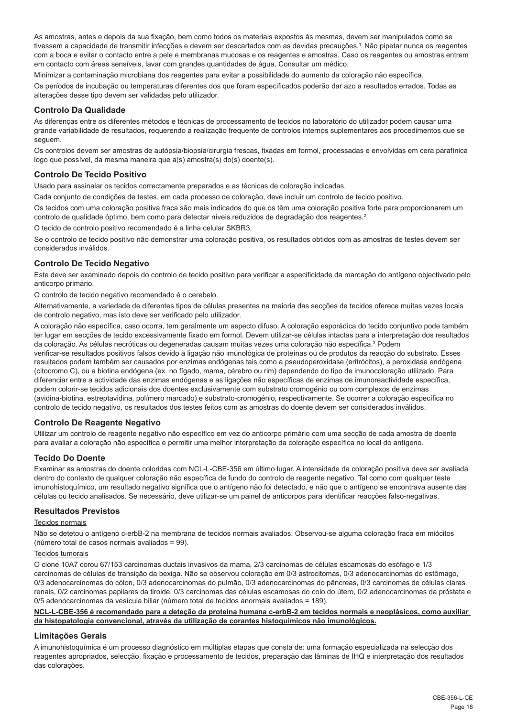As amostras, antes e depois da sua fixação, bem como todos os materiais expostos às mesmas, devem ser manipulados como se tivessem a capacidade de transmitir infecções e devem ser descartados com as devidas precauções.<sup>1</sup> Não pipetar nunca os reagentes com a boca e evitar o contacto entre a pele e membranas mucosas e os reagentes e amostras. Caso os reagentes ou amostras entrem em contacto com áreas sensíveis, lavar com grandes quantidades de água. Consultar um médico.

Minimizar a contaminação microbiana dos reagentes para evitar a possibilidade do aumento da coloração não específica.

Os períodos de incubação ou temperaturas diferentes dos que foram especificados poderão dar azo a resultados errados. Todas as alterações desse tipo devem ser validadas pelo utilizador.

## **Controlo Da Qualidade**

As diferenças entre os diferentes métodos e técnicas de processamento de tecidos no laboratório do utilizador podem causar uma grande variabilidade de resultados, requerendo a realização frequente de controlos internos suplementares aos procedimentos que se seguem.

Os controlos devem ser amostras de autópsia/biopsia/cirurgia frescas, fixadas em formol, processadas e envolvidas em cera parafínica logo que possível, da mesma maneira que a(s) amostra(s) do(s) doente(s).

## **Controlo De Tecido Positivo**

Usado para assinalar os tecidos correctamente preparados e as técnicas de coloração indicadas.

Cada conjunto de condições de testes, em cada processo de coloração, deve incluir um controlo de tecido positivo.

Os tecidos com uma coloração positiva fraca são mais indicados do que os têm uma coloração positiva forte para proporcionarem um controlo de qualidade óptimo, bem como para detectar níveis reduzidos de degradação dos reagentes.<sup>2</sup>

O tecido de controlo positivo recomendado é a linha celular SKBR3.

Se o controlo de tecido positivo não demonstrar uma coloração positiva, os resultados obtidos com as amostras de testes devem ser considerados inválidos.

## **Controlo De Tecido Negativo**

Este deve ser examinado depois do controlo de tecido positivo para verificar a especificidade da marcação do antígeno objectivado pelo anticorpo primário.

O controlo de tecido negativo recomendado é o cerebelo.

Alternativamente, a variedade de diferentes tipos de células presentes na maioria das secções de tecidos oferece muitas vezes locais de controlo negativo, mas isto deve ser verificado pelo utilizador.

A coloração não específica, caso ocorra, tem geralmente um aspecto difuso. A coloração esporádica do tecido conjuntivo pode também ter lugar em secções de tecido excessivamente fixado em formol. Devem utilizar-se células intactas para a interpretação dos resultados da coloração. As células necróticas ou degeneradas causam muitas vezes uma coloração não específica.<sup>3</sup> Podem

verificar-se resultados positivos falsos devido à ligação não imunológica de proteínas ou de produtos da reacção do substrato. Esses resultados podem também ser causados por enzimas endógenas tais como a pseudoperoxidase (eritrócitos), a peroxidase endógena (citocromo C), ou a biotina endógena (ex. no fígado, mama, cérebro ou rim) dependendo do tipo de imunocoloração utilizado. Para diferenciar entre a actividade das enzimas endógenas e as ligações não específicas de enzimas de imunoreactividade específica, podem colorir-se tecidos adicionais dos doentes exclusivamente com substrato cromogénio ou com complexos de enzimas (avidina-biotina, estreptavidina, polímero marcado) e substrato-cromogénio, respectivamente. Se ocorrer a coloração específica no controlo de tecido negativo, os resultados dos testes feitos com as amostras do doente devem ser considerados inválidos.

## **Controlo De Reagente Negativo**

Utilizar um controlo de reagente negativo não específico em vez do anticorpo primário com uma secção de cada amostra de doente para avaliar a coloração não específica e permitir uma melhor interpretação da coloração específica no local do antígeno.

## **Tecido Do Doente**

Examinar as amostras do doente coloridas com NCL-L-CBE-356 em último lugar. A intensidade da coloração positiva deve ser avaliada dentro do contexto de qualquer coloração não específica de fundo do controlo de reagente negativo. Tal como com qualquer teste imunohistoquímico, um resultado negativo significa que o antígeno não foi detectado, e não que o antígeno se encontrava ausente das células ou tecido analisados. Se necessário, deve utilizar-se um painel de anticorpos para identificar reacções falso-negativas.

#### **Resultados Previstos**

#### Tecidos normais

Não se detetou o antígeno c-erbB-2 na membrana de tecidos normais avaliados. Observou-se alguma coloração fraca em miócitos (número total de casos normais avaliados = 99).

#### Tecidos tumorais

O clone 10A7 corou 67/153 carcinomas ductais invasivos da mama, 2/3 carcinomas de células escamosas do esófago e 1/3 carcinomas de células de transição da bexiga. Não se observou coloração em 0/3 astrocitomas, 0/3 adenocarcinomas do estômago, 0/3 adenocarcinomas do cólon, 0/3 adenocarcinomas do pulmão, 0/3 adenocarcinomas do pâncreas, 0/3 carcinomas de células claras renais, 0/2 carcinomas papilares da tiroide, 0/3 carcinomas das células escamosas do colo do útero, 0/2 adenocarcinomas da próstata e 0/5 adenocarcinomas da vesícula biliar (número total de tecidos anormais avaliados = 189).

#### **NCL-L-CBE-356 é recomendado para a deteção da proteína humana c-erbB-2 em tecidos normais e neoplásicos, como auxiliar da histopatologia convencional, através da utilização de corantes histoquímicos não imunológicos.**

## **Limitações Gerais**

A imunohistoquímica é um processo diagnóstico em múltiplas etapas que consta de: uma formação especializada na selecção dos reagentes apropriados, selecção, fixação e processamento de tecidos, preparação das lâminas de IHQ e interpretação dos resultados das colorações.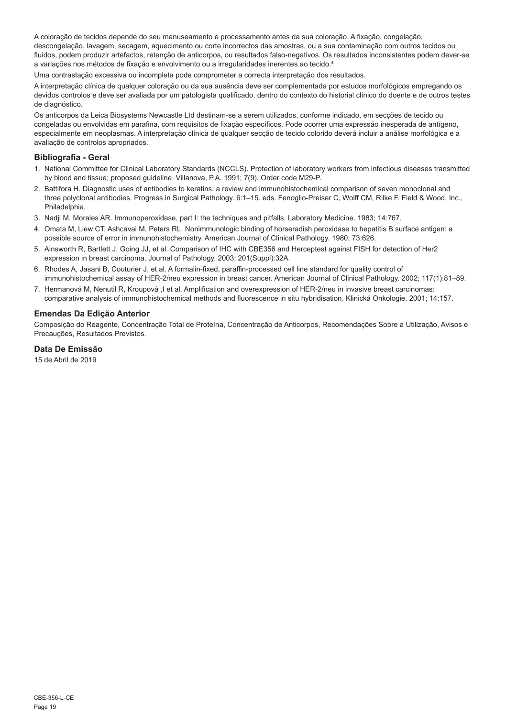A coloração de tecidos depende do seu manuseamento e processamento antes da sua coloração. A fixação, congelação, descongelação, lavagem, secagem, aquecimento ou corte incorrectos das amostras, ou a sua contaminação com outros tecidos ou fluidos, podem produzir artefactos, retenção de anticorpos, ou resultados falso-negativos. Os resultados inconsistentes podem dever-se a variações nos métodos de fixação e envolvimento ou a irregularidades inerentes ao tecido.<sup>4</sup>

Uma contrastação excessiva ou incompleta pode comprometer a correcta interpretação dos resultados.

A interpretação clínica de qualquer coloração ou da sua ausência deve ser complementada por estudos morfológicos empregando os devidos controlos e deve ser avaliada por um patologista qualificado, dentro do contexto do historial clínico do doente e de outros testes de diagnóstico.

Os anticorpos da Leica Biosystems Newcastle Ltd destinam-se a serem utilizados, conforme indicado, em secções de tecido ou congeladas ou envolvidas em parafina, com requisitos de fixação específicos. Pode ocorrer uma expressão inesperada de antígeno, especialmente em neoplasmas. A interpretação clínica de qualquer secção de tecido colorido deverá incluir a análise morfológica e a avaliação de controlos apropriados.

## **Bibliografia - Geral**

- 1. National Committee for Clinical Laboratory Standards (NCCLS). Protection of laboratory workers from infectious diseases transmitted by blood and tissue; proposed guideline. Villanova, P.A. 1991; 7(9). Order code M29-P.
- 2. Battifora H. Diagnostic uses of antibodies to keratins: a review and immunohistochemical comparison of seven monoclonal and three polyclonal antibodies. Progress in Surgical Pathology. 6:1–15. eds. Fenoglio-Preiser C, Wolff CM, Rilke F. Field & Wood, Inc., Philadelphia.
- 3. Nadji M, Morales AR. Immunoperoxidase, part I: the techniques and pitfalls. Laboratory Medicine. 1983; 14:767.
- 4. Omata M, Liew CT, Ashcavai M, Peters RL. Nonimmunologic binding of horseradish peroxidase to hepatitis B surface antigen: a possible source of error in immunohistochemistry. American Journal of Clinical Pathology. 1980; 73:626.
- 5. Ainsworth R, Bartlett J, Going JJ, et al. Comparison of IHC with CBE356 and Herceptest against FISH for detection of Her2 expression in breast carcinoma. Journal of Pathology. 2003; 201(Suppl):32A.
- 6. Rhodes A, Jasani B, Couturier J, et al. A formalin-fixed, paraffin-processed cell line standard for quality control of immunohistochemical assay of HER-2/neu expression in breast cancer. American Journal of Clinical Pathology. 2002; 117(1):81–89.
- 7. Hermanová M, Nenutil R, Kroupová ,I et al. Amplification and overexpression of HER-2/neu in invasive breast carcinomas: comparative analysis of immunohistochemical methods and fluorescence in situ hybridisation. Klinická Onkologie. 2001; 14:157.

## **Emendas Da Edição Anterior**

Composição do Reagente, Concentração Total de Proteína, Concentração de Anticorpos, Recomendações Sobre a Utilização, Avisos e Precauções, Resultados Previstos.

**Data De Emissão**

15 de Abril de 2019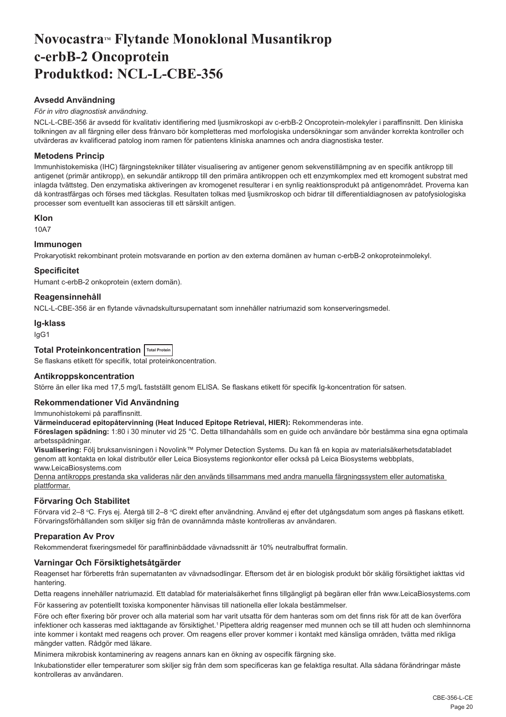## <span id="page-20-0"></span>Novocastra™ Flytande Monoklonal Musantikrop **c-erbB-2 Oncoprotein Produktkod: NCL-L-CBE-356**

## **Avsedd Användning**

## *För in vitro diagnostisk användning*.

NCL-L-CBE-356 är avsedd för kvalitativ identifiering med ljusmikroskopi av c-erbB-2 Oncoprotein-molekyler i paraffinsnitt. Den kliniska tolkningen av all färgning eller dess frånvaro bör kompletteras med morfologiska undersökningar som använder korrekta kontroller och utvärderas av kvalificerad patolog inom ramen för patientens kliniska anamnes och andra diagnostiska tester.

## **Metodens Princip**

Immunhistokemiska (IHC) färgningstekniker tillåter visualisering av antigener genom sekvenstillämpning av en specifik antikropp till antigenet (primär antikropp), en sekundär antikropp till den primära antikroppen och ett enzymkomplex med ett kromogent substrat med inlagda tvättsteg. Den enzymatiska aktiveringen av kromogenet resulterar i en synlig reaktionsprodukt på antigenområdet. Proverna kan då kontrastfärgas och förses med täckglas. Resultaten tolkas med ljusmikroskop och bidrar till differentialdiagnosen av patofysiologiska processer som eventuellt kan associeras till ett särskilt antigen.

#### **Klon**

10A7

## **Immunogen**

Prokaryotiskt rekombinant protein motsvarande en portion av den externa domänen av human c-erbB-2 onkoproteinmolekyl.

## **Specificitet**

Humant c-erbB-2 onkoprotein (extern domän).

## **Reagensinnehåll**

NCL-L-CBE-356 är en flytande vävnadskultursupernatant som innehåller natriumazid som konserveringsmedel.

#### **Ig-klass**

IgG1

## **Total Proteinkoncentration Total Protein**

Se flaskans etikett för specifik, total proteinkoncentration.

#### **Antikroppskoncentration**

Större än eller lika med 17,5 mg/L fastställt genom ELISA. Se flaskans etikett för specifik Ig-koncentration för satsen.

#### **Rekommendationer Vid Användning**

Immunohistokemi på paraffinsnitt.

**Värmeinducerad epitopåtervinning (Heat Induced Epitope Retrieval, HIER):** Rekommenderas inte.

**Föreslagen spädning:** 1:80 i 30 minuter vid 25 °C. Detta tillhandahålls som en guide och användare bör bestämma sina egna optimala arbetsspädningar.

**Visualisering:** Följ bruksanvisningen i Novolink™ Polymer Detection Systems. Du kan få en kopia av materialsäkerhetsdatabladet genom att kontakta en lokal distributör eller Leica Biosystems regionkontor eller också på Leica Biosystems webbplats, www.LeicaBiosystems.com

Denna antikropps prestanda ska valideras när den används tillsammans med andra manuella färgningssystem eller automatiska plattformar.

## **Förvaring Och Stabilitet**

Förvara vid 2–8 °C. Frys ej. Atergå till 2–8 °C direkt efter användning. Använd ej efter det utgångsdatum som anges på flaskans etikett. Förvaringsförhållanden som skiljer sig från de ovannämnda måste kontrolleras av användaren.

## **Preparation Av Prov**

Rekommenderat fixeringsmedel för paraffininbäddade vävnadssnitt är 10% neutralbuffrat formalin.

## **Varningar Och Försiktighetsåtgärder**

Reagenset har förberetts från supernatanten av vävnadsodlingar. Eftersom det är en biologisk produkt bör skälig försiktighet iakttas vid hantering.

Detta reagens innehåller natriumazid. Ett datablad för materialsäkerhet finns tillgängligt på begäran eller från www.LeicaBiosystems.com För kassering av potentiellt toxiska komponenter hänvisas till nationella eller lokala bestämmelser.

Före och efter fixering bör prover och alla material som har varit utsatta för dem hanteras som om det finns risk för att de kan överföra infektioner och kasseras med iakttagande av försiktighet.<sup>1</sup> Pipettera aldrig reagenser med munnen och se till att huden och slemhinnorna inte kommer i kontakt med reagens och prover. Om reagens eller prover kommer i kontakt med känsliga områden, tvätta med rikliga mängder vatten. Rådgör med läkare.

Minimera mikrobisk kontaminering av reagens annars kan en ökning av ospecifik färgning ske.

Inkubationstider eller temperaturer som skiljer sig från dem som specificeras kan ge felaktiga resultat. Alla sådana förändringar måste kontrolleras av användaren.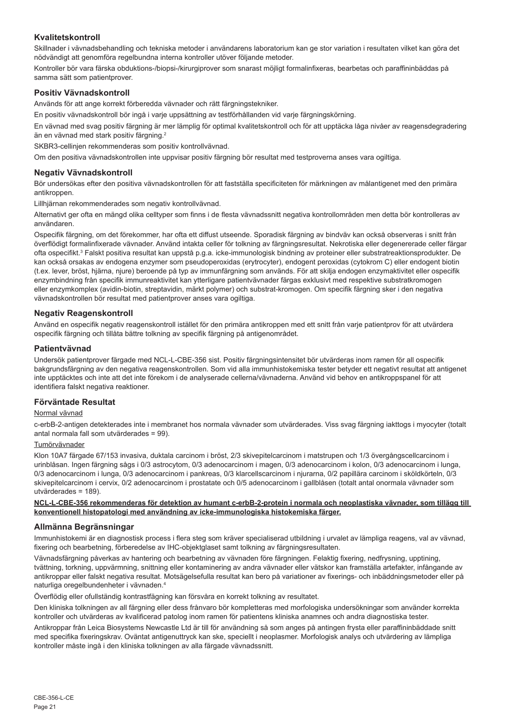## **Kvalitetskontroll**

Skillnader i vävnadsbehandling och tekniska metoder i användarens laboratorium kan ge stor variation i resultaten vilket kan göra det nödvändigt att genomföra regelbundna interna kontroller utöver följande metoder.

Kontroller bör vara färska obduktions-/biopsi-/kirurgiprover som snarast möjligt formalinfixeras, bearbetas och paraffininbäddas på samma sätt som patientprover.

### **Positiv Vävnadskontroll**

Används för att ange korrekt förberedda vävnader och rätt färgningstekniker.

En positiv vävnadskontroll bör ingå i varje uppsättning av testförhållanden vid varje färgningskörning.

En vävnad med svag positiv färgning är mer lämplig för optimal kvalitetskontroll och för att upptäcka låga nivåer av reagensdegradering än en vävnad med stark positiv färgning.<sup>2</sup>

SKBR3-cellinjen rekommenderas som positiv kontrollvävnad.

Om den positiva vävnadskontrollen inte uppvisar positiv färgning bör resultat med testproverna anses vara ogiltiga.

### **Negativ Vävnadskontroll**

Bör undersökas efter den positiva vävnadskontrollen för att fastställa specificiteten för märkningen av målantigenet med den primära antikroppen.

Lillhjärnan rekommenderades som negativ kontrollvävnad.

Alternativt ger ofta en mängd olika celltyper som finns i de flesta vävnadssnitt negativa kontrollområden men detta bör kontrolleras av användaren.

Ospecifik färgning, om det förekommer, har ofta ett diffust utseende. Sporadisk färgning av bindväv kan också observeras i snitt från överflödigt formalinfixerade vävnader. Använd intakta celler för tolkning av färgningsresultat. Nekrotiska eller degenererade celler färgar ofta ospecifikt.<sup>3</sup> Falskt positiva resultat kan uppstå p.g.a. icke-immunologisk bindning av proteiner eller substratreaktionsprodukter. De kan också orsakas av endogena enzymer som pseudoperoxidas (erytrocyter), endogent peroxidas (cytokrom C) eller endogent biotin (t.ex. lever, bröst, hjärna, njure) beroende på typ av immunfärgning som används. För att skilja endogen enzymaktivitet eller ospecifik enzymbindning från specifik immunreaktivitet kan ytterligare patientvävnader färgas exklusivt med respektive substratkromogen eller enzymkomplex (avidin-biotin, streptavidin, märkt polymer) och substrat-kromogen. Om specifik färgning sker i den negativa vävnadskontrollen bör resultat med patientprover anses vara ogiltiga.

## **Negativ Reagenskontroll**

Använd en ospecifik negativ reagenskontroll istället för den primära antikroppen med ett snitt från varje patientprov för att utvärdera ospecifik färgning och tillåta bättre tolkning av specifik färgning på antigenområdet.

#### **Patientvävnad**

Undersök patientprover färgade med NCL-L-CBE-356 sist. Positiv färgningsintensitet bör utvärderas inom ramen för all ospecifik bakgrundsfärgning av den negativa reagenskontrollen. Som vid alla immunhistokemiska tester betyder ett negativt resultat att antigenet inte upptäcktes och inte att det inte förekom i de analyserade cellerna/vävnaderna. Använd vid behov en antikroppspanel för att identifiera falskt negativa reaktioner.

#### **Förväntade Resultat**

#### Normal vävnad

c-erbB-2-antigen detekterades inte i membranet hos normala vävnader som utvärderades. Viss svag färgning iakttogs i myocyter (totalt antal normala fall som utvärderades = 99).

## Tumörvävnader

Klon 10A7 färgade 67/153 invasiva, duktala carcinom i bröst, 2/3 skivepitelcarcinom i matstrupen och 1/3 övergångscellcarcinom i urinblåsan. Ingen färgning sågs i 0/3 astrocytom, 0/3 adenocarcinom i magen, 0/3 adenocarcinom i kolon, 0/3 adenocarcinom i lunga, 0/3 adenocarcinom i lunga, 0/3 adenocarcinom i pankreas, 0/3 klarcellscarcinom i njurarna, 0/2 papillära carcinom i sköldkörteln, 0/3 skivepitelcarcinom i cervix, 0/2 adenocarcinom i prostatate och 0/5 adenocarcinom i gallblåsen (totalt antal onormala vävnader som utvärderades = 189).

#### **NCL-L-CBE-356 rekommenderas för detektion av humant c-erbB-2-protein i normala och neoplastiska vävnader, som tillägg till konventionell histopatologi med användning av icke-immunologiska histokemiska färger.**

#### **Allmänna Begränsningar**

Immunhistokemi är en diagnostisk process i flera steg som kräver specialiserad utbildning i urvalet av lämpliga reagens, val av vävnad, fixering och bearbetning, förberedelse av IHC-objektglaset samt tolkning av färgningsresultaten.

Vävnadsfärgning påverkas av hantering och bearbetning av vävnaden före färgningen. Felaktig fixering, nedfrysning, upptining, tvättning, torkning, uppvärmning, snittning eller kontaminering av andra vävnader eller vätskor kan framställa artefakter, infångande av antikroppar eller falskt negativa resultat. Motsägelsefulla resultat kan bero på variationer av fixerings- och inbäddningsmetoder eller på naturliga oregelbundenheter i vävnaden.<sup>4</sup>

Överflödig eller ofullständig kontrastfägning kan försvåra en korrekt tolkning av resultatet.

Den kliniska tolkningen av all färgning eller dess frånvaro bör kompletteras med morfologiska undersökningar som använder korrekta kontroller och utvärderas av kvalificerad patolog inom ramen för patientens kliniska anamnes och andra diagnostiska tester.

Antikroppar från Leica Biosystems Newcastle Ltd är till för användning så som anges på antingen frysta eller paraffininbäddade snitt med specifika fixeringskrav. Oväntat antigenuttryck kan ske, speciellt i neoplasmer. Morfologisk analys och utvärdering av lämpliga kontroller måste ingå i den kliniska tolkningen av alla färgade vävnadssnitt.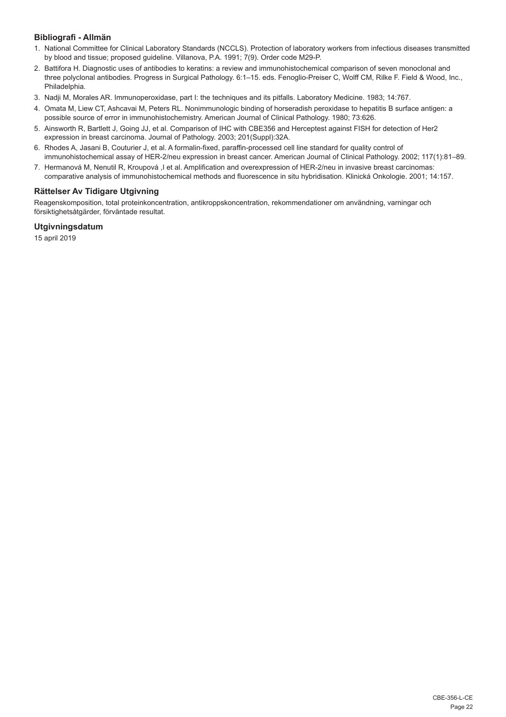## **Bibliografi - Allmän**

- 1. National Committee for Clinical Laboratory Standards (NCCLS). Protection of laboratory workers from infectious diseases transmitted by blood and tissue; proposed guideline. Villanova, P.A. 1991; 7(9). Order code M29-P.
- 2. Battifora H. Diagnostic uses of antibodies to keratins: a review and immunohistochemical comparison of seven monoclonal and three polyclonal antibodies. Progress in Surgical Pathology. 6:1–15. eds. Fenoglio-Preiser C, Wolff CM, Rilke F. Field & Wood, Inc., Philadelphia.
- 3. Nadji M, Morales AR. Immunoperoxidase, part I: the techniques and its pitfalls. Laboratory Medicine. 1983; 14:767.
- 4. Omata M, Liew CT, Ashcavai M, Peters RL. Nonimmunologic binding of horseradish peroxidase to hepatitis B surface antigen: a possible source of error in immunohistochemistry. American Journal of Clinical Pathology. 1980; 73:626.
- 5. Ainsworth R, Bartlett J, Going JJ, et al. Comparison of IHC with CBE356 and Herceptest against FISH for detection of Her2 expression in breast carcinoma. Journal of Pathology. 2003; 201(Suppl):32A.
- 6. Rhodes A, Jasani B, Couturier J, et al. A formalin-fixed, paraffin-processed cell line standard for quality control of immunohistochemical assay of HER-2/neu expression in breast cancer. American Journal of Clinical Pathology. 2002; 117(1):81–89.
- 7. Hermanová M, Nenutil R, Kroupová ,I et al. Amplification and overexpression of HER-2/neu in invasive breast carcinomas: comparative analysis of immunohistochemical methods and fluorescence in situ hybridisation. Klinická Onkologie. 2001; 14:157.

## **Rättelser Av Tidigare Utgivning**

Reagenskomposition, total proteinkoncentration, antikroppskoncentration, rekommendationer om användning, varningar och försiktighetsåtgärder, förväntade resultat.

## **Utgivningsdatum**

15 april 2019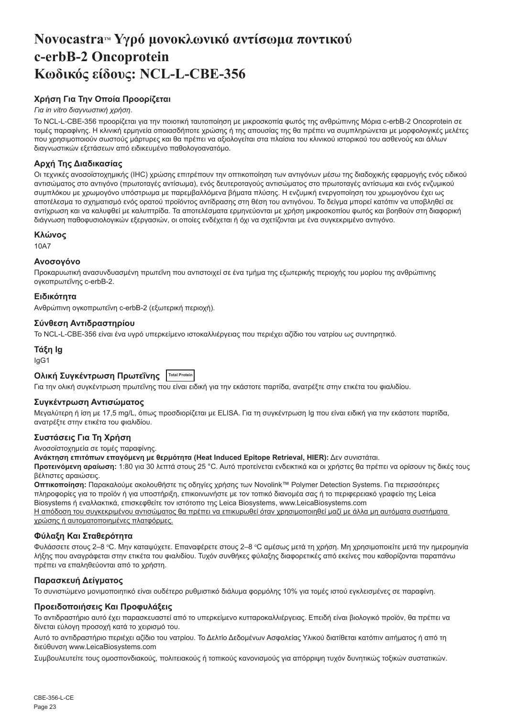## <span id="page-23-0"></span>**NovocastraTM Υγρό μονοκλωνικό αντίσωμα ποντικού c-erbB-2 Oncoprotein Κωδικός είδους: NCL-L-CBE-356**

## **Χρήση Για Την Οποία Προορίζεται**

## *Για in vitro διαγνωστική χρήση*.

Το NCL-L-CBE-356 προορίζεται για την ποιοτική ταυτοποίηση με μικροσκοπία φωτός της ανθρώπινης Μόρια c-erbB-2 Oncoprotein σε τομές παραφίνης. Η κλινική ερμηνεία οποιασδήποτε χρώσης ή της απουσίας της θα πρέπει να συμπληρώνεται με μορφολογικές μελέτες που χρησιμοποιούν σωστούς μάρτυρες και θα πρέπει να αξιολογείται στα πλαίσια του κλινικού ιστορικού του ασθενούς και άλλων διαγνωστικών εξετάσεων από ειδικευμένο παθολογοανατόμο.

## **Αρχή Της Διαδικασίας**

Οι τεχνικές ανοσοϊστοχημικής (IHC) χρώσης επιτρέπουν την οπτικοποίηση των αντιγόνων μέσω της διαδοχικής εφαρμογής ενός ειδικού αντισώματος στο αντιγόνο (πρωτοταγές αντίσωμα), ενός δευτεροταγούς αντισώματος στο πρωτοταγές αντίσωμα και ενός ενζυμικού συμπλόκου με χρωμογόνο υπόστρωμα με παρεμβαλλόμενα βήματα πλύσης. Η ενζυμική ενεργοποίηση του χρωμογόνου έχει ως αποτέλεσμα το σχηματισμό ενός ορατού προϊόντος αντίδρασης στη θέση του αντιγόνου. Το δείγμα μπορεί κατόπιν να υποβληθεί σε αντίχρωση και να καλυφθεί με καλυπτρίδα. Τα αποτελέσματα ερμηνεύονται με χρήση μικροσκοπίου φωτός και βοηθούν στη διαφορική διάγνωση παθοφυσιολογικών εξεργασιών, οι οποίες ενδέχεται ή όχι να σχετίζονται με ένα συγκεκριμένο αντιγόνο.

## **Κλώνος**

10A7

## **Ανοσογόνο**

Προκαρυωτική ανασυνδυασμένη πρωτεΐνη που αντιστοιχεί σε ένα τμήμα της εξωτερικής περιοχής του μορίου της ανθρώπινης ογκοπρωτεΐνης c-erbB-2.

## **Ειδικότητα**

Ανθρώπινη ογκοπρωτεΐνη c-erbB-2 (εξωτερική περιοχή).

## **Σύνθεση Αντιδραστηρίου**

Το NCL-L-CBE-356 είναι ένα υγρό υπερκείμενο ιστοκαλλιέργειας που περιέχει αζίδιο του νατρίου ως συντηρητικό.

## **Τάξη Ig**

IgG1

## **Ολική Συγκέντρωση Πρωτεΐνης Total Protein**

Για την ολική συγκέντρωση πρωτεΐνης που είναι ειδική για την εκάστοτε παρτίδα, ανατρέξτε στην ετικέτα του φιαλιδίου.

## **Συγκέντρωση Αντισώματος**

Μεγαλύτερη ή ίση με 17,5 mg/L, όπως προσδιορίζεται με ELISA. Για τη συγκέντρωση Ig που είναι ειδική για την εκάστοτε παρτίδα, ανατρέξτε στην ετικέτα του φιαλιδίου.

## **Συστάσεις Για Τη Χρήση**

Ανοσοϊστοχημεία σε τομές παραφίνης.

**Ανάκτηση επιτόπων επαγόμενη με θερμότητα (Heat Induced Epitope Retrieval, HIER):** Δεν συνιστάται.

**Προτεινόμενη αραίωση:** 1:80 για 30 λεπτά στους 25 °C. Αυτό προτείνεται ενδεικτικά και οι χρήστες θα πρέπει να ορίσουν τις δικές τους βέλτιστες αραιώσεις.

**Οπτικοποίηση:** Παρακαλούμε ακολουθήστε τις οδηγίες χρήσης των Novolink™ Polymer Detection Systems. Για περισσότερες πληροφορίες για το προϊόν ή για υποστήριξη, επικοινωνήστε με τον τοπικό διανομέα σας ή το περιφερειακό γραφείο της Leica Biosystems ή εναλλακτικά, επισκεφθείτε τον ιστότοπο της Leica Biosystems, www.LeicaBiosystems.com Η απόδοση του συγκεκριμένου αντισώματος θα πρέπει να επικυρωθεί όταν χρησιμοποιηθεί μαζί με άλλα μη αυτόματα συστήματα χρώσης ή αυτοματοποιημένες πλατφόρμες.

## **Φύλαξη Και Σταθερότητα**

Φυλάσσετε στους 2–8 °C. Μην καταψύχετε. Επαναφέρετε στους 2–8 °C αμέσως μετά τη χρήση. Μη χρησιμοποιείτε μετά την ημερομηνία λήξης που αναγράφεται στην ετικέτα του φιαλιδίου. Τυχόν συνθήκες φύλαξης διαφορετικές από εκείνες που καθορίζονται παραπάνω πρέπει να επαληθεύονται από το χρήστη.

## **Παρασκευή Δείγματος**

Το συνιστώμενο μονιμοποιητικό είναι ουδέτερο ρυθμιστικό διάλυμα φορμόλης 10% για τομές ιστού εγκλεισμένες σε παραφίνη.

## **Προειδοποιήσεις Και Προφυλάξεις**

Το αντιδραστήριο αυτό έχει παρασκευαστεί από το υπερκείμενο κυτταροκαλλιέργειας. Επειδή είναι βιολογικό προϊόν, θα πρέπει να δίνεται εύλογη προσοχή κατά το χειρισμό του.

Αυτό το αντιδραστήριο περιέχει αζίδιο του νατρίου. Το Δελτίο Δεδομένων Ασφαλείας Υλικού διατίθεται κατόπιν αιτήματος ή από τη διεύθυνση www.LeicaBiosystems.com

Συμβουλευτείτε τους ομοσπονδιακούς, πολιτειακούς ή τοπικούς κανονισμούς για απόρριψη τυχόν δυνητικώς τοξικών συστατικών.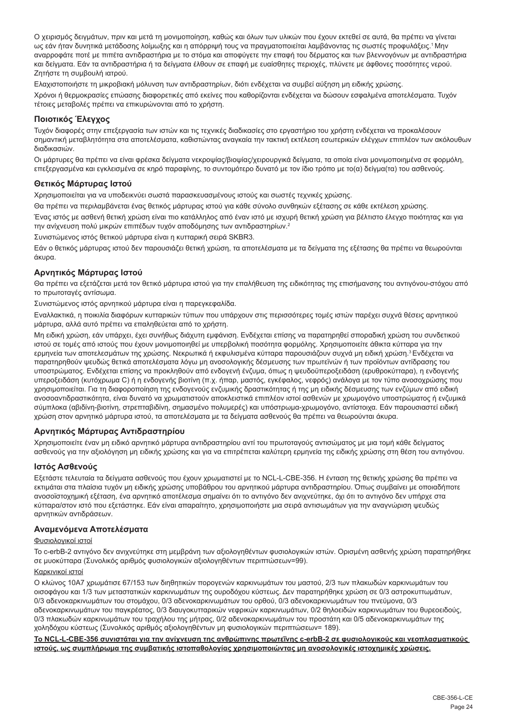Ο χειρισμός δειγμάτων, πριν και μετά τη μονιμοποίηση, καθώς και όλων των υλικών που έχουν εκτεθεί σε αυτά, θα πρέπει να γίνεται ως εάν ήταν δυνητικά μετάδοσης λοίμωξης και η απόρριψή τους να πραγματοποιείται λαμβάνοντας τις σωστές προφυλάξεις.<sup>1</sup>Μην αναρροφάτε ποτέ με πιπέτα αντιδραστήρια με το στόμα και αποφύγετε την επαφή του δέρματος και των βλεννογόνων με αντιδραστήρια και δείγματα. Εάν τα αντιδραστήρια ή τα δείγματα έλθουν σε επαφή με ευαίσθητες περιοχές, πλύνετε με άφθονες ποσότητες νερού. Ζητήστε τη συμβουλή ιατρού.

Ελαχιστοποιήστε τη μικροβιακή μόλυνση των αντιδραστηρίων, διότι ενδέχεται να συμβεί αύξηση μη ειδικής χρώσης. Χρόνοι ή θερμοκρασίες επώασης διαφορετικές από εκείνες που καθορίζονται ενδέχεται να δώσουν εσφαλμένα αποτελέσματα. Τυχόν τέτοιες μεταβολές πρέπει να επικυρώνονται από το χρήστη.

## **Ποιοτικός Έλεγχος**

Τυχόν διαφορές στην επεξεργασία των ιστών και τις τεχνικές διαδικασίες στο εργαστήριο του χρήστη ενδέχεται να προκαλέσουν σημαντική μεταβλητότητα στα αποτελέσματα, καθιστώντας αναγκαία την τακτική εκτέλεση εσωτερικών ελέγχων επιπλέον των ακόλουθων διαδικασιών.

Οι μάρτυρες θα πρέπει να είναι φρέσκα δείγματα νεκροψίας/βιοψίας/χειρουργικά δείγματα, τα οποία είναι μονιμοποιημένα σε φορμόλη, επεξεργασμένα και εγκλεισμένα σε κηρό παραφίνης, το συντομότερο δυνατό με τον ίδιο τρόπο με το(α) δείγμα(τα) του ασθενούς.

## **Θετικός Μάρτυρας Ιστού**

Χρησιμοποιείται για να υποδεικνύει σωστά παρασκευασμένους ιστούς και σωστές τεχνικές χρώσης.

Θα πρέπει να περιλαμβάνεται ένας θετικός μάρτυρας ιστού για κάθε σύνολο συνθηκών εξέτασης σε κάθε εκτέλεση χρώσης.

Ένας ιστός με ασθενή θετική χρώση είναι πιο κατάλληλος από έναν ιστό με ισχυρή θετική χρώση για βέλτιστο έλεγχο ποιότητας και για την ανίχνευση πολύ μικρών επιπέδων τυχόν αποδόμησης των αντιδραστηρίων.<sup>2</sup>

Συνιστώμενος ιστός θετικού μάρτυρα είναι η κυτταρική σειρά SKBR3.

Εάν ο θετικός μάρτυρας ιστού δεν παρουσιάζει θετική χρώση, τα αποτελέσματα με τα δείγματα της εξέτασης θα πρέπει να θεωρούνται άκυρα.

## **Αρνητικός Μάρτυρας Ιστού**

Θα πρέπει να εξετάζεται μετά τον θετικό μάρτυρα ιστού για την επαλήθευση της ειδικότητας της επισήμανσης του αντιγόνου-στόχου από το πρωτοταγές αντίσωμα.

Συνιστώμενος ιστός αρνητικού μάρτυρα είναι η παρεγκεφαλίδα.

Εναλλακτικά, η ποικιλία διαφόρων κυτταρικών τύπων που υπάρχουν στις περισσότερες τομές ιστών παρέχει συχνά θέσεις αρνητικού μάρτυρα, αλλά αυτό πρέπει να επαληθεύεται από το χρήστη.

Μη ειδική χρώση, εάν υπάρχει, έχει συνήθως διάχυτη εμφάνιση. Ενδέχεται επίσης να παρατηρηθεί σποραδική χρώση του συνδετικού ιστού σε τομές από ιστούς που έχουν μονιμοποιηθεί με υπερβολική ποσότητα φορμόλης. Χρησιμοποιείτε άθικτα κύτταρα για την ερμηνεία των αποτελεσμάτων της χρώσης. Νεκρωτικά ή εκφυλισμένα κύτταρα παρουσιάζουν συχνά μη ειδική χρώση.<sup>3</sup> Ενδέχεται να παρατηρηθούν ψευδώς θετικά αποτελέσματα λόγω μη ανοσολογικής δέσμευσης των πρωτεϊνών ή των προϊόντων αντίδρασης του υποστρώματος. Ενδέχεται επίσης να προκληθούν από ενδογενή ένζυμα, όπως η ψευδοϋπεροξειδάση (ερυθροκύτταρα), η ενδογενής υπεροξειδάση (κυτόχρωμα C) ή η ενδογενής βιοτίνη (π.χ. ήπαρ, μαστός, εγκέφαλος, νεφρός) ανάλογα με τον τύπο ανοσοχρώσης που χρησιμοποιείται. Για τη διαφοροποίηση της ενδογενούς ενζυμικής δραστικότητας ή της μη ειδικής δέσμευσης των ενζύμων από ειδική ανοσοαντιδραστικότητα, είναι δυνατό να χρωματιστούν αποκλειστικά επιπλέον ιστοί ασθενών με χρωμογόνο υποστρώματος ή ενζυμικά σύμπλοκα (αβιδίνη-βιοτίνη, στρεπταβιδίνη, σημασμένο πολυμερές) και υπόστρωμα-χρωμογόνο, αντίστοιχα. Εάν παρουσιαστεί ειδική χρώση στον αρνητικό μάρτυρα ιστού, τα αποτελέσματα με τα δείγματα ασθενούς θα πρέπει να θεωρούνται άκυρα.

#### **Αρνητικός Μάρτυρας Αντιδραστηρίου**

Χρησιμοποιείτε έναν μη ειδικό αρνητικό μάρτυρα αντιδραστηρίου αντί του πρωτοταγούς αντισώματος με μια τομή κάθε δείγματος ασθενούς για την αξιολόγηση μη ειδικής χρώσης και για να επιτρέπεται καλύτερη ερμηνεία της ειδικής χρώσης στη θέση του αντιγόνου.

## **Ιστός Ασθενούς**

Εξετάστε τελευταία τα δείγματα ασθενούς που έχουν χρωματιστεί με το NCL-L-CBE-356. Η ένταση της θετικής χρώσης θα πρέπει να εκτιμάται στα πλαίσια τυχόν μη ειδικής χρώσης υποβάθρου του αρνητικού μάρτυρα αντιδραστηρίου. Όπως συμβαίνει με οποιαδήποτε ανοσοϊστοχημική εξέταση, ένα αρνητικό αποτέλεσμα σημαίνει ότι το αντιγόνο δεν ανιχνεύτηκε, όχι ότι το αντιγόνο δεν υπήρχε στα κύτταρα/στον ιστό που εξετάστηκε. Εάν είναι απαραίτητο, χρησιμοποιήστε μια σειρά αντισωμάτων για την αναγνώριση ψευδώς αρνητικών αντιδράσεων.

#### **Αναμενόμενα Αποτελέσματα**

#### Φυσιολογικοί ιστοί

Το c-erbB-2 αντιγόνο δεν ανιχνεύτηκε στη μεμβράνη των αξιολογηθέντων φυσιολογικών ιστών. Ορισμένη ασθενής χρώση παρατηρήθηκε σε μυοκύτταρα (Συνολικός αριθμός φυσιολογικών αξιολογηθέντων περιπτώσεων=99).

#### Καρκινικοί ιστοί

Ο κλώνος 10Α7 χρωμάτισε 67/153 των διηθητικών πορογενών καρκινωμάτων του μαστού, 2/3 των πλακωδών καρκινωμάτων του οισοφάγου και 1/3 των μεταστατικών καρκινωμάτων της ουροδόχου κύστεως. Δεν παρατηρήθηκε χρώση σε 0/3 αστροκυττωμάτων, 0/3 αδενοκαρκινωμάτων του στομάχου, 0/3 αδενοκαρκινωμάτων του ορθού, 0/3 αδενοκαρκινωμάτων του πνεύμονα, 0/3 αδενοκαρκινωμάτων του παγκρέατος, 0/3 διαυγοκυτταρικών νεφρικών καρκινωμάτων, 0/2 θηλοειδών καρκινωμάτων του θυρεοειδούς, 0/3 πλακωδών καρκινωμάτων του τραχήλου της μήτρας, 0/2 αδενοκαρκινωμάτων του προστάτη και 0/5 αδενοκαρκινωμάτων της χοληδόχου κύστεως (Συνολικός αριθμός αξιολογηθέντων μη φυσιολογικών περιπτώσεων= 189).

#### **Το NCL-L-CBE-356 συνιστάται για την ανίχνευση της ανθρώπινης πρωτεΐνης c-erbB-2 σε φυσιολογικούς και νεοπλασματικούς ιστούς, ως συμπλήρωμα της συμβατικής ιστοπαθολογίας χρησιμοποιώντας μη ανοσολογικές ιστοχημικές χρώσεις.**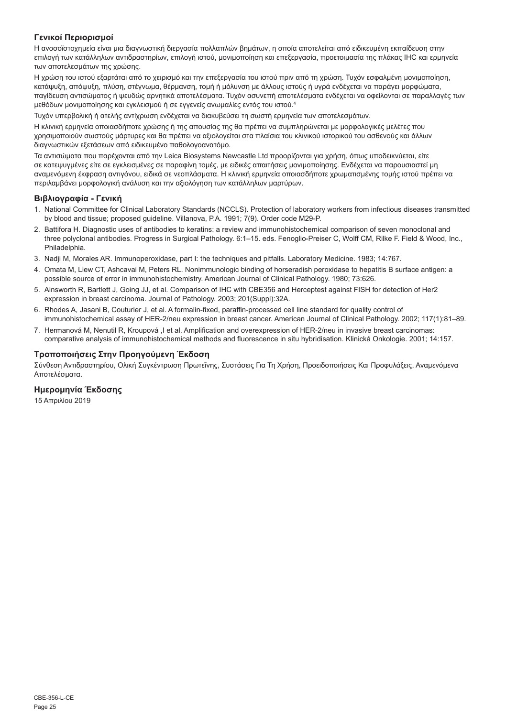## **Γενικοί Περιορισμοί**

Η ανοσοϊστοχημεία είναι μια διαγνωστική διεργασία πολλαπλών βημάτων, η οποία αποτελείται από ειδικευμένη εκπαίδευση στην επιλογή των κατάλληλων αντιδραστηρίων, επιλογή ιστού, μονιμοποίηση και επεξεργασία, προετοιμασία της πλάκας IHC και ερμηνεία των αποτελεσμάτων της χρώσης.

Η χρώση του ιστού εξαρτάται από το χειρισμό και την επεξεργασία του ιστού πριν από τη χρώση. Τυχόν εσφαλμένη μονιμοποίηση, κατάψυξη, απόψυξη, πλύση, στέγνωμα, θέρμανση, τομή ή μόλυνση με άλλους ιστούς ή υγρά ενδέχεται να παράγει μορφώματα, παγίδευση αντισώματος ή ψευδώς αρνητικά αποτελέσματα. Τυχόν ασυνεπή αποτελέσματα ενδέχεται να οφείλονται σε παραλλαγές των μεθόδων μονιμοποίησης και εγκλεισμού ή σε εγγενείς ανωμαλίες εντός του ιστού.<sup>4</sup>

Τυχόν υπερβολική ή ατελής αντίχρωση ενδέχεται να διακυβεύσει τη σωστή ερμηνεία των αποτελεσμάτων.

Η κλινική ερμηνεία οποιασδήποτε χρώσης ή της απουσίας της θα πρέπει να συμπληρώνεται με μορφολογικές μελέτες που χρησιμοποιούν σωστούς μάρτυρες και θα πρέπει να αξιολογείται στα πλαίσια του κλινικού ιστορικού του ασθενούς και άλλων διαγνωστικών εξετάσεων από ειδικευμένο παθολογοανατόμο.

Τα αντισώματα που παρέχονται από την Leica Biosystems Newcastle Ltd προορίζονται για χρήση, όπως υποδεικνύεται, είτε σε κατεψυγμένες είτε σε εγκλεισμένες σε παραφίνη τομές, με ειδικές απαιτήσεις μονιμοποίησης. Ενδέχεται να παρουσιαστεί μη αναμενόμενη έκφραση αντιγόνου, ειδικά σε νεοπλάσματα. Η κλινική ερμηνεία οποιασδήποτε χρωματισμένης τομής ιστού πρέπει να περιλαμβάνει μορφολογική ανάλυση και την αξιολόγηση των κατάλληλων μαρτύρων.

## **Βιβλιογραφία - Γενική**

- 1. National Committee for Clinical Laboratory Standards (NCCLS). Protection of laboratory workers from infectious diseases transmitted by blood and tissue; proposed guideline. Villanova, P.A. 1991; 7(9). Order code M29-P.
- 2. Battifora H. Diagnostic uses of antibodies to keratins: a review and immunohistochemical comparison of seven monoclonal and three polyclonal antibodies. Progress in Surgical Pathology. 6:1–15. eds. Fenoglio-Preiser C, Wolff CM, Rilke F. Field & Wood, Inc., Philadelphia.
- 3. Nadji M, Morales AR. Immunoperoxidase, part I: the techniques and pitfalls. Laboratory Medicine. 1983; 14:767.
- 4. Omata M, Liew CT, Ashcavai M, Peters RL. Nonimmunologic binding of horseradish peroxidase to hepatitis B surface antigen: a possible source of error in immunohistochemistry. American Journal of Clinical Pathology. 1980; 73:626.
- 5. Ainsworth R, Bartlett J, Going JJ, et al. Comparison of IHC with CBE356 and Herceptest against FISH for detection of Her2 expression in breast carcinoma. Journal of Pathology. 2003; 201(Suppl):32A.
- 6. Rhodes A, Jasani B, Couturier J, et al. A formalin-fixed, paraffin-processed cell line standard for quality control of immunohistochemical assay of HER-2/neu expression in breast cancer. American Journal of Clinical Pathology. 2002; 117(1):81–89.
- 7. Hermanová M, Nenutil R, Kroupová ,I et al. Amplification and overexpression of HER-2/neu in invasive breast carcinomas: comparative analysis of immunohistochemical methods and fluorescence in situ hybridisation. Klinická Onkologie. 2001; 14:157.

## **Τροποποιήσεις Στην Προηγούμενη Έκδοση**

Σύνθεση Αντιδραστηρίου, Ολική Συγκέντρωση Πρωτεΐνης, Συστάσεις Για Τη Χρήση, Προειδοποιήσεις Και Προφυλάξεις, Αναμενόμενα Αποτελέσματα.

## **Ημερομηνία Έκδοσης**

15 Απριλίου 2019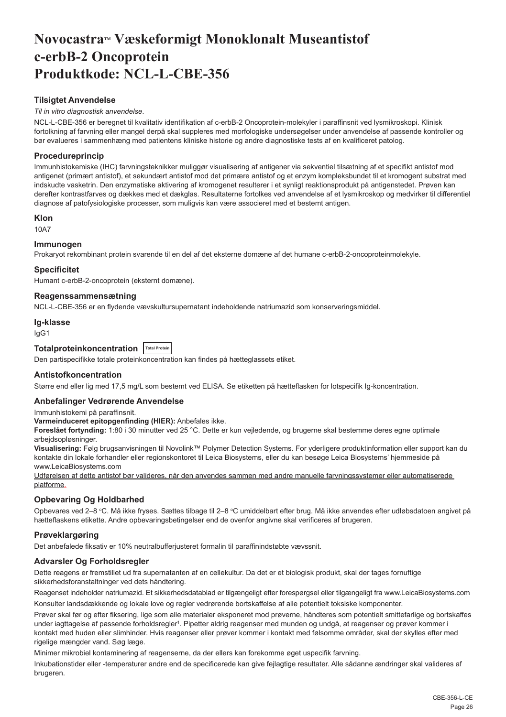## <span id="page-26-0"></span>**NovocastraTM Væskeformigt Monoklonalt Museantistof c-erbB-2 Oncoprotein Produktkode: NCL-L-CBE-356**

## **Tilsigtet Anvendelse**

#### *Til in vitro diagnostisk anvendelse*.

NCL-L-CBE-356 er beregnet til kvalitativ identifikation af c-erbB-2 Oncoprotein-molekyler i paraffinsnit ved lysmikroskopi. Klinisk fortolkning af farvning eller mangel derpå skal suppleres med morfologiske undersøgelser under anvendelse af passende kontroller og bør evalueres i sammenhæng med patientens kliniske historie og andre diagnostiske tests af en kvalificeret patolog.

## **Procedureprincip**

Immunhistokemiske (IHC) farvningsteknikker muliggør visualisering af antigener via sekventiel tilsætning af et specifikt antistof mod antigenet (primært antistof), et sekundært antistof mod det primære antistof og et enzym kompleksbundet til et kromogent substrat med indskudte vasketrin. Den enzymatiske aktivering af kromogenet resulterer i et synligt reaktionsprodukt på antigenstedet. Prøven kan derefter kontrastfarves og dækkes med et dækglas. Resultaterne fortolkes ved anvendelse af et lysmikroskop og medvirker til differentiel diagnose af patofysiologiske processer, som muligvis kan være associeret med et bestemt antigen.

#### **Klon**

10A7

## **Immunogen**

Prokaryot rekombinant protein svarende til en del af det eksterne domæne af det humane c-erbB-2-oncoproteinmolekyle.

#### **Specificitet**

Humant c-erbB-2-oncoprotein (eksternt domæne).

## **Reagenssammensætning**

NCL-L-CBE-356 er en flydende vævskultursupernatant indeholdende natriumazid som konserveringsmiddel.

#### **Ig-klasse**

IgG1

## **Totalproteinkoncentration Total Protein**

Den partispecifikke totale proteinkoncentration kan findes på hætteglassets etiket.

## **Antistofkoncentration**

Større end eller lig med 17,5 mg/L som bestemt ved ELISA. Se etiketten på hætteflasken for lotspecifik Ig-koncentration.

## **Anbefalinger Vedrørende Anvendelse**

Immunhistokemi på paraffinsnit.

#### **Varmeinduceret epitopgenfinding (HIER):** Anbefales ikke.

**Foreslået fortynding:** 1:80 i 30 minutter ved 25 °C. Dette er kun vejledende, og brugerne skal bestemme deres egne optimale arbejdsopløsninger.

**Visualisering:** Følg brugsanvisningen til Novolink™ Polymer Detection Systems. For yderligere produktinformation eller support kan du kontakte din lokale forhandler eller regionskontoret til Leica Biosystems, eller du kan besøge Leica Biosystems' hjemmeside på www.LeicaBiosystems.com

Udførelsen af dette antistof bør valideres, når den anvendes sammen med andre manuelle farvningssystemer eller automatiserede platforme.

## **Opbevaring Og Holdbarhed**

Opbevares ved 2–8 °C. Må ikke fryses. Sættes tilbage til 2–8 °C umiddelbart efter brug. Må ikke anvendes efter udløbsdatoen angivet på hætteflaskens etikette. Andre opbevaringsbetingelser end de ovenfor angivne skal verificeres af brugeren.

## **Prøveklargøring**

Det anbefalede fiksativ er 10% neutralbufferjusteret formalin til paraffinindstøbte vævssnit.

## **Advarsler Og Forholdsregler**

Dette reagens er fremstillet ud fra supernatanten af en cellekultur. Da det er et biologisk produkt, skal der tages fornuftige sikkerhedsforanstaltninger ved dets håndtering.

Reagenset indeholder natriumazid. Et sikkerhedsdatablad er tilgængeligt efter forespørgsel eller tilgængeligt fra www.LeicaBiosystems.com Konsulter landsdækkende og lokale love og regler vedrørende bortskaffelse af alle potentielt toksiske komponenter.

Prøver skal før og efter fiksering, lige som alle materialer eksponeret mod prøverne, håndteres som potentielt smittefarlige og bortskaffes under iagttagelse af passende forholdsregler<sup>1</sup>. Pipetter aldrig reagenser med munden og undgå, at reagenser og prøver kommer i kontakt med huden eller slimhinder. Hvis reagenser eller prøver kommer i kontakt med følsomme områder, skal der skylles efter med rigelige mængder vand. Søg læge.

Minimer mikrobiel kontaminering af reagenserne, da der ellers kan forekomme øget uspecifik farvning.

Inkubationstider eller -temperaturer andre end de specificerede kan give fejlagtige resultater. Alle sådanne ændringer skal valideres af brugeren.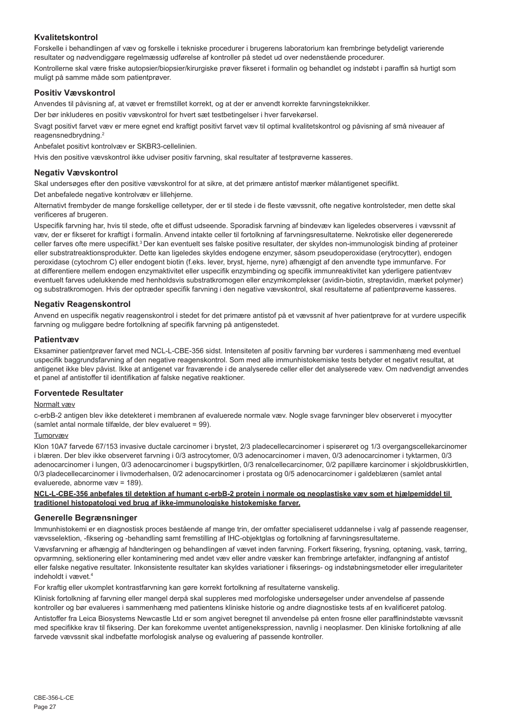## **Kvalitetskontrol**

Forskelle i behandlingen af væv og forskelle i tekniske procedurer i brugerens laboratorium kan frembringe betydeligt varierende resultater og nødvendiggøre regelmæssig udførelse af kontroller på stedet ud over nedenstående procedurer. Kontrollerne skal være friske autopsier/biopsier/kirurgiske prøver fikseret i formalin og behandlet og indstøbt i paraffin så hurtigt som muligt på samme måde som patientprøver.

## **Positiv Vævskontrol**

Anvendes til påvisning af, at vævet er fremstillet korrekt, og at der er anvendt korrekte farvningsteknikker.

Der bør inkluderes en positiv vævskontrol for hvert sæt testbetingelser i hver farvekørsel.

Svagt positivt farvet væv er mere egnet end kraftigt positivt farvet væv til optimal kvalitetskontrol og påvisning af små niveauer af reagensnedbrydning.<sup>2</sup>

Anbefalet positivt kontrolvæv er SKBR3-cellelinien.

Hvis den positive vævskontrol ikke udviser positiv farvning, skal resultater af testprøverne kasseres.

## **Negativ Vævskontrol**

Skal undersøges efter den positive vævskontrol for at sikre, at det primære antistof mærker målantigenet specifikt.

Det anbefalede negative kontrolvæv er lillehjerne.

Alternativt frembyder de mange forskellige celletyper, der er til stede i de fleste vævssnit, ofte negative kontrolsteder, men dette skal verificeres af brugeren.

Uspecifik farvning har, hvis til stede, ofte et diffust udseende. Sporadisk farvning af bindevæv kan ligeledes observeres i vævssnit af væv, der er fikseret for kraftigt i formalin. Anvend intakte celler til fortolkning af farvningsresultaterne. Nekrotiske eller degenererede celler farves ofte mere uspecifikt.<sup>3</sup>Der kan eventuelt ses falske positive resultater, der skyldes non-immunologisk binding af proteiner eller substratreaktionsprodukter. Dette kan ligeledes skyldes endogene enzymer, såsom pseudoperoxidase (erytrocytter), endogen peroxidase (cytochrom C) eller endogent biotin (f.eks. lever, bryst, hjerne, nyre) afhængigt af den anvendte type immunfarve. For at differentiere mellem endogen enzymaktivitet eller uspecifik enzymbinding og specifik immunreaktivitet kan yderligere patientvæv eventuelt farves udelukkende med henholdsvis substratkromogen eller enzymkomplekser (avidin-biotin, streptavidin, mærket polymer) og substratkromogen. Hvis der optræder specifik farvning i den negative vævskontrol, skal resultaterne af patientprøverne kasseres.

## **Negativ Reagenskontrol**

Anvend en uspecifik negativ reagenskontrol i stedet for det primære antistof på et vævssnit af hver patientprøve for at vurdere uspecifik farvning og muliggøre bedre fortolkning af specifik farvning på antigenstedet.

## **Patientvæv**

Eksaminer patientprøver farvet med NCL-L-CBE-356 sidst. Intensiteten af positiv farvning bør vurderes i sammenhæng med eventuel uspecifik baggrundsfarvning af den negative reagenskontrol. Som med alle immunhistokemiske tests betyder et negativt resultat, at antigenet ikke blev påvist. Ikke at antigenet var fraværende i de analyserede celler eller det analyserede væv. Om nødvendigt anvendes et panel af antistoffer til identifikation af falske negative reaktioner.

## **Forventede Resultater**

## Normalt væv

c-erbB-2 antigen blev ikke detekteret i membranen af evaluerede normale væv. Nogle svage farvninger blev observeret i myocytter (samlet antal normale tilfælde, der blev evalueret = 99).

## Tumorvæv

Klon 10A7 farvede 67/153 invasive ductale carcinomer i brystet, 2/3 pladecellecarcinomer i spiserøret og 1/3 overgangscellekarcinomer i blæren. Der blev ikke observeret farvning i 0/3 astrocytomer, 0/3 adenocarcinomer i maven, 0/3 adenocarcinomer i tyktarmen, 0/3 adenocarcinomer i lungen, 0/3 adenocarcinomer i bugspytkirtlen, 0/3 renalcellecarcinomer, 0/2 papillære karcinomer i skjoldbruskkirtlen, 0/3 pladecellecarcinomer i livmoderhalsen, 0/2 adenocarcinomer i prostata og 0/5 adenocarcinomer i galdeblæren (samlet antal evaluerede, abnorme væv = 189).

#### **NCL-L-CBE-356 anbefales til detektion af humant c-erbB-2 protein i normale og neoplastiske væv som et hjælpemiddel til traditionel histopatologi ved brug af ikke-immunologiske histokemiske farver.**

## **Generelle Begrænsninger**

Immunhistokemi er en diagnostisk proces bestående af mange trin, der omfatter specialiseret uddannelse i valg af passende reagenser, vævsselektion, -fiksering og -behandling samt fremstilling af IHC-objektglas og fortolkning af farvningsresultaterne.

Vævsfarvning er afhængig af håndteringen og behandlingen af vævet inden farvning. Forkert fiksering, frysning, optøning, vask, tørring, opvarmning, sektionering eller kontaminering med andet væv eller andre væsker kan frembringe artefakter, indfangning af antistof eller falske negative resultater. Inkonsistente resultater kan skyldes variationer i fikserings- og indstøbningsmetoder eller irregulariteter indeholdt i vævet.<sup>4</sup>

For kraftig eller ukomplet kontrastfarvning kan gøre korrekt fortolkning af resultaterne vanskelig.

Klinisk fortolkning af farvning eller mangel derpå skal suppleres med morfologiske undersøgelser under anvendelse af passende kontroller og bør evalueres i sammenhæng med patientens kliniske historie og andre diagnostiske tests af en kvalificeret patolog.

Antistoffer fra Leica Biosystems Newcastle Ltd er som angivet beregnet til anvendelse på enten frosne eller paraffinindstøbte vævssnit med specifikke krav til fiksering. Der kan forekomme uventet antigenekspression, navnlig i neoplasmer. Den kliniske fortolkning af alle farvede vævssnit skal indbefatte morfologisk analyse og evaluering af passende kontroller.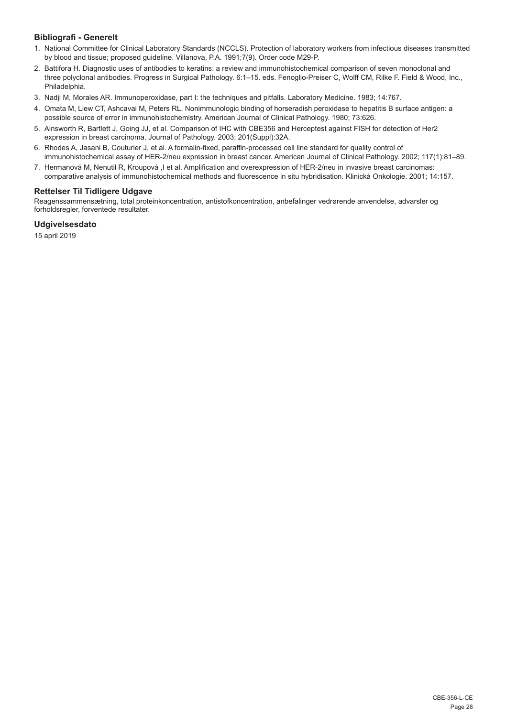## **Bibliografi - Generelt**

- 1. National Committee for Clinical Laboratory Standards (NCCLS). Protection of laboratory workers from infectious diseases transmitted by blood and tissue; proposed guideline. Villanova, P.A. 1991;7(9). Order code M29-P.
- 2. Battifora H. Diagnostic uses of antibodies to keratins: a review and immunohistochemical comparison of seven monoclonal and three polyclonal antibodies. Progress in Surgical Pathology. 6:1–15. eds. Fenoglio-Preiser C, Wolff CM, Rilke F. Field & Wood, Inc., Philadelphia.
- 3. Nadji M, Morales AR. Immunoperoxidase, part I: the techniques and pitfalls. Laboratory Medicine. 1983; 14:767.
- 4. Omata M, Liew CT, Ashcavai M, Peters RL. Nonimmunologic binding of horseradish peroxidase to hepatitis B surface antigen: a possible source of error in immunohistochemistry. American Journal of Clinical Pathology. 1980; 73:626.
- 5. Ainsworth R, Bartlett J, Going JJ, et al. Comparison of IHC with CBE356 and Herceptest against FISH for detection of Her2 expression in breast carcinoma. Journal of Pathology. 2003; 201(Suppl):32A.
- 6. Rhodes A, Jasani B, Couturier J, et al. A formalin-fixed, paraffin-processed cell line standard for quality control of immunohistochemical assay of HER-2/neu expression in breast cancer. American Journal of Clinical Pathology. 2002; 117(1):81–89.
- 7. Hermanová M, Nenutil R, Kroupová ,I et al. Amplification and overexpression of HER-2/neu in invasive breast carcinomas: comparative analysis of immunohistochemical methods and fluorescence in situ hybridisation. Klinická Onkologie. 2001; 14:157.

## **Rettelser Til Tidligere Udgave**

Reagenssammensætning, total proteinkoncentration, antistofkoncentration, anbefalinger vedrørende anvendelse, advarsler og forholdsregler, forventede resultater.

## **Udgivelsesdato**

15 april 2019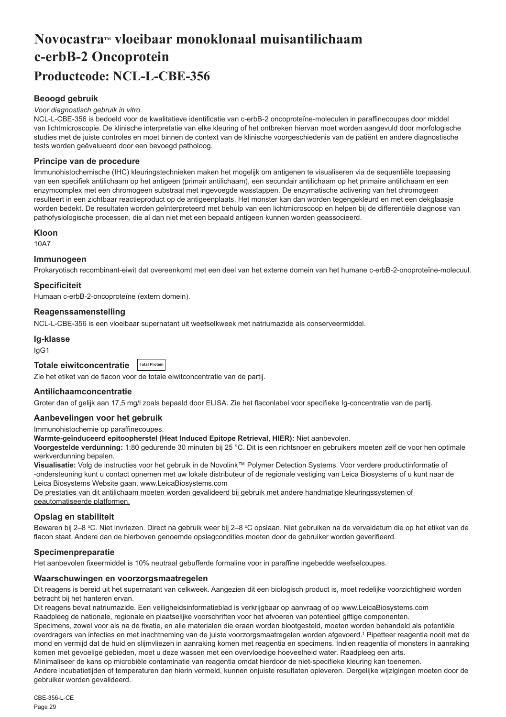## <span id="page-29-0"></span>**NovocastraTM vloeibaar monoklonaal muisantilichaam c-erbB-2 Oncoprotein Productcode: NCL-L-CBE-356**

## **Beoogd gebruik**

#### *Voor diagnostisch gebruik in vitro.*

NCL-L-CBE-356 is bedoeld voor de kwalitatieve identificatie van c-erbB-2 oncoproteïne-moleculen in paraffinecoupes door middel van lichtmicroscopie. De klinische interpretatie van elke kleuring of het ontbreken hiervan moet worden aangevuld door morfologische studies met de juiste controles en moet binnen de context van de klinische voorgeschiedenis van de patiënt en andere diagnostische tests worden geëvalueerd door een bevoegd patholoog.

#### **Principe van de procedure**

Immunohistochemische (IHC) kleuringstechnieken maken het mogelijk om antigenen te visualiseren via de sequentiële toepassing van een specifiek antilichaam op het antigeen (primair antilichaam), een secundair antilichaam op het primaire antilichaam en een enzymcomplex met een chromogeen substraat met ingevoegde wasstappen. De enzymatische activering van het chromogeen resulteert in een zichtbaar reactieproduct op de antigeenplaats. Het monster kan dan worden tegengekleurd en met een dekglaasje worden bedekt. De resultaten worden geïnterpreteerd met behulp van een lichtmicroscoop en helpen bij de differentiële diagnose van pathofysiologische processen, die al dan niet met een bepaald antigeen kunnen worden geassocieerd.

#### **Kloon**

10A7

## **Immunogeen**

Prokaryotisch recombinant-eiwit dat overeenkomt met een deel van het externe domein van het humane c-erbB-2-onoproteïne-molecuul.

#### **Specificiteit**

Humaan c-erbB-2-oncoproteïne (extern domein).

## **Reagenssamenstelling**

NCL-L-CBE-356 is een vloeibaar supernatant uit weefselkweek met natriumazide als conserveermiddel.

#### **Ig-klasse**

IgG1

| Totale eiwitconcentratie | <b>Total Protein</b> |
|--------------------------|----------------------|
|                          |                      |

Zie het etiket van de flacon voor de totale eiwitconcentratie van de partij.

#### **Antilichaamconcentratie**

Groter dan of gelijk aan 17,5 mg/l zoals bepaald door ELISA. Zie het flaconlabel voor specifieke Ig-concentratie van de partij.

#### **Aanbevelingen voor het gebruik**

### Immunohistochemie op paraffinecoupes.

**Warmte-geïnduceerd epitoopherstel (Heat Induced Epitope Retrieval, HIER):** Niet aanbevolen.

**Voorgestelde verdunning:** 1:80 gedurende 30 minuten bij 25 °C. Dit is een richtsnoer en gebruikers moeten zelf de voor hen optimale werkverdunning bepalen.

**Visualisatie:** Volg de instructies voor het gebruik in de Novolink™ Polymer Detection Systems. Voor verdere productinformatie of -ondersteuning kunt u contact opnemen met uw lokale distributeur of de regionale vestiging van Leica Biosystems of u kunt naar de Leica Biosystems Website gaan, www.LeicaBiosystems.com

De prestaties van dit antilichaam moeten worden gevalideerd bij gebruik met andere handmatige kleuringssystemen of geautomatiseerde platformen.

## **Opslag en stabiliteit**

Bewaren bij 2–8 °C. Niet invriezen. Direct na gebruik weer bij 2–8 °C opslaan. Niet gebruiken na de vervaldatum die op het etiket van de flacon staat. Andere dan de hierboven genoemde opslagcondities moeten door de gebruiker worden geverifieerd.

#### **Specimenpreparatie**

Het aanbevolen fixeermiddel is 10% neutraal gebufferde formaline voor in paraffine ingebedde weefselcoupes.

#### **Waarschuwingen en voorzorgsmaatregelen**

Dit reagens is bereid uit het supernatant van celkweek. Aangezien dit een biologisch product is, moet redelijke voorzichtigheid worden betracht bij het hanteren ervan.

Dit reagens bevat natriumazide. Een veiligheidsinformatieblad is verkrijgbaar op aanvraag of op www.LeicaBiosystems.com

Raadpleeg de nationale, regionale en plaatselijke voorschriften voor het afvoeren van potentieel giftige componenten.

Specimens, zowel voor als na de fixatie, en alle materialen die eraan worden blootgesteld, moeten worden behandeld als potentiële overdragers van infecties en met inachtneming van de juiste voorzorgsmaatregelen worden afgevoerd.1 Pipetteer reagentia nooit met de mond en vermijd dat de huid en slijmvliezen in aanraking komen met reagentia en specimens. Indien reagentia of monsters in aanraking komen met gevoelige gebieden, moet u deze wassen met een overvloedige hoeveelheid water. Raadpleeg een arts.

Minimaliseer de kans op microbiële contaminatie van reagentia omdat hierdoor de niet-specifieke kleuring kan toenemen.

Andere incubatietijden of temperaturen dan hierin vermeld, kunnen onjuiste resultaten opleveren. Dergelijke wijzigingen moeten door de gebruiker worden gevalideerd.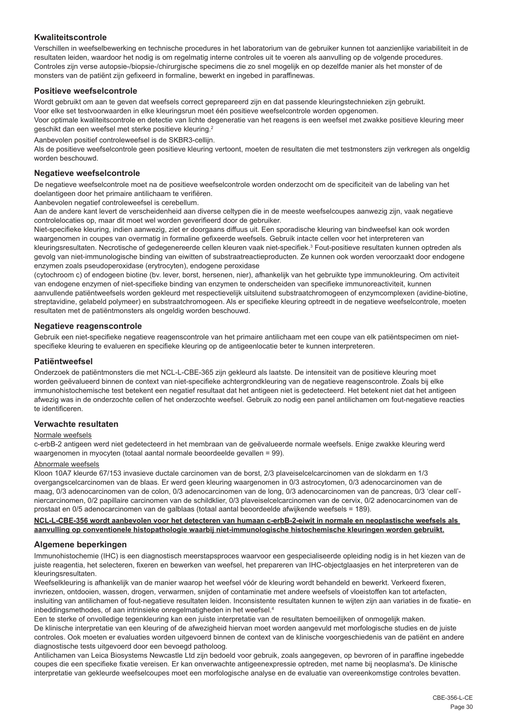## **Kwaliteitscontrole**

Verschillen in weefselbewerking en technische procedures in het laboratorium van de gebruiker kunnen tot aanzienlijke variabiliteit in de resultaten leiden, waardoor het nodig is om regelmatig interne controles uit te voeren als aanvulling op de volgende procedures. Controles zijn verse autopsie-/biopsie-/chirurgische specimens die zo snel mogelijk en op dezelfde manier als het monster of de monsters van de patiënt zijn gefixeerd in formaline, bewerkt en ingebed in paraffinewas.

#### **Positieve weefselcontrole**

Wordt gebruikt om aan te geven dat weefsels correct geprepareerd zijn en dat passende kleuringstechnieken zijn gebruikt. Voor elke set testvoorwaarden in elke kleuringsrun moet één positieve weefselcontrole worden opgenomen. Voor optimale kwaliteitscontrole en detectie van lichte degeneratie van het reagens is een weefsel met zwakke positieve kleuring meer geschikt dan een weefsel met sterke positieve kleuring.<sup>2</sup>

Aanbevolen positief controleweefsel is de SKBR3-cellijn.

Als de positieve weefselcontrole geen positieve kleuring vertoont, moeten de resultaten die met testmonsters zijn verkregen als ongeldig worden beschouwd.

#### **Negatieve weefselcontrole**

De negatieve weefselcontrole moet na de positieve weefselcontrole worden onderzocht om de specificiteit van de labeling van het doelantigeen door het primaire antilichaam te verifiëren.

Aanbevolen negatief controleweefsel is cerebellum.

Aan de andere kant levert de verscheidenheid aan diverse celtypen die in de meeste weefselcoupes aanwezig zijn, vaak negatieve controlelocaties op, maar dit moet wel worden geverifieerd door de gebruiker.

Niet-specifieke kleuring, indien aanwezig, ziet er doorgaans diffuus uit. Een sporadische kleuring van bindweefsel kan ook worden waargenomen in coupes van overmatig in formaline gefixeerde weefsels. Gebruik intacte cellen voor het interpreteren van kleuringsresultaten. Necrotische of gedegenereerde cellen kleuren vaak niet-specifiek.<sup>3</sup> Fout-positieve resultaten kunnen optreden als gevolg van niet-immunologische binding van eiwitten of substraatreactieproducten. Ze kunnen ook worden veroorzaakt door endogene enzymen zoals pseudoperoxidase (erytrocyten), endogene peroxidase

(cytochroom c) of endogeen biotine (bv. lever, borst, hersenen, nier), afhankelijk van het gebruikte type immunokleuring. Om activiteit van endogene enzymen of niet-specifieke binding van enzymen te onderscheiden van specifieke immunoreactiviteit, kunnen aanvullende patiëntweefsels worden gekleurd met respectievelijk uitsluitend substraatchromogeen of enzymcomplexen (avidine-biotine, streptavidine, gelabeld polymeer) en substraatchromogeen. Als er specifieke kleuring optreedt in de negatieve weefselcontrole, moeten resultaten met de patiëntmonsters als ongeldig worden beschouwd.

#### **Negatieve reagenscontrole**

Gebruik een niet-specifieke negatieve reagenscontrole van het primaire antilichaam met een coupe van elk patiëntspecimen om nietspecifieke kleuring te evalueren en specifieke kleuring op de antigeenlocatie beter te kunnen interpreteren.

#### **Patiëntweefsel**

Onderzoek de patiëntmonsters die met NCL-L-CBE-365 zijn gekleurd als laatste. De intensiteit van de positieve kleuring moet worden geëvalueerd binnen de context van niet-specifieke achtergrondkleuring van de negatieve reagenscontrole. Zoals bij elke immunohistochemische test betekent een negatief resultaat dat het antigeen niet is gedetecteerd. Het betekent niet dat het antigeen afwezig was in de onderzochte cellen of het onderzochte weefsel. Gebruik zo nodig een panel antilichamen om fout-negatieve reacties te identificeren.

#### **Verwachte resultaten**

#### Normale weefsels

c-erbB-2 antigeen werd niet gedetecteerd in het membraan van de geëvalueerde normale weefsels. Enige zwakke kleuring werd waargenomen in myocyten (totaal aantal normale beoordeelde gevallen = 99).

#### Abnormale weefsels

Kloon 10A7 kleurde 67/153 invasieve ductale carcinomen van de borst, 2/3 plaveiselcelcarcinomen van de slokdarm en 1/3 overgangscelcarcinomen van de blaas. Er werd geen kleuring waargenomen in 0/3 astrocytomen, 0/3 adenocarcinomen van de maag, 0/3 adenocarcinomen van de colon, 0/3 adenocarcinomen van de long, 0/3 adenocarcinomen van de pancreas, 0/3 'clear cell' niercarcinomen, 0/2 papillaire carcinomen van de schildklier, 0/3 plaveiselcelcarcinomen van de cervix, 0/2 adenocarcinomen van de prostaat en 0/5 adenocarcinomen van de galblaas (totaal aantal beoordeelde afwijkende weefsels = 189).

**NCL-L-CBE-356 wordt aanbevolen voor het detecteren van humaan c-erbB-2-eiwit in normale en neoplastische weefsels als aanvulling op conventionele histopathologie waarbij niet-immunologische histochemische kleuringen worden gebruikt.**

#### **Algemene beperkingen**

Immunohistochemie (IHC) is een diagnostisch meerstapsproces waarvoor een gespecialiseerde opleiding nodig is in het kiezen van de juiste reagentia, het selecteren, fixeren en bewerken van weefsel, het prepareren van IHC-objectglaasjes en het interpreteren van de kleuringsresultaten.

Weefselkleuring is afhankelijk van de manier waarop het weefsel vóór de kleuring wordt behandeld en bewerkt. Verkeerd fixeren, invriezen, ontdooien, wassen, drogen, verwarmen, snijden of contaminatie met andere weefsels of vloeistoffen kan tot artefacten, insluiting van antilichamen of fout-negatieve resultaten leiden. Inconsistente resultaten kunnen te wijten zijn aan variaties in de fixatie- en inbeddingsmethodes, of aan intrinsieke onregelmatigheden in het weefsel.<sup>4</sup>

Een te sterke of onvolledige tegenkleuring kan een juiste interpretatie van de resultaten bemoeilijken of onmogelijk maken. De klinische interpretatie van een kleuring of de afwezigheid hiervan moet worden aangevuld met morfologische studies en de juiste controles. Ook moeten er evaluaties worden uitgevoerd binnen de context van de klinische voorgeschiedenis van de patiënt en andere diagnostische tests uitgevoerd door een bevoegd patholoog.

Antilichamen van Leica Biosystems Newcastle Ltd zijn bedoeld voor gebruik, zoals aangegeven, op bevroren of in paraffine ingebedde coupes die een specifieke fixatie vereisen. Er kan onverwachte antigeenexpressie optreden, met name bij neoplasma's. De klinische interpretatie van gekleurde weefselcoupes moet een morfologische analyse en de evaluatie van overeenkomstige controles bevatten.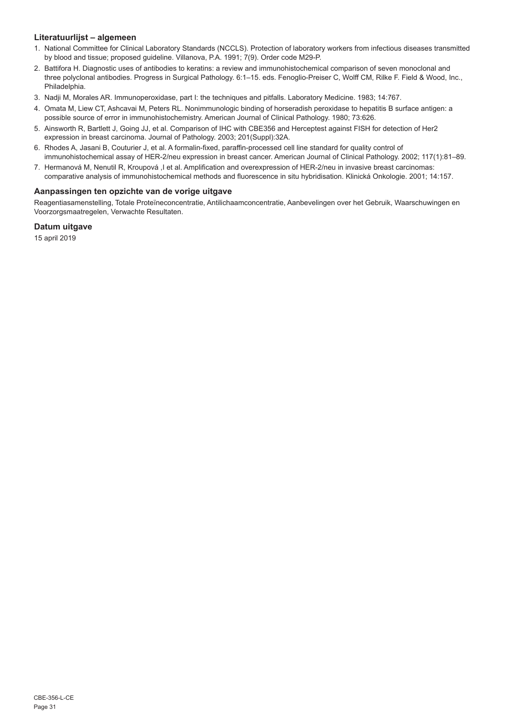## **Literatuurlijst – algemeen**

- 1. National Committee for Clinical Laboratory Standards (NCCLS). Protection of laboratory workers from infectious diseases transmitted by blood and tissue; proposed guideline. Villanova, P.A. 1991; 7(9). Order code M29-P.
- 2. Battifora H. Diagnostic uses of antibodies to keratins: a review and immunohistochemical comparison of seven monoclonal and three polyclonal antibodies. Progress in Surgical Pathology. 6:1–15. eds. Fenoglio-Preiser C, Wolff CM, Rilke F. Field & Wood, Inc., Philadelphia.
- 3. Nadji M, Morales AR. Immunoperoxidase, part I: the techniques and pitfalls. Laboratory Medicine. 1983; 14:767.
- 4. Omata M, Liew CT, Ashcavai M, Peters RL. Nonimmunologic binding of horseradish peroxidase to hepatitis B surface antigen: a possible source of error in immunohistochemistry. American Journal of Clinical Pathology. 1980; 73:626.
- 5. Ainsworth R, Bartlett J, Going JJ, et al. Comparison of IHC with CBE356 and Herceptest against FISH for detection of Her2 expression in breast carcinoma. Journal of Pathology. 2003; 201(Suppl):32A.
- 6. Rhodes A, Jasani B, Couturier J, et al. A formalin-fixed, paraffin-processed cell line standard for quality control of immunohistochemical assay of HER-2/neu expression in breast cancer. American Journal of Clinical Pathology. 2002; 117(1):81–89.
- 7. Hermanová M, Nenutil R, Kroupová ,I et al. Amplification and overexpression of HER-2/neu in invasive breast carcinomas: comparative analysis of immunohistochemical methods and fluorescence in situ hybridisation. Klinická Onkologie. 2001; 14:157.

## **Aanpassingen ten opzichte van de vorige uitgave**

Reagentiasamenstelling, Totale Proteïneconcentratie, Antilichaamconcentratie, Aanbevelingen over het Gebruik, Waarschuwingen en Voorzorgsmaatregelen, Verwachte Resultaten.

## **Datum uitgave**

15 april 2019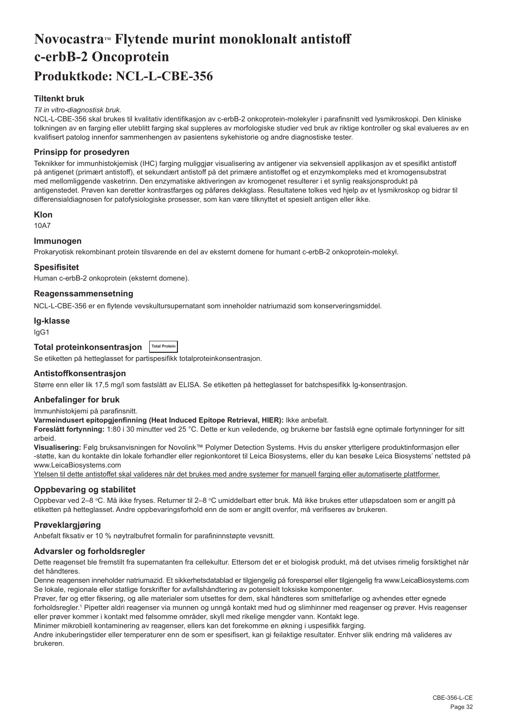## <span id="page-32-0"></span>**NovocastraTM Flytende murint monoklonalt antistoff c-erbB-2 Oncoprotein Produktkode: NCL-L-CBE-356**

## **Tiltenkt bruk**

#### *Til in vitro-diagnostisk bruk.*

NCL-L-CBE-356 skal brukes til kvalitativ identifikasjon av c-erbB-2 onkoprotein-molekyler i parafinsnitt ved lysmikroskopi. Den kliniske tolkningen av en farging eller uteblitt farging skal suppleres av morfologiske studier ved bruk av riktige kontroller og skal evalueres av en kvalifisert patolog innenfor sammenhengen av pasientens sykehistorie og andre diagnostiske tester.

### **Prinsipp for prosedyren**

Teknikker for immunhistokjemisk (IHC) farging muliggjør visualisering av antigener via sekvensiell applikasjon av et spesifikt antistoff på antigenet (primært antistoff), et sekundært antistoff på det primære antistoffet og et enzymkompleks med et kromogensubstrat med mellomliggende vasketrinn. Den enzymatiske aktiveringen av kromogenet resulterer i et synlig reaksjonsprodukt på antigenstedet. Prøven kan deretter kontrastfarges og påføres dekkglass. Resultatene tolkes ved hjelp av et lysmikroskop og bidrar til differensialdiagnosen for patofysiologiske prosesser, som kan være tilknyttet et spesielt antigen eller ikke.

#### **Klon**

10A7

## **Immunogen**

Prokaryotisk rekombinant protein tilsvarende en del av eksternt domene for humant c-erbB-2 onkoprotein-molekyl.

#### **Spesifisitet**

Human c-erbB-2 onkoprotein (eksternt domene).

#### **Reagenssammensetning**

NCL-L-CBE-356 er en flytende vevskultursupernatant som inneholder natriumazid som konserveringsmiddel.

#### **Ig-klasse**

IgG1

## **Total proteinkonsentrasjon Total Protein**

Se etiketten på hetteglasset for partispesifikk totalproteinkonsentrasjon.

#### **Antistoffkonsentrasjon**

Større enn eller lik 17,5 mg/l som fastslått av ELISA. Se etiketten på hetteglasset for batchspesifikk Ig-konsentrasjon.

#### **Anbefalinger for bruk**

Immunhistokjemi på parafinsnitt.

**Varmeindusert epitopgjenfinning (Heat Induced Epitope Retrieval, HIER):** Ikke anbefalt.

**Foreslått fortynning:** 1:80 i 30 minutter ved 25 °C. Dette er kun veiledende, og brukerne bør fastslå egne optimale fortynninger for sitt arbeid.

**Visualisering:** Følg bruksanvisningen for Novolink™ Polymer Detection Systems. Hvis du ønsker ytterligere produktinformasjon eller -støtte, kan du kontakte din lokale forhandler eller regionkontoret til Leica Biosystems, eller du kan besøke Leica Biosystems' nettsted på www.LeicaBiosystems.com

Ytelsen til dette antistoffet skal valideres når det brukes med andre systemer for manuell farging eller automatiserte plattformer.

#### **Oppbevaring og stabilitet**

Oppbevar ved 2–8 °C. Må ikke fryses. Returner til 2–8 °C umiddelbart etter bruk. Må ikke brukes etter utløpsdatoen som er angitt på etiketten på hetteglasset. Andre oppbevaringsforhold enn de som er angitt ovenfor, må verifiseres av brukeren.

#### **Prøveklargjøring**

Anbefalt fiksativ er 10 % nøytralbufret formalin for parafininnstøpte vevsnitt.

#### **Advarsler og forholdsregler**

Dette reagenset ble fremstilt fra supernatanten fra cellekultur. Ettersom det er et biologisk produkt, må det utvises rimelig forsiktighet når det håndteres.

Denne reagensen inneholder natriumazid. Et sikkerhetsdatablad er tilgjengelig på forespørsel eller tilgjengelig fra www.LeicaBiosystems.com Se lokale, regionale eller statlige forskrifter for avfallshåndtering av potensielt toksiske komponenter.

Prøver, før og etter fiksering, og alle materialer som utsettes for dem, skal håndteres som smittefarlige og avhendes etter egnede forholdsregler.<sup>1</sup> Pipetter aldri reagenser via munnen og unngå kontakt med hud og slimhinner med reagenser og prøver. Hvis reagenser eller prøver kommer i kontakt med følsomme områder, skyll med rikelige mengder vann. Kontakt lege.

Minimer mikrobiell kontaminering av reagenser, ellers kan det forekomme en økning i uspesifikk farging.

Andre inkuberingstider eller temperaturer enn de som er spesifisert, kan gi feilaktige resultater. Enhver slik endring må valideres av brukeren.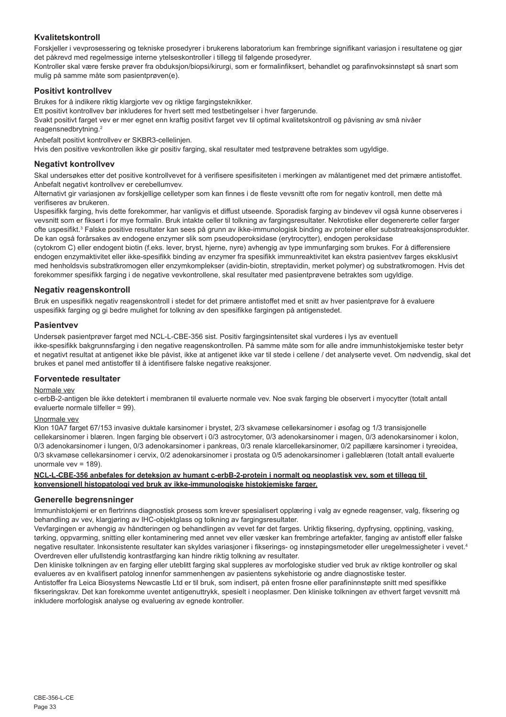## **Kvalitetskontroll**

Forskjeller i vevprosessering og tekniske prosedyrer i brukerens laboratorium kan frembringe signifikant variasjon i resultatene og gjør det påkrevd med regelmessige interne ytelseskontroller i tillegg til følgende prosedyrer.

Kontroller skal være ferske prøver fra obduksjon/biopsi/kirurgi, som er formalinfiksert, behandlet og parafinvoksinnstøpt så snart som mulig på samme måte som pasientprøven(e).

## **Positivt kontrollvev**

Brukes for å indikere riktig klargjorte vev og riktige fargingsteknikker.

Ett positivt kontrollvev bør inkluderes for hvert sett med testbetingelser i hver fargerunde.

Svakt positivt farget vev er mer egnet enn kraftig positivt farget vev til optimal kvalitetskontroll og påvisning av små nivåer reagensnedbrytning.<sup>2</sup>

Anbefalt positivt kontrollvev er SKBR3-cellelinjen.

Hvis den positive vevkontrollen ikke gir positiv farging, skal resultater med testprøvene betraktes som ugyldige.

#### **Negativt kontrollvev**

Skal undersøkes etter det positive kontrollvevet for å verifisere spesifisiteten i merkingen av målantigenet med det primære antistoffet. Anbefalt negativt kontrollvev er cerebellumvev.

Alternativt gir variasjonen av forskjellige celletyper som kan finnes i de fleste vevsnitt ofte rom for negativ kontroll, men dette må verifiseres av brukeren.

Uspesifikk farging, hvis dette forekommer, har vanligvis et diffust utseende. Sporadisk farging av bindevev vil også kunne observeres i vevsnitt som er fiksert i for mye formalin. Bruk intakte celler til tolkning av fargingsresultater. Nekrotiske eller degenererte celler farger ofte uspesifikt.<sup>3</sup> Falske positive resultater kan sees på grunn av ikke-immunologisk binding av proteiner eller substratreaksjonsprodukter. De kan også forårsakes av endogene enzymer slik som pseudoperoksidase (erytrocytter), endogen peroksidase

(cytokrom C) eller endogent biotin (f.eks. lever, bryst, hjerne, nyre) avhengig av type immunfarging som brukes. For å differensiere endogen enzymaktivitet eller ikke-spesifikk binding av enzymer fra spesifikk immunreaktivitet kan ekstra pasientvev farges eksklusivt med henholdsvis substratkromogen eller enzymkomplekser (avidin-biotin, streptavidin, merket polymer) og substratkromogen. Hvis det forekommer spesifikk farging i de negative vevkontrollene, skal resultater med pasientprøvene betraktes som ugyldige.

## **Negativ reagenskontroll**

Bruk en uspesifikk negativ reagenskontroll i stedet for det primære antistoffet med et snitt av hver pasientprøve for å evaluere uspesifikk farging og gi bedre mulighet for tolkning av den spesifikke fargingen på antigenstedet.

#### **Pasientvev**

Undersøk pasientprøver farget med NCL-L-CBE-356 sist. Positiv fargingsintensitet skal vurderes i lys av eventuell ikke-spesifikk bakgrunnsfarging i den negative reagenskontrollen. På samme måte som for alle andre immunhistokjemiske tester betyr et negativt resultat at antigenet ikke ble påvist, ikke at antigenet ikke var til stede i cellene / det analyserte vevet. Om nødvendig, skal det brukes et panel med antistoffer til å identifisere falske negative reaksjoner.

## **Forventede resultater**

#### Normale vev

c-erbB-2-antigen ble ikke detektert i membranen til evaluerte normale vev. Noe svak farging ble observert i myocytter (totalt antall evaluerte normale tilfeller = 99).

#### Unormale vev

Klon 10A7 farget 67/153 invasive duktale karsinomer i brystet, 2/3 skvamøse cellekarsinomer i øsofag og 1/3 transisjonelle cellekarsinomer i blæren. Ingen farging ble observert i 0/3 astrocytomer, 0/3 adenokarsinomer i magen, 0/3 adenokarsinomer i kolon, 0/3 adenokarsinomer i lungen, 0/3 adenokarsinomer i pankreas, 0/3 renale klarcellekarsinomer, 0/2 papillære karsinomer i tyreoidea, 0/3 skvamøse cellekarsinomer i cervix, 0/2 adenokarsinomer i prostata og 0/5 adenokarsinomer i galleblæren (totalt antall evaluerte unormale vev = 189).

#### **NCL-L-CBE-356 anbefales for deteksjon av humant c-erbB-2-protein i normalt og neoplastisk vev, som et tillegg til konvensjonell histopatologi ved bruk av ikke-immunologiske histokjemiske farger.**

#### **Generelle begrensninger**

Immunhistokjemi er en flertrinns diagnostisk prosess som krever spesialisert opplæring i valg av egnede reagenser, valg, fiksering og behandling av vev, klargjøring av IHC-objektglass og tolkning av fargingsresultater.

Vevfargingen er avhengig av håndteringen og behandlingen av vevet før det farges. Uriktig fiksering, dypfrysing, opptining, vasking, tørking, oppvarming, snitting eller kontaminering med annet vev eller væsker kan frembringe artefakter, fanging av antistoff eller falske negative resultater. Inkonsistente resultater kan skyldes variasjoner i fikserings- og innstøpingsmetoder eller uregelmessigheter i vevet.<sup>4</sup> Overdreven eller ufullstendig kontrastfarging kan hindre riktig tolkning av resultater.

Den kliniske tolkningen av en farging eller uteblitt farging skal suppleres av morfologiske studier ved bruk av riktige kontroller og skal evalueres av en kvalifisert patolog innenfor sammenhengen av pasientens sykehistorie og andre diagnostiske tester. Antistoffer fra Leica Biosystems Newcastle Ltd er til bruk, som indisert, på enten frosne eller parafininnstøpte snitt med spesifikke

fikseringskrav. Det kan forekomme uventet antigenuttrykk, spesielt i neoplasmer. Den kliniske tolkningen av ethvert farget vevsnitt må inkludere morfologisk analyse og evaluering av egnede kontroller.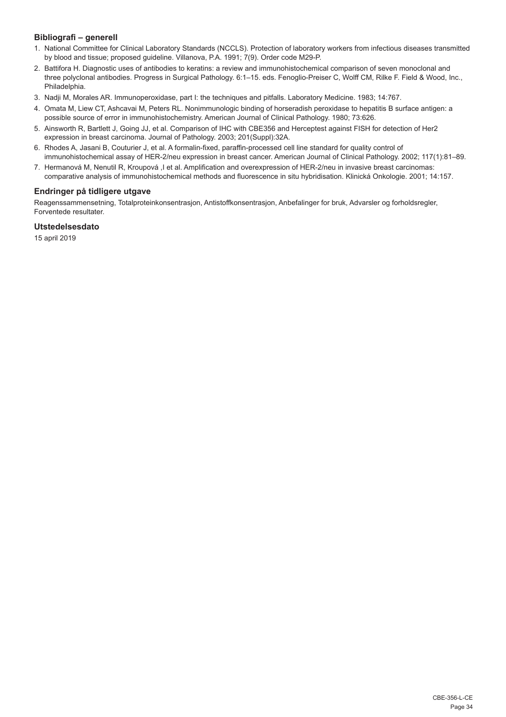## **Bibliografi – generell**

- 1. National Committee for Clinical Laboratory Standards (NCCLS). Protection of laboratory workers from infectious diseases transmitted by blood and tissue; proposed guideline. Villanova, P.A. 1991; 7(9). Order code M29-P.
- 2. Battifora H. Diagnostic uses of antibodies to keratins: a review and immunohistochemical comparison of seven monoclonal and three polyclonal antibodies. Progress in Surgical Pathology. 6:1–15. eds. Fenoglio-Preiser C, Wolff CM, Rilke F. Field & Wood, Inc., Philadelphia.
- 3. Nadji M, Morales AR. Immunoperoxidase, part I: the techniques and pitfalls. Laboratory Medicine. 1983; 14:767.
- 4. Omata M, Liew CT, Ashcavai M, Peters RL. Nonimmunologic binding of horseradish peroxidase to hepatitis B surface antigen: a possible source of error in immunohistochemistry. American Journal of Clinical Pathology. 1980; 73:626.
- 5. Ainsworth R, Bartlett J, Going JJ, et al. Comparison of IHC with CBE356 and Herceptest against FISH for detection of Her2 expression in breast carcinoma. Journal of Pathology. 2003; 201(Suppl):32A.
- 6. Rhodes A, Jasani B, Couturier J, et al. A formalin-fixed, paraffin-processed cell line standard for quality control of immunohistochemical assay of HER-2/neu expression in breast cancer. American Journal of Clinical Pathology. 2002; 117(1):81–89.
- 7. Hermanová M, Nenutil R, Kroupová ,I et al. Amplification and overexpression of HER-2/neu in invasive breast carcinomas: comparative analysis of immunohistochemical methods and fluorescence in situ hybridisation. Klinická Onkologie. 2001; 14:157.

## **Endringer på tidligere utgave**

Reagenssammensetning, Totalproteinkonsentrasjon, Antistoffkonsentrasjon, Anbefalinger for bruk, Advarsler og forholdsregler, Forventede resultater.

## **Utstedelsesdato**

15 april 2019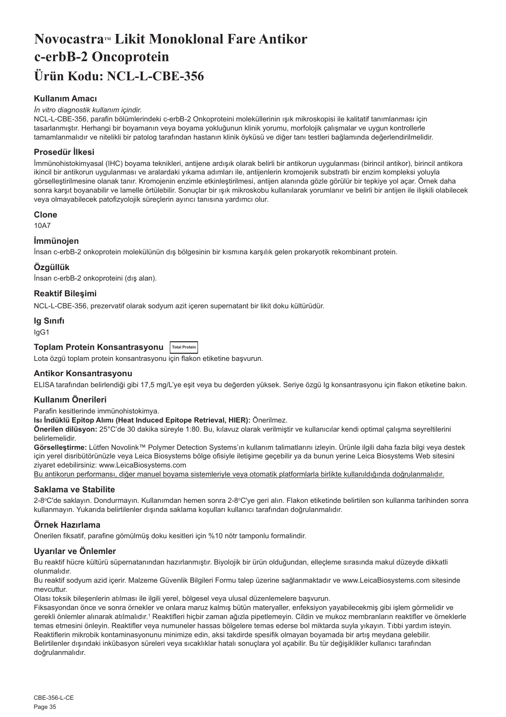## <span id="page-35-0"></span>**Novocastra™ Likit Monoklonal Fare Antikor c-erbB-2 Oncoprotein Ürün Kodu: NCL-L-CBE-356**

## **Kullanım Amacı**

#### *İn vitro diagnostik kullanım içindir.*

NCL-L-CBE-356, parafin bölümlerindeki c-erbB-2 Onkoproteini moleküllerinin ışık mikroskopisi ile kalitatif tanımlanması için tasarlanmıştır. Herhangi bir boyamanın veya boyama yokluğunun klinik yorumu, morfolojik çalışmalar ve uygun kontrollerle tamamlanmalıdır ve nitelikli bir patolog tarafından hastanın klinik öyküsü ve diğer tanı testleri bağlamında değerlendirilmelidir.

## **Prosedür İlkesi**

İmmünohistokimyasal (IHC) boyama teknikleri, antijene ardışık olarak belirli bir antikorun uygulanması (birincil antikor), birincil antikora ikincil bir antikorun uygulanması ve aralardaki yıkama adımları ile, antijenlerin kromojenik substratlı bir enzim kompleksi yoluyla görselleştirilmesine olanak tanır. Kromojenin enzimle etkinleştirilmesi, antijen alanında gözle görülür bir tepkiye yol açar. Örnek daha sonra karşıt boyanabilir ve lamelle örtülebilir. Sonuçlar bir ışık mikroskobu kullanılarak yorumlanır ve belirli bir antijen ile ilişkili olabilecek veya olmayabilecek patofizyolojik süreçlerin ayırıcı tanısına yardımcı olur.

#### **Clone**

10A7

## **İmmünojen**

İnsan c-erbB-2 onkoprotein molekülünün dış bölgesinin bir kısmına karşılık gelen prokaryotik rekombinant protein.

#### **Özgüllük**

İnsan c-erbB-2 onkoproteini (dış alan).

#### **Reaktif Bileşimi**

NCL-L-CBE-356, prezervatif olarak sodyum azit içeren supernatant bir likit doku kültürüdür.

#### **Ig Sınıfı**

IgG1

## **Toplam Protein Konsantrasyonu Total Protein**

Lota özgü toplam protein konsantrasyonu için flakon etiketine başvurun.

#### **Antikor Konsantrasyonu**

ELISA tarafından belirlendiği gibi 17,5 mg/L'ye eşit veya bu değerden yüksek. Seriye özgü Ig konsantrasyonu için flakon etiketine bakın.

## **Kullanım Önerileri**

Parafin kesitlerinde immünohistokimya.

## **Isı İndüklü Epitop Alımı (Heat Induced Epitope Retrieval, HIER):** Önerilmez.

**Önerilen dilüsyon:** 25°C'de 30 dakika süreyle 1:80. Bu, kılavuz olarak verilmiştir ve kullanıcılar kendi optimal çalışma seyreltilerini belirlemelidir.

**Görselleştirme:** Lütfen Novolink™ Polymer Detection Systems'ın kullanım talimatlarını izleyin. Ürünle ilgili daha fazla bilgi veya destek için yerel disribütörünüzle veya Leica Biosystems bölge ofisiyle iletişime geçebilir ya da bunun yerine Leica Biosystems Web sitesini ziyaret edebilirsiniz: www.LeicaBiosystems.com

Bu antikorun performansı, diğer manuel boyama sistemleriyle veya otomatik platformlarla birlikte kullanıldığında doğrulanmalıdır.

#### **Saklama ve Stabilite**

2-8°C'de saklayın. Dondurmayın. Kullanımdan hemen sonra 2-8°C'ye geri alın. Flakon etiketinde belirtilen son kullanma tarihinden sonra kullanmayın. Yukarıda belirtilenler dışında saklama koşulları kullanıcı tarafından doğrulanmalıdır.

## **Örnek Hazırlama**

Önerilen fiksatif, parafine gömülmüş doku kesitleri için %10 nötr tamponlu formalindir.

#### **Uyarılar ve Önlemler**

Bu reaktif hücre kültürü süpernatanından hazırlanmıştır. Biyolojik bir ürün olduğundan, elleçleme sırasında makul düzeyde dikkatli olunmalıdır.

Bu reaktif sodyum azid içerir. Malzeme Güvenlik Bilgileri Formu talep üzerine sağlanmaktadır ve www.LeicaBiosystems.com sitesinde mevcuttur.

Olası toksik bileşenlerin atılması ile ilgili yerel, bölgesel veya ulusal düzenlemelere başvurun.

Fiksasyondan önce ve sonra örnekler ve onlara maruz kalmış bütün materyaller, enfeksiyon yayabilecekmiş gibi işlem görmelidir ve gerekli önlemler alınarak atılmalıdır.1 Reaktifleri hiçbir zaman ağızla pipetlemeyin. Cildin ve mukoz membranların reaktifler ve örneklerle temas etmesini önleyin. Reaktifler veya numuneler hassas bölgelere temas ederse bol miktarda suyla yıkayın. Tıbbi yardım isteyin. Reaktiflerin mikrobik kontaminasyonunu minimize edin, aksi takdirde spesifik olmayan boyamada bir artış meydana gelebilir. Belirtilenler dışındaki inkübasyon süreleri veya sıcaklıklar hatalı sonuçlara yol açabilir. Bu tür değişiklikler kullanıcı tarafından doğrulanmalıdır.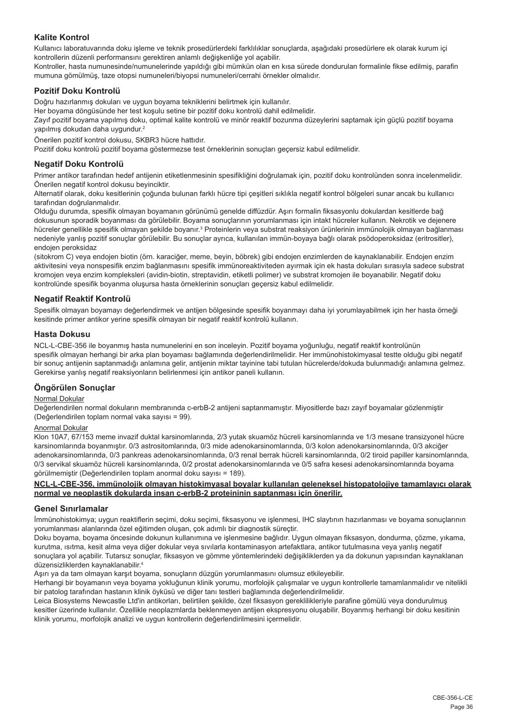## **Kalite Kontrol**

Kullanıcı laboratuvarında doku işleme ve teknik prosedürlerdeki farklılıklar sonuçlarda, aşağıdaki prosedürlere ek olarak kurum içi kontrollerin düzenli performansını gerektiren anlamlı değişkenliğe yol açabilir.

Kontroller, hasta numunesinde/numunelerinde yapıldığı gibi mümkün olan en kısa sürede dondurulan formalinle fikse edilmiş, parafin mumuna gömülmüş, taze otopsi numuneleri/biyopsi numuneleri/cerrahi örnekler olmalıdır.

## **Pozitif Doku Kontrolü**

Doğru hazırlanmış dokuları ve uygun boyama tekniklerini belirtmek için kullanılır.

Her boyama döngüsünde her test koşulu setine bir pozitif doku kontrolü dahil edilmelidir.

Zayıf pozitif boyama yapılmış doku, optimal kalite kontrolü ve minör reaktif bozunma düzeylerini saptamak için güçlü pozitif boyama yapılmış dokudan daha uygundur.<sup>2</sup>

Önerilen pozitif kontrol dokusu, SKBR3 hücre hattıdır.

Pozitif doku kontrolü pozitif boyama göstermezse test örneklerinin sonuçları geçersiz kabul edilmelidir.

### **Negatif Doku Kontrolü**

Primer antikor tarafından hedef antijenin etiketlenmesinin spesifikliğini doğrulamak için, pozitif doku kontrolünden sonra incelenmelidir. Önerilen negatif kontrol dokusu beyinciktir.

Alternatif olarak, doku kesitlerinin çoğunda bulunan farklı hücre tipi çeşitleri sıklıkla negatif kontrol bölgeleri sunar ancak bu kullanıcı tarafından doğrulanmalıdır.

Olduğu durumda, spesifik olmayan boyamanın görünümü genelde diffüzdür. Aşırı formalin fiksasyonlu dokulardan kesitlerde bağ dokusunun sporadik boyanması da görülebilir. Boyama sonuçlarının yorumlanması için intakt hücreler kullanın. Nekrotik ve dejenere hücreler genellikle spesifik olmayan şekilde boyanır.<sup>3</sup> Proteinlerin veya substrat reaksiyon ürünlerinin immünolojik olmayan bağlanması nedeniyle yanlış pozitif sonuçlar görülebilir. Bu sonuçlar ayrıca, kullanılan immün-boyaya bağlı olarak psödoperoksidaz (eritrositler), endojen peroksidaz

(sitokrom C) veya endojen biotin (örn. karaciğer, meme, beyin, böbrek) gibi endojen enzimlerden de kaynaklanabilir. Endojen enzim aktivitesini veya nonspesifik enzim bağlanmasını spesifik immünoreaktiviteden ayırmak için ek hasta dokuları sırasıyla sadece substrat kromojen veya enzim kompleksleri (avidin-biotin, streptavidin, etiketli polimer) ve substrat kromojen ile boyanabilir. Negatif doku kontrolünde spesifik boyanma oluşursa hasta örneklerinin sonuçları geçersiz kabul edilmelidir.

## **Negatif Reaktif Kontrolü**

Spesifik olmayan boyamayı değerlendirmek ve antijen bölgesinde spesifik boyanmayı daha iyi yorumlayabilmek için her hasta örneği kesitinde primer antikor yerine spesifik olmayan bir negatif reaktif kontrolü kullanın.

## **Hasta Dokusu**

NCL-L-CBE-356 ile boyanmış hasta numunelerini en son inceleyin. Pozitif boyama yoğunluğu, negatif reaktif kontrolünün spesifik olmayan herhangi bir arka plan boyaması bağlamında değerlendirilmelidir. Her immünohistokimyasal testte olduğu gibi negatif bir sonuç antijenin saptanmadığı anlamına gelir, antijenin miktar tayinine tabi tutulan hücrelerde/dokuda bulunmadığı anlamına gelmez. Gerekirse yanlış negatif reaksiyonların belirlenmesi için antikor paneli kullanın.

## **Öngörülen Sonuçlar**

#### Normal Dokular

Değerlendirilen normal dokuların membranında c-erbB-2 antijeni saptanmamıştır. Miyositlerde bazı zayıf boyamalar gözlenmiştir (Değerlendirilen toplam normal vaka sayısı = 99).

## Anormal Dokular

Klon 10A7, 67/153 meme invazif duktal karsinomlarında, 2/3 yutak skuamöz hücreli karsinomlarında ve 1/3 mesane transizyonel hücre karsinomlarında boyanmıştır. 0/3 astrositomlarında, 0/3 mide adenokarsinomlarında, 0/3 kolon adenokarsinomlarında, 0/3 akciğer adenokarsinomlarında, 0/3 pankreas adenokarsinomlarında, 0/3 renal berrak hücreli karsinomlarında, 0/2 tiroid papiller karsinomlarında, 0/3 servikal skuamöz hücreli karsinomlarında, 0/2 prostat adenokarsinomlarında ve 0/5 safra kesesi adenokarsinomlarında boyama görülmemiştir (Değerlendirilen toplam anormal doku sayısı = 189).

## **NCL-L-CBE-356, immünolojik olmayan histokimyasal boyalar kullanılan geleneksel histopatolojiye tamamlayıcı olarak normal ve neoplastik dokularda insan c-erbB-2 proteininin saptanması için önerilir.**

## **Genel Sınırlamalar**

İmmünohistokimya; uygun reaktiflerin seçimi, doku seçimi, fiksasyonu ve işlenmesi, IHC slaytının hazırlanması ve boyama sonuçlarının yorumlanması alanlarında özel eğitimden oluşan, çok adımlı bir diagnostik süreçtir.

Doku boyama, boyama öncesinde dokunun kullanımına ve işlenmesine bağlıdır. Uygun olmayan fiksasyon, dondurma, çözme, yıkama, kurutma, ısıtma, kesit alma veya diğer dokular veya sıvılarla kontaminasyon artefaktlara, antikor tutulmasına veya yanlış negatif sonuçlara yol açabilir. Tutarsız sonuçlar, fiksasyon ve gömme yöntemlerindeki değişikliklerden ya da dokunun yapısından kaynaklanan düzensizliklerden kaynaklanabilir.<sup>4</sup>

Aşırı ya da tam olmayan karşıt boyama, sonuçların düzgün yorumlanmasını olumsuz etkileyebilir.

Herhangi bir boyamanın veya boyama yokluğunun klinik yorumu, morfolojik çalışmalar ve uygun kontrollerle tamamlanmalıdır ve nitelikli bir patolog tarafından hastanın klinik öyküsü ve diğer tanı testleri bağlamında değerlendirilmelidir.

Leica Biosystems Newcastle Ltd'in antikorları, belirtilen şekilde, özel fiksasyon gereklilikleriyle parafine gömülü veya dondurulmuş kesitler üzerinde kullanılır. Özellikle neoplazmlarda beklenmeyen antijen ekspresyonu oluşabilir. Boyanmış herhangi bir doku kesitinin klinik yorumu, morfolojik analizi ve uygun kontrollerin değerlendirilmesini içermelidir.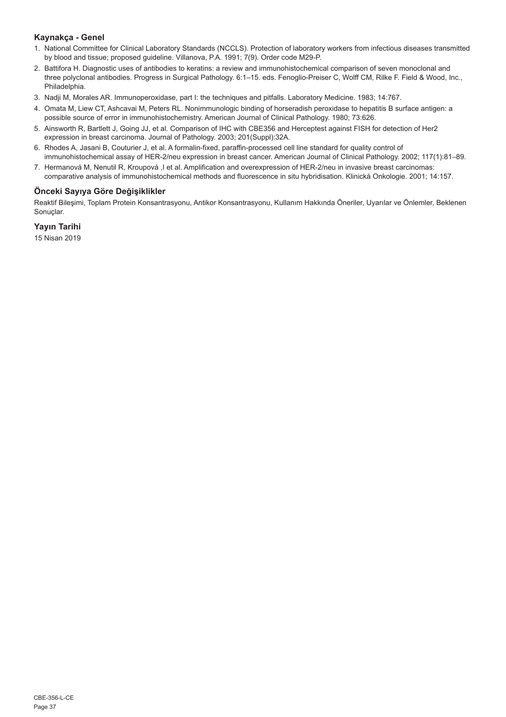## **Kaynakça - Genel**

- 1. National Committee for Clinical Laboratory Standards (NCCLS). Protection of laboratory workers from infectious diseases transmitted by blood and tissue; proposed guideline. Villanova, P.A. 1991; 7(9). Order code M29-P.
- 2. Battifora H. Diagnostic uses of antibodies to keratins: a review and immunohistochemical comparison of seven monoclonal and three polyclonal antibodies. Progress in Surgical Pathology. 6:1–15. eds. Fenoglio-Preiser C, Wolff CM, Rilke F. Field & Wood, Inc., Philadelphia.
- 3. Nadji M, Morales AR. Immunoperoxidase, part I: the techniques and pitfalls. Laboratory Medicine. 1983; 14:767.
- 4. Omata M, Liew CT, Ashcavai M, Peters RL. Nonimmunologic binding of horseradish peroxidase to hepatitis B surface antigen: a possible source of error in immunohistochemistry. American Journal of Clinical Pathology. 1980; 73:626.
- 5. Ainsworth R, Bartlett J, Going JJ, et al. Comparison of IHC with CBE356 and Herceptest against FISH for detection of Her2 expression in breast carcinoma. Journal of Pathology. 2003; 201(Suppl):32A.
- 6. Rhodes A, Jasani B, Couturier J, et al. A formalin-fixed, paraffin-processed cell line standard for quality control of immunohistochemical assay of HER-2/neu expression in breast cancer. American Journal of Clinical Pathology. 2002; 117(1):81–89.
- 7. Hermanová M, Nenutil R, Kroupová ,I et al. Amplification and overexpression of HER-2/neu in invasive breast carcinomas: comparative analysis of immunohistochemical methods and fluorescence in situ hybridisation. Klinická Onkologie. 2001; 14:157.

## **Önceki Sayıya Göre Değişiklikler**

Reaktif Bileşimi, Toplam Protein Konsantrasyonu, Antikor Konsantrasyonu, Kullanım Hakkında Öneriler, Uyarılar ve Önlemler, Beklenen Sonuclar.

## **Yayın Tarihi**

15 Nisan 2019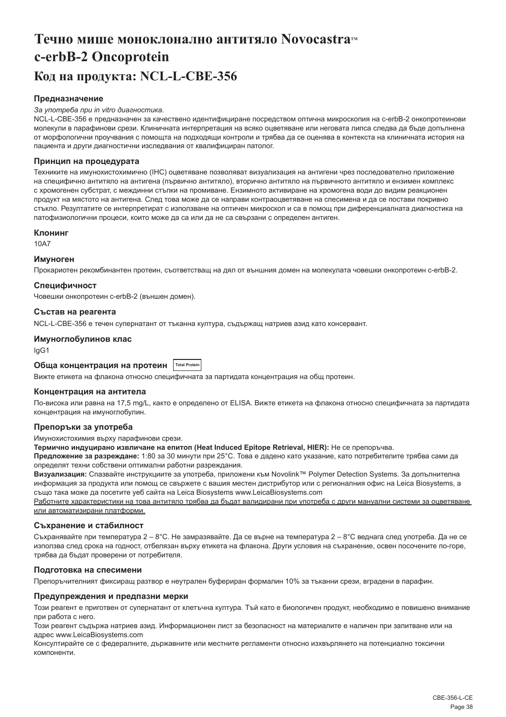## <span id="page-38-0"></span>**Течно мише моноклонално антитяло Novocastra™ c-erbB-2 Oncoprotein Код на продукта: NCL-L-CBE-356**

### **Предназначение**

#### *За употреба при in vitro диагностика.*

NCL-L-CBE-356 е предназначен за качествено идентифициране посредством оптична микроскопия на c-erbB-2 онкопротеинови молекули в парафинови срези. Клиничната интерпретация на всяко оцветяване или неговата липса следва да бъде допълнена от морфологични проучвания с помощта на подходящи контроли и трябва да се оценява в контекста на клиничната история на пациента и други диагностични изследвания от квалифициран патолог.

#### **Принцип на процедурата**

Техниките на имунохистохимично (IHC) оцветяване позволяват визуализация на антигени чрез последователно приложение на специфично антитяло на антигена (първично антитяло), вторично антитяло на първичното антитяло и ензимен комплекс с хромогенен субстрат, с междинни стъпки на промиване. Ензимното активиране на хромогена води до видим реакционен продукт на мястото на антигена. След това може да се направи контраоцветяване на спесимена и да се постави покривно стъкло. Резултатите се интерпретират с използване на оптичен микроскоп и са в помощ при диференциалната диагностика на патофизиологични процеси, които може да са или да не са свързани с определен антиген.

#### **Клонинг**

10A7

#### **Имуноген**

Прокариотен рекомбинантен протеин, съответстващ на дял от външния домен на молекулата човешки онкопротеин c-erbB-2.

#### **Специфичност**

Човешки онкопротеин c-erbB-2 (външен домен).

### **Състав на реагента**

NCL-L-CBE-356 е течен супернатант от тъканна култура, съдържащ натриев азид като консервант.

#### **Имуноглобулинов клас**

IgG1

## **Обща концентрация на протеин Total Protein**

Вижте етикета на флакона относно специфичната за партидата концентрация на общ протеин.

#### **Концентрация на антитела**

По-висока или равна на 17,5 mg/L, както е определено от ELISA. Вижте етикета на флакона относно специфичната за партидата концентрация на имуноглобулин.

## **Препоръки за употреба**

Имунохистохимия върху парафинови срези.

**Термично индуцирано извличане на епитоп (Heat Induced Epitope Retrieval, HIER):** Не се препоръчва.

**Предложение за разреждане:** 1:80 за 30 минути при 25°C. Това е дадено като указание, като потребителите трябва сами да определят техни собствени оптимални работни разреждания.

**Визуализация:** Спазвайте инструкциите за употреба, приложени към Novolink™ Polymer Detection Systems. За допълнителна информация за продукта или помощ се свържете с вашия местен дистрибутор или с регионалния офис на Leica Biosystems, а също така може да посетите уеб сайта на Leica Biosystems www.LeicaBiosystems.com

Работните характеристики на това антитяло трябва да бъдат валидирани при употреба с други мануални системи за оцветяване или автоматизирани платформи.

#### **Съхранение и стабилност**

Съхранявайте при температура 2 – 8°C. Не замразявайте. Да се върне на температура 2 – 8°C веднага след употреба. Да не се използва след срока на годност, отбелязан върху етикета на флакона. Други условия на съхранение, освен посочените по-горе, трябва да бъдат проверени от потребителя.

#### **Подготовка на спесимени**

Препоръчителният фиксиращ разтвор е неутрален буфериран формалин 10% за тъканни срези, вградени в парафин.

#### **Предупреждения и предпазни мерки**

Този реагент е приготвен от супернатант от клетъчна култура. Тъй като е биологичен продукт, необходимо е повишено внимание при работа с него.

Този реагент съдържа натриев азид. Информационен лист за безопасност на материалите е наличен при запитване или на адрес www.LeicaBiosystems.com

Консултирайте се с федералните, държавните или местните регламенти относно изхвърлянето на потенциално токсични компоненти.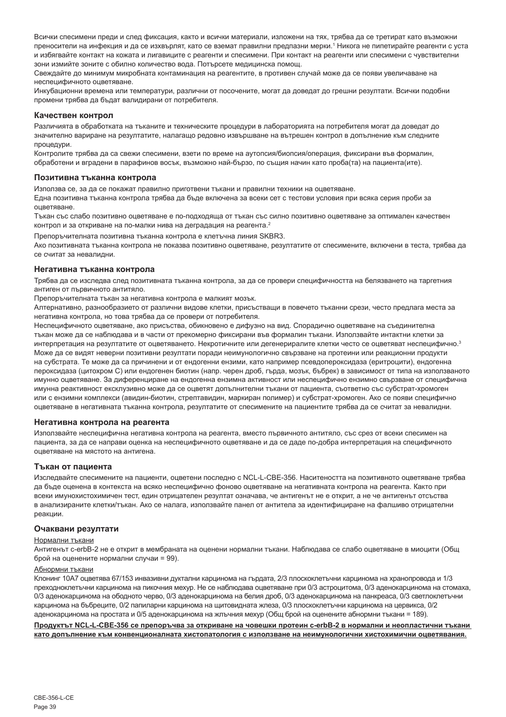Всички спесимени преди и след фиксация, както и всички материали, изложени на тях, трябва да се третират като възможни преносители на инфекция и да се изхвърлят, като се вземат правилни предпазни мерки.' Никога не пипетирайте реагенти с уста и избягвайте контакт на кожата и лигавиците с реагенти и спесимени. При контакт на реагенти или спесимени с чувствителни зони измийте зоните с обилно количество вода. Потърсете медицинска помощ.

Свеждайте до минимум микробната контаминация на реагентите, в противен случай може да се появи увеличаване на неспецифичното оцветяване.

Инкубационни времена или температури, различни от посочените, могат да доведат до грешни резултати. Всички подобни промени трябва да бъдат валидирани от потребителя.

#### **Качествен контрол**

Различията в обработката на тъканите и техническите процедури в лабораторията на потребителя могат да доведат до значително вариране на резултатите, налагащо редовно извършване на вътрешен контрол в допълнение към следните процедури.

Контролите трябва да са свежи спесимени, взети по време на аутопсия/биопсия/операция, фиксирани във формалин, обработени и вградени в парафинов восък, възможно най-бързо, по същия начин като проба(та) на пациента(ите).

#### **Позитивна тъканна контрола**

Използва се, за да се покажат правилно приготвени тъкани и правилни техники на оцветяване.

Една позитивна тъканна контрола трябва да бъде включена за всеки сет с тестови условия при всяка серия проби за оцветяване.

Тъкан със слабо позитивно оцветяване е по-подходяща от тъкан със силно позитивно оцветяване за оптимален качествен контрол и за откриване на по-малки нива на деградация на реагента.<sup>2</sup>

Препоръчителната позитивна тъканна контрола е клетъчна линия SKBR3.

Ако позитивната тъканна контрола не показва позитивно оцветяване, резултатите от спесимените, включени в теста, трябва да се считат за невалидни.

#### **Негативна тъканна контрола**

Трябва да се изследва след позитивната тъканна контрола, за да се провери специфичността на белязването на таргетния антиген от първичното антитяло.

Препоръчителната тъкан за негативна контрола е малкият мозък.

Алтернативно, разнообразието от различни видове клетки, присъстващи в повечето тъканни срези, често предлага места за негативна контрола, но това трябва да се провери от потребителя.

Неспецифичното оцветяване, ако присъства, обикновено е дифузно на вид. Спорадично оцветяване на съединителна тъкан може да се наблюдава и в части от прекомерно фиксирани във формалин тъкани. Използвайте интактни клетки за интерпретация на резултатите от оцветяването. Некротичните или дегенериралите клетки често се оцветяват неспецифично.<sup>3</sup> Може да се видят неверни позитивни резултати поради неимунологично свързване на протеини или реакционни продукти на субстрата. Те може да са причинени и от ендогенни ензими, като например псевдопероксидаза (еритроцити), ендогенна пероксидаза (цитохром C) или ендогенен биотин (напр. черен дроб, гърда, мозък, бъбрек) в зависимост от типа на използваното имунно оцветяване. За диференциране на ендогенна ензимна активност или неспецифично ензимно свързване от специфична имунна реактивност ексклузивно може да се оцветят допълнителни тъкани от пациента, съответно със субстрат-хромоген или с ензимни комплекси (авидин-биотин, стрептавидин, маркиран полимер) и субстрат-хромоген. Ако се появи специфично оцветяване в негативната тъканна контрола, резултатите от спесимените на пациентите трябва да се считат за невалидни.

#### **Негативна контрола на реагента**

Използвайте неспецифична негативна контрола на реагента, вместо първичното антитяло, със срез от всеки спесимен на пациента, за да се направи оценка на неспецифичното оцветяване и да се даде по-добра интерпретация на специфичното оцветяване на мястото на антигена.

#### **Тъкан от пациента**

Изследвайте спесимените на пациенти, оцветени последно с NCL-L-CBE-356. Наситеността на позитивното оцветяване трябва да бъде оценена в контекста на всяко неспецифично фоново оцветяване на негативната контрола на реагента. Както при всеки имунохистохимичен тест, един отрицателен резултат означава, че антигенът не е открит, а не че антигенът отсъства в анализираните клетки/тъкан. Ако се налага, използвайте панел от антитела за идентифициране на фалшиво отрицателни реакции.

#### **Очаквани резултати**

#### Нормални тъкани

Антигенът c-erbB-2 не е открит в мембраната на оценени нормални тъкани. Наблюдава се слабо оцветяване в миоцити (Общ брой на оценените нормални случаи = 99).

## Абнормни тъкани

Клонинг 10A7 оцветява 67/153 инвазивни дуктални карцинома на гърдата, 2/3 плоскоклетъчни карцинома на хранопровода и 1/3 преходноклетъчни карцинома на пикочния мехур. Не се наблюдава оцветяване при 0/3 астроцитома, 0/3 аденокарцинома на стомаха, 0/3 аденокарцинома на ободното черво, 0/3 аденокарцинома на белия дроб, 0/3 аденокарцинома на панкреаса, 0/3 светлоклетъчни карцинома на бъбреците, 0/2 папиларни карцинома на щитовидната жлеза, 0/3 плоскоклетъчни карцинома на цервикса, 0/2 аденокарцинома на простата и 0/5 аденокарцинома на жлъчния мехур (Общ брой на оценените абнормни тъкани = 189).

**Продуктът NCL-L-CBE-356 се препоръчва за откриване на човешки протеин c-erbB-2 в нормални и неопластични тъкани като допълнение към конвенционалната хистопатология с използване на неимунологични хистохимични оцветявания.**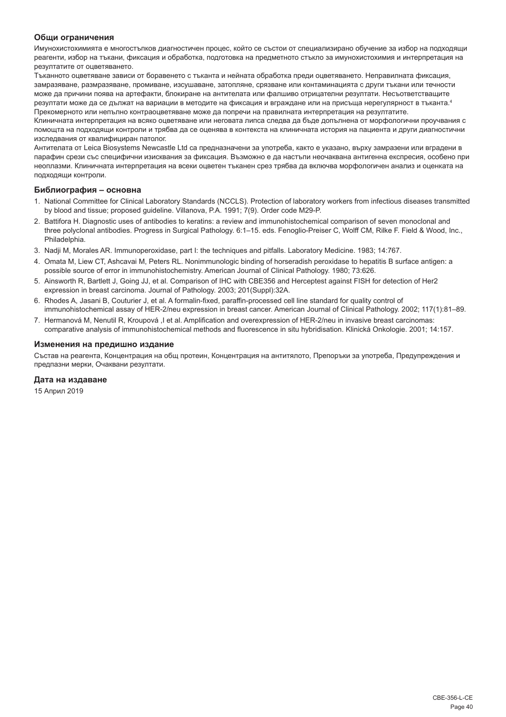## **Общи ограничения**

Имунохистохимията е многостъпков диагностичен процес, който се състои от специализирано обучение за избор на подходящи реагенти, избор на тъкани, фиксация и обработка, подготовка на предметното стъкло за имунохистохимия и интерпретация на резултатите от оцветяването.

Тъканното оцветяване зависи от боравенето с тъканта и нейната обработка преди оцветяването. Неправилната фиксация, замразяване, размразяване, промиване, изсушаване, затопляне, срязване или контаминацията с други тъкани или течности може да причини поява на артефакти, блокиране на антителата или фалшиво отрицателни резултати. Несъответстващите резултати може да се дължат на вариации в методите на фиксация и вграждане или на присъща нерегулярност в тъканта.<sup>4</sup> Прекомерното или непълно контраоцветяване може да попречи на правилната интерпретация на резултатите.

Клиничната интерпретация на всяко оцветяване или неговата липса следва да бъде допълнена от морфологични проучвания с помощта на подходящи контроли и трябва да се оценява в контекста на клиничната история на пациента и други диагностични изследвания от квалифициран патолог.

Антителата от Leica Biosystems Newcastle Ltd са предназначени за употреба, както е указано, върху замразени или вградени в парафин срези със специфични изисквания за фиксация. Възможно е да настъпи неочаквана антигенна експресия, особено при неоплазми. Клиничната интерпретация на всеки оцветен тъканен срез трябва да включва морфологичен анализ и оценката на подходящи контроли.

## **Библиография – основна**

- 1. National Committee for Clinical Laboratory Standards (NCCLS). Protection of laboratory workers from infectious diseases transmitted by blood and tissue; proposed guideline. Villanova, P.A. 1991; 7(9). Order code M29-P.
- 2. Battifora H. Diagnostic uses of antibodies to keratins: a review and immunohistochemical comparison of seven monoclonal and three polyclonal antibodies. Progress in Surgical Pathology. 6:1–15. eds. Fenoglio-Preiser C, Wolff CM, Rilke F. Field & Wood, Inc., Philadelphia.
- 3. Nadji M, Morales AR. Immunoperoxidase, part I: the techniques and pitfalls. Laboratory Medicine. 1983; 14:767.
- 4. Omata M, Liew CT, Ashcavai M, Peters RL. Nonimmunologic binding of horseradish peroxidase to hepatitis B surface antigen: a possible source of error in immunohistochemistry. American Journal of Clinical Pathology. 1980; 73:626.
- 5. Ainsworth R, Bartlett J, Going JJ, et al. Comparison of IHC with CBE356 and Herceptest against FISH for detection of Her2 expression in breast carcinoma. Journal of Pathology. 2003; 201(Suppl):32A.
- 6. Rhodes A, Jasani B, Couturier J, et al. A formalin-fixed, paraffin-processed cell line standard for quality control of immunohistochemical assay of HER-2/neu expression in breast cancer. American Journal of Clinical Pathology. 2002; 117(1):81–89.
- 7. Hermanová M, Nenutil R, Kroupová ,I et al. Amplification and overexpression of HER-2/neu in invasive breast carcinomas: comparative analysis of immunohistochemical methods and fluorescence in situ hybridisation. Klinická Onkologie. 2001; 14:157.

#### **Изменения на предишно издание**

Състав на реагента, Концентрация на общ протеин, Концентрация на антитялото, Препоръки за употреба, Предупреждения и предпазни мерки, Очаквани резултати.

#### **Дата на издаване**

15 Април 2019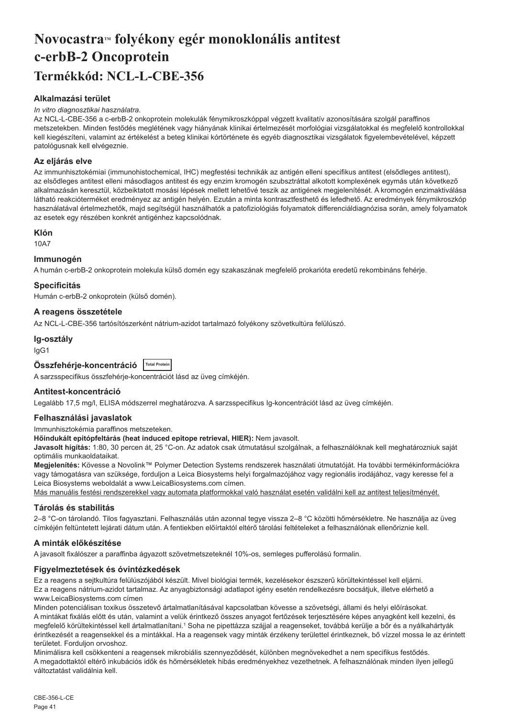## <span id="page-41-0"></span>Novocastra™ folyékony egér monoklonális antitest **c-erbB-2 Oncoprotein Termékkód: NCL-L-CBE-356**

## **Alkalmazási terület**

#### *In vitro diagnosztikai használatra.*

Az NCL-L-CBE-356 a c-erbB-2 onkoprotein molekulák fénymikroszkóppal végzett kvalitatív azonosítására szolgál paraffinos metszetekben. Minden festődés meglétének vagy hiányának klinikai értelmezését morfológiai vizsgálatokkal és megfelelő kontrollokkal kell kiegészíteni, valamint az értékelést a beteg klinikai kórtörténete és egyéb diagnosztikai vizsgálatok figyelembevételével, képzett patológusnak kell elvégeznie.

## **Az eljárás elve**

Az immunhisztokémiai (immunohistochemical, IHC) megfestési technikák az antigén elleni specifikus antitest (elsődleges antitest), az elsődleges antitest elleni másodlagos antitest és egy enzim kromogén szubsztráttal alkotott komplexének egymás után következő alkalmazásán keresztül, közbeiktatott mosási lépések mellett lehetővé teszik az antigének megjelenítését. A kromogén enzimaktiválása látható reakcióterméket eredményez az antigén helyén. Ezután a minta kontrasztfesthető és lefedhető. Az eredmények fénymikroszkóp használatával értelmezhetők, majd segítségül használhatók a patofiziológiás folyamatok differenciáldiagnózisa során, amely folyamatok az esetek egy részében konkrét antigénhez kapcsolódnak.

#### **Klón**

10A7

### **Immunogén**

A humán c-erbB-2 onkoprotein molekula külső domén egy szakaszának megfelelő prokarióta eredetű rekombináns fehérje.

#### **Specificitás**

Humán c-erbB-2 onkoprotein (külső domén).

## **A reagens összetétele**

Az NCL-L-CBE-356 tartósítószerként nátrium-azidot tartalmazó folyékony szövetkultúra felülúszó.

#### **Ig-osztály**

IgG1

| Összfehérje-koncentráció   Total Protein |  |
|------------------------------------------|--|
|------------------------------------------|--|

A sarzsspecifikus összfehérje-koncentrációt lásd az üveg címkéjén.

## **Antitest-koncentráció**

Legalább 17,5 mg/l, ELISA módszerrel meghatározva. A sarzsspecifikus Ig-koncentrációt lásd az üveg címkéjén.

#### **Felhasználási javaslatok**

Immunhisztokémia paraffinos metszeteken.

**Hőindukált epitópfeltárás (heat induced epitope retrieval, HIER):** Nem javasolt.

**Javasolt hígítás:** 1:80, 30 percen át, 25 °C-on. Az adatok csak útmutatásul szolgálnak, a felhasználóknak kell meghatározniuk saját optimális munkaoldataikat.

**Megjelenítés:** Kövesse a Novolink™ Polymer Detection Systems rendszerek használati útmutatóját. Ha további termékinformációkra vagy támogatásra van szüksége, forduljon a Leica Biosystems helyi forgalmazójához vagy regionális irodájához, vagy keresse fel a Leica Biosystems weboldalát a www.LeicaBiosystems.com címen.

Más manuális festési rendszerekkel vagy automata platformokkal való használat esetén validálni kell az antitest teljesítményét.

## **Tárolás és stabilitás**

2–8 °C-on tárolandó. Tilos fagyasztani. Felhasználás után azonnal tegye vissza 2–8 °C közötti hőmérsékletre. Ne használja az üveg címkéjén feltüntetett lejárati dátum után. A fentiekben előírtaktól eltérő tárolási feltételeket a felhasználónak ellenőriznie kell.

## **A minták előkészítése**

A javasolt fixálószer a paraffinba ágyazott szövetmetszeteknél 10%-os, semleges pufferolású formalin.

## **Figyelmeztetések és óvintézkedések**

Ez a reagens a sejtkultúra felülúszójából készült. Mivel biológiai termék, kezelésekor észszerű körültekintéssel kell eljárni. Ez a reagens nátrium-azidot tartalmaz. Az anyagbiztonsági adatlapot igény esetén rendelkezésre bocsátjuk, illetve elérhető a www.LeicaBiosystems.com címen

Minden potenciálisan toxikus összetevő ártalmatlanításával kapcsolatban kövesse a szövetségi, állami és helyi előírásokat. A mintákat fixálás előtt és után, valamint a velük érintkező összes anyagot fertőzések terjesztésére képes anyagként kell kezelni, és megfelelő körültekintéssel kell ártalmatlanítani.1 Soha ne pipettázza szájjal a reagenseket, továbbá kerülje a bőr és a nyálkahártyák érintkezését a reagensekkel és a mintákkal. Ha a reagensek vagy minták érzékeny területtel érintkeznek, bő vízzel mossa le az érintett területet. Forduljon orvoshoz.

Minimálisra kell csökkenteni a reagensek mikrobiális szennyeződését, különben megnövekedhet a nem specifikus festődés. A megadottaktól eltérő inkubációs idők és hőmérsékletek hibás eredményekhez vezethetnek. A felhasználónak minden ilyen jellegű változtatást validálnia kell.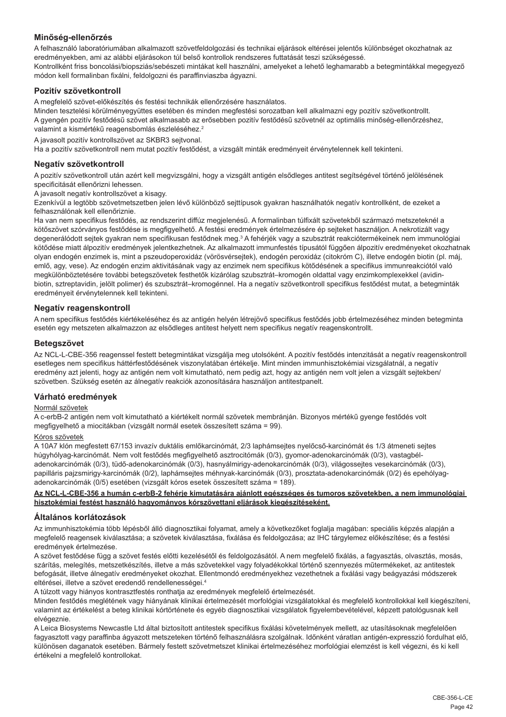## **Minőség-ellenőrzés**

A felhasználó laboratóriumában alkalmazott szövetfeldolgozási és technikai eljárások eltérései jelentős különbséget okozhatnak az eredményekben, ami az alábbi eljárásokon túl belső kontrollok rendszeres futtatását teszi szükségessé. Kontrollként friss boncolási/biopsziás/sebészeti mintákat kell használni, amelyeket a lehető leghamarabb a betegmintákkal megegyező módon kell formalinban fixálni, feldolgozni és paraffinviaszba ágyazni.

## **Pozitív szövetkontroll**

A megfelelő szövet-előkészítés és festési technikák ellenőrzésére használatos.

Minden tesztelési körülményegyüttes esetében és minden megfestési sorozatban kell alkalmazni egy pozitív szövetkontrollt. A gyengén pozitív festődésű szövet alkalmasabb az erősebben pozitív festődésű szövetnél az optimális minőség-ellenőrzéshez, valamint a kismértékű reagensbomlás észleléséhez.<sup>2</sup>

A javasolt pozitív kontrollszövet az SKBR3 sejtvonal.

Ha a pozitív szövetkontroll nem mutat pozitív festődést, a vizsgált minták eredményeit érvénytelennek kell tekinteni.

## **Negatív szövetkontroll**

A pozitív szövetkontroll után azért kell megvizsgálni, hogy a vizsgált antigén elsődleges antitest segítségével történő jelölésének specificitását ellenőrizni lehessen.

A javasolt negatív kontrollszövet a kisagy.

Ezenkívül a legtöbb szövetmetszetben jelen lévő különböző sejttípusok gyakran használhatók negatív kontrollként, de ezeket a felhasználónak kell ellenőriznie.

Ha van nem specifikus festődés, az rendszerint diffúz megjelenésű. A formalinban túlfixált szövetekből származó metszeteknél a kötőszövet szórványos festődése is megfigyelhető. A festési eredmények értelmezésére ép sejteket használjon. A nekrotizált vagy degenerálódott sejtek gyakran nem specifikusan festődnek meg.<sup>3</sup> A fehérjék vagy a szubsztrát reakciótermékeinek nem immunológiai kötődése miatt álpozitív eredmények jelentkezhetnek. Az alkalmazott immunfestés típusától függően álpozitív eredményeket okozhatnak olyan endogén enzimek is, mint a pszeudoperoxidáz (vörösvérsejtek), endogén peroxidáz (citokróm C), illetve endogén biotin (pl. máj, emlő, agy, vese). Az endogén enzim aktivitásának vagy az enzimek nem specifikus kötődésének a specifikus immunreakciótól való megkülönböztetésére további betegszövetek festhetők kizárólag szubsztrát–kromogén oldattal vagy enzimkomplexekkel (avidinbiotin, sztreptavidin, jelölt polimer) és szubsztrát–kromogénnel. Ha a negatív szövetkontroll specifikus festődést mutat, a betegminták eredményeit érvénytelennek kell tekinteni.

## **Negatív reagenskontroll**

A nem specifikus festődés kiértékeléséhez és az antigén helyén létrejövő specifikus festődés jobb értelmezéséhez minden betegminta esetén egy metszeten alkalmazzon az elsődleges antitest helyett nem specifikus negatív reagenskontrollt.

## **Betegszövet**

Az NCL-L-CBE-356 reagenssel festett betegmintákat vizsgálja meg utolsóként. A pozitív festődés intenzitását a negatív reagenskontroll esetleges nem specifikus háttérfestődésének viszonylatában értékelje. Mint minden immunhisztokémiai vizsgálatnál, a negatív eredmény azt jelenti, hogy az antigén nem volt kimutatható, nem pedig azt, hogy az antigén nem volt jelen a vizsgált sejtekben/ szövetben. Szükség esetén az álnegatív reakciók azonosítására használjon antitestpanelt.

## **Várható eredmények**

## Normál szövetek

A c-erbB-2 antigén nem volt kimutatható a kiértékelt normál szövetek membránján. Bizonyos mértékű gyenge festődés volt megfigyelhető a miocitákban (vizsgált normál esetek összesített száma = 99).

## Kóros szövetek

A 10A7 klón megfestett 67/153 invazív duktális emlőkarcinómát, 2/3 laphámsejtes nyelőcső-karcinómát és 1/3 átmeneti sejtes húgyhólyag-karcinómát. Nem volt festődés megfigyelhető asztrocitómák (0/3), gyomor-adenokarcinómák (0/3), vastagbéladenokarcinómák (0/3), tüdő-adenokarcinómák (0/3), hasnyálmirigy-adenokarcinómák (0/3), világossejtes vesekarcinómák (0/3), papilláris pajzsmirigy-karcinómák (0/2), laphámsejtes méhnyak-karcinómák (0/3), prosztata-adenokarcinómák (0/2) és epehólyagadenokarcinómák (0/5) esetében (vizsgált kóros esetek összesített száma = 189).

**Az NCL-L-CBE-356 a humán c-erbB-2 fehérje kimutatására ajánlott egészséges és tumoros szövetekben, a nem immunológiai hisztokémiai festést használó hagyományos kórszövettani eljárások kiegészítéseként.**

## **Általános korlátozások**

Az immunhisztokémia több lépésből álló diagnosztikai folyamat, amely a következőket foglalja magában: speciális képzés alapján a megfelelő reagensek kiválasztása; a szövetek kiválasztása, fixálása és feldolgozása; az IHC tárgylemez előkészítése; és a festési eredmények értelmezése.

A szövet festődése függ a szövet festés előtti kezelésétől és feldolgozásától. A nem megfelelő fixálás, a fagyasztás, olvasztás, mosás, szárítás, melegítés, metszetkészítés, illetve a más szövetekkel vagy folyadékokkal történő szennyezés műtermékeket, az antitestek befogását, illetve álnegatív eredményeket okozhat. Ellentmondó eredményekhez vezethetnek a fixálási vagy beágyazási módszerek eltérései, illetve a szövet eredendő rendellenességei.<sup>4</sup>

A túlzott vagy hiányos kontrasztfestés ronthatja az eredmények megfelelő értelmezését.

Minden festődés meglétének vagy hiányának klinikai értelmezését morfológiai vizsgálatokkal és megfelelő kontrollokkal kell kiegészíteni, valamint az értékelést a beteg klinikai kórtörténete és egyéb diagnosztikai vizsgálatok figyelembevételével, képzett patológusnak kell elvégeznie.

A Leica Biosystems Newcastle Ltd által biztosított antitestek specifikus fixálási követelmények mellett, az utasításoknak megfelelően fagyasztott vagy paraffinba ágyazott metszeteken történő felhasználásra szolgálnak. Időnként váratlan antigén-expresszió fordulhat elő, különösen daganatok esetében. Bármely festett szövetmetszet klinikai értelmezéséhez morfológiai elemzést is kell végezni, és ki kell értékelni a megfelelő kontrollokat.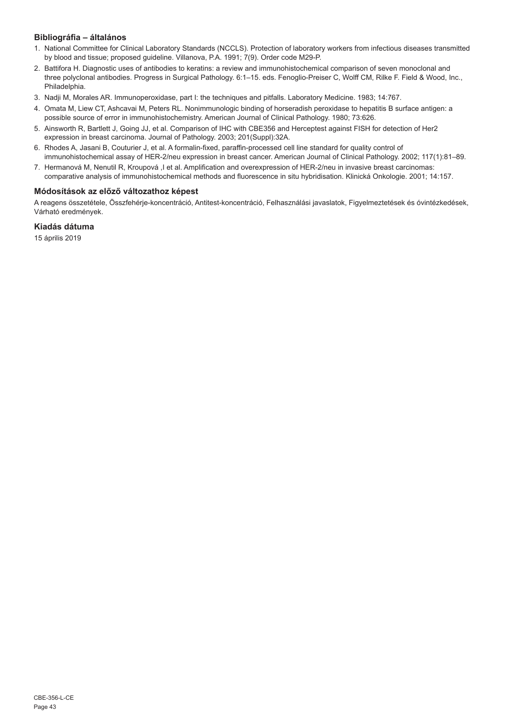## **Bibliográfia – általános**

- 1. National Committee for Clinical Laboratory Standards (NCCLS). Protection of laboratory workers from infectious diseases transmitted by blood and tissue; proposed guideline. Villanova, P.A. 1991; 7(9). Order code M29-P.
- 2. Battifora H. Diagnostic uses of antibodies to keratins: a review and immunohistochemical comparison of seven monoclonal and three polyclonal antibodies. Progress in Surgical Pathology. 6:1–15. eds. Fenoglio-Preiser C, Wolff CM, Rilke F. Field & Wood, Inc., Philadelphia.
- 3. Nadji M, Morales AR. Immunoperoxidase, part I: the techniques and pitfalls. Laboratory Medicine. 1983; 14:767.
- 4. Omata M, Liew CT, Ashcavai M, Peters RL. Nonimmunologic binding of horseradish peroxidase to hepatitis B surface antigen: a possible source of error in immunohistochemistry. American Journal of Clinical Pathology. 1980; 73:626.
- 5. Ainsworth R, Bartlett J, Going JJ, et al. Comparison of IHC with CBE356 and Herceptest against FISH for detection of Her2 expression in breast carcinoma. Journal of Pathology. 2003; 201(Suppl):32A.
- 6. Rhodes A, Jasani B, Couturier J, et al. A formalin-fixed, paraffin-processed cell line standard for quality control of immunohistochemical assay of HER-2/neu expression in breast cancer. American Journal of Clinical Pathology. 2002; 117(1):81–89.
- 7. Hermanová M, Nenutil R, Kroupová ,I et al. Amplification and overexpression of HER-2/neu in invasive breast carcinomas: comparative analysis of immunohistochemical methods and fluorescence in situ hybridisation. Klinická Onkologie. 2001; 14:157.

## **Módosítások az előző változathoz képest**

A reagens összetétele, Összfehérje-koncentráció, Antitest-koncentráció, Felhasználási javaslatok, Figyelmeztetések és óvintézkedések, Várható eredmények.

## **Kiadás dátuma**

15 április 2019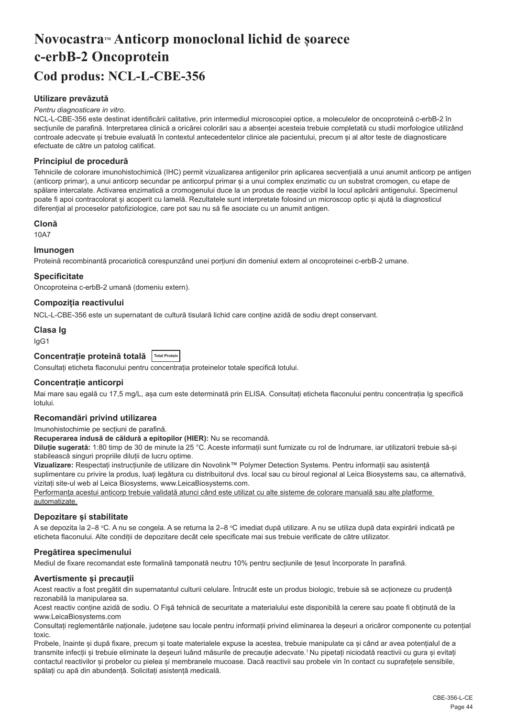## <span id="page-44-0"></span>**NovocastraTM Anticorp monoclonal lichid de șoarece c-erbB-2 Oncoprotein Cod produs: NCL-L-CBE-356**

## **Utilizare prevăzută**

#### *Pentru diagnosticare in vitro.*

NCL-L-CBE-356 este destinat identificării calitative, prin intermediul microscopiei optice, a moleculelor de oncoproteină c-erbB-2 în secțiunile de parafină. Interpretarea clinică a oricărei colorări sau a absenței acesteia trebuie completată cu studii morfologice utilizând controale adecvate și trebuie evaluată în contextul antecedentelor clinice ale pacientului, precum și al altor teste de diagnosticare efectuate de către un patolog calificat.

#### **Principiul de procedură**

Tehnicile de colorare imunohistochimică (IHC) permit vizualizarea antigenilor prin aplicarea secvențială a unui anumit anticorp pe antigen (anticorp primar), a unui anticorp secundar pe anticorpul primar și a unui complex enzimatic cu un substrat cromogen, cu etape de spălare intercalate. Activarea enzimatică a cromogenului duce la un produs de reacție vizibil la locul aplicării antigenului. Specimenul poate fi apoi contracolorat și acoperit cu lamelă. Rezultatele sunt interpretate folosind un microscop optic și ajută la diagnosticul diferențial al proceselor patofiziologice, care pot sau nu să fie asociate cu un anumit antigen.

## **Clonă**

10A7

#### **Imunogen**

Proteină recombinantă procariotică corespunzând unei porțiuni din domeniul extern al oncoproteinei c-erbB-2 umane.

#### **Specificitate**

Oncoproteina c-erbB-2 umană (domeniu extern).

#### **Compoziția reactivului**

NCL-L-CBE-356 este un supernatant de cultură tisulară lichid care conține azidă de sodiu drept conservant.

## **Clasa Ig**

IgG1

## **Concentrație proteină totală Total Protein**

Consultați eticheta flaconului pentru concentrația proteinelor totale specifică lotului.

#### **Concentrație anticorpi**

Mai mare sau egală cu 17,5 mg/L, asa cum este determinată prin ELISA. Consultati eticheta flaconului pentru concentratia Ig specifică lotului.

#### **Recomandări privind utilizarea**

#### Imunohistochimie pe secțiuni de parafină.

**Recuperarea indusă de căldură a epitopilor (HIER):** Nu se recomandă.

**Diluție sugerată:** 1:80 timp de 30 de minute la 25 °C. Aceste informații sunt furnizate cu rol de îndrumare, iar utilizatorii trebuie să-și stabilească singuri propriile diluții de lucru optime.

**Vizualizare:** Respectați instrucțiunile de utilizare din Novolink™ Polymer Detection Systems. Pentru informații sau asistență suplimentare cu privire la produs, luați legătura cu distribuitorul dvs. local sau cu biroul regional al Leica Biosystems sau, ca alternativă, vizitați site-ul web al Leica Biosystems, www.LeicaBiosystems.com.

Performanța acestui anticorp trebuie validată atunci când este utilizat cu alte sisteme de colorare manuală sau alte platforme automatizate.

## **Depozitare și stabilitate**

A se depozita la 2–8 °C. A nu se congela. A se returna la 2–8 °C imediat după utilizare. A nu se utiliza după data expirării indicată pe eticheta flaconului. Alte condiții de depozitare decât cele specificate mai sus trebuie verificate de către utilizator.

#### **Pregătirea specimenului**

Mediul de fixare recomandat este formalină tamponată neutru 10% pentru secțiunile de țesut încorporate în parafină.

## **Avertismente și precauții**

Acest reactiv a fost pregătit din supernatantul culturii celulare. Întrucât este un produs biologic, trebuie să se acționeze cu prudență rezonabilă la manipularea sa.

Acest reactiv conține azidă de sodiu. O Fişă tehnică de securitate a materialului este disponibilă la cerere sau poate fi obținută de la www.LeicaBiosystems.com

Consultați reglementările naționale, județene sau locale pentru informații privind eliminarea la deșeuri a oricăror componente cu potențial toxic.

Probele, înainte și după fixare, precum și toate materialele expuse la acestea, trebuie manipulate ca și când ar avea potențialul de a transmite infecții și trebuie eliminate la deșeuri luând măsurile de precauție adecvate.<sup>1</sup>Nu pipetați niciodată reactivii cu gura și evitați contactul reactivilor și probelor cu pielea și membranele mucoase. Dacă reactivii sau probele vin în contact cu suprafețele sensibile, spălați cu apă din abundență. Solicitați asistență medicală.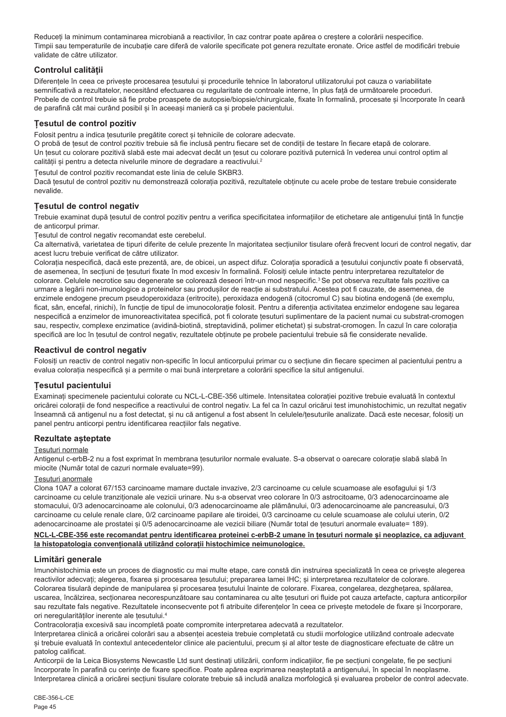Reduceți la minimum contaminarea microbiană a reactivilor, în caz contrar poate apărea o creștere a colorării nespecifice. Timpii sau temperaturile de incubație care diferă de valorile specificate pot genera rezultate eronate. Orice astfel de modificări trebuie validate de către utilizator.

## **Controlul calității**

Diferențele în ceea ce privește procesarea țesutului și procedurile tehnice în laboratorul utilizatorului pot cauza o variabilitate semnificativă a rezultatelor, necesitând efectuarea cu regularitate de controale interne, în plus față de următoarele proceduri. Probele de control trebuie să fie probe proaspete de autopsie/biopsie/chirurgicale, fixate în formalină, procesate și încorporate în ceară de parafină cât mai curând posibil și în aceeași manieră ca și probele pacientului.

## **Țesutul de control pozitiv**

Folosit pentru a indica țesuturile pregătite corect și tehnicile de colorare adecvate.

O probă de țesut de control pozitiv trebuie să fie inclusă pentru fiecare set de condiții de testare în fiecare etapă de colorare. Un țesut cu colorare pozitivă slabă este mai adecvat decât un țesut cu colorare pozitivă puternică în vederea unui control optim al calității și pentru a detecta nivelurile minore de degradare a reactivului.<sup>2</sup>

Țesutul de control pozitiv recomandat este linia de celule SKBR3.

Dacă țesutul de control pozitiv nu demonstrează colorația pozitivă, rezultatele obținute cu acele probe de testare trebuie considerate nevalide.

## **Țesutul de control negativ**

Trebuie examinat după țesutul de control pozitiv pentru a verifica specificitatea informațiilor de etichetare ale antigenului țintă în funcție de anticorpul primar.

Țesutul de control negativ recomandat este cerebelul.

Ca alternativă, varietatea de tipuri diferite de celule prezente în majoritatea secțiunilor tisulare oferă frecvent locuri de control negativ, dar acest lucru trebuie verificat de către utilizator.

Colorația nespecifică, dacă este prezentă, are, de obicei, un aspect difuz. Colorația sporadică a țesutului conjunctiv poate fi observată, de asemenea, în secțiuni de țesuturi fixate în mod excesiv în formalină. Folosiți celule intacte pentru interpretarea rezultatelor de colorare. Celulele necrotice sau degenerate se colorează deseori într-un mod nespecific.<sup>3</sup>Se pot observa rezultate fals pozitive ca urmare a legării non-imunologice a proteinelor sau produșilor de reacție ai substratului. Acestea pot fi cauzate, de asemenea, de enzimele endogene precum pseudoperoxidaza (eritrocite), peroxidaza endogenă (citocromul C) sau biotina endogenă (de exemplu, ficat, sân, encefal, rinichi), în funcție de tipul de imunocolorație folosit. Pentru a diferenția activitatea enzimelor endogene sau legarea nespecifică a enzimelor de imunoreactivitatea specifică, pot fi colorate tesuturi suplimentare de la pacient numai cu substrat-cromogen sau, respectiv, complexe enzimatice (avidină-biotină, streptavidină, polimer etichetat) și substrat-cromogen. În cazul în care colorația specifică are loc în țesutul de control negativ, rezultatele obținute pe probele pacientului trebuie să fie considerate nevalide.

## **Reactivul de control negativ**

Folosiți un reactiv de control negativ non-specific în locul anticorpului primar cu o secțiune din fiecare specimen al pacientului pentru a evalua colorația nespecifică și a permite o mai bună interpretare a colorării specifice la situl antigenului.

## **Țesutul pacientului**

Examinați specimenele pacientului colorate cu NCL-L-CBE-356 ultimele. Intensitatea colorației pozitive trebuie evaluată în contextul oricărei colorații de fond nespecifice a reactivului de control negativ. La fel ca în cazul oricărui test imunohistochimic, un rezultat negativ înseamnă că antigenul nu a fost detectat, și nu că antigenul a fost absent în celulele/țesuturile analizate. Dacă este necesar, folosiți un panel pentru anticorpi pentru identificarea reacțiilor fals negative.

## **Rezultate așteptate**

#### Țesuturi normale

Antigenul c-erbB-2 nu a fost exprimat în membrana țesuturilor normale evaluate. S-a observat o oarecare colorație slabă slabă în miocite (Număr total de cazuri normale evaluate=99).

#### Țesuturi anormale

Clona 10A7 a colorat 67/153 carcinoame mamare ductale invazive, 2/3 carcinoame cu celule scuamoase ale esofagului și 1/3 carcinoame cu celule tranziționale ale vezicii urinare. Nu s-a observat vreo colorare în 0/3 astrocitoame, 0/3 adenocarcinoame ale stomacului, 0/3 adenocarcinoame ale colonului, 0/3 adenocarcinoame ale plămânului, 0/3 adenocarcinoame ale pancreasului, 0/3 carcinoame cu celule renale clare, 0/2 carcinoame papilare ale tiroidei, 0/3 carcinoame cu celule scuamoase ale colului uterin, 0/2 adenocarcinoame ale prostatei și 0/5 adenocarcinoame ale vezicii biliare (Număr total de țesuturi anormale evaluate= 189).

**NCL-L-CBE-356 este recomandat pentru identificarea proteinei c-erbB-2 umane în țesuturi normale și neoplazice, ca adjuvant la histopatologia convențională utilizând colorații histochimice neimunologice.**

## **Limitări generale**

Imunohistochimia este un proces de diagnostic cu mai multe etape, care constă din instruirea specializată în ceea ce privește alegerea reactivilor adecvați; alegerea, fixarea și procesarea țesutului; prepararea lamei IHC; și interpretarea rezultatelor de colorare. Colorarea tisulară depinde de manipularea și procesarea țesutului înainte de colorare. Fixarea, congelarea, dezghețarea, spălarea, uscarea, încălzirea, secționarea necorespunzătoare sau contaminarea cu alte țesuturi ori fluide pot cauza artefacte, captura anticorpilor sau rezultate fals negative. Rezultatele inconsecvente pot fi atribuite diferențelor în ceea ce privește metodele de fixare și încorporare, ori neregularităților inerente ale țesutului.<sup>4</sup>

Contracolorația excesivă sau incompletă poate compromite interpretarea adecvată a rezultatelor.

Interpretarea clinică a oricărei colorări sau a absenței acesteia trebuie completată cu studii morfologice utilizând controale adecvate și trebuie evaluată în contextul antecedentelor clinice ale pacientului, precum și al altor teste de diagnosticare efectuate de către un patolog calificat.

Anticorpii de la Leica Biosystems Newcastle Ltd sunt destinați utilizării, conform indicațiilor, fie pe secțiuni congelate, fie pe secțiuni încorporate în parafină cu cerințe de fixare specifice. Poate apărea exprimarea neașteptată a antigenului, în special în neoplasme. Interpretarea clinică a oricărei secțiuni tisulare colorate trebuie să includă analiza morfologică și evaluarea probelor de control adecvate.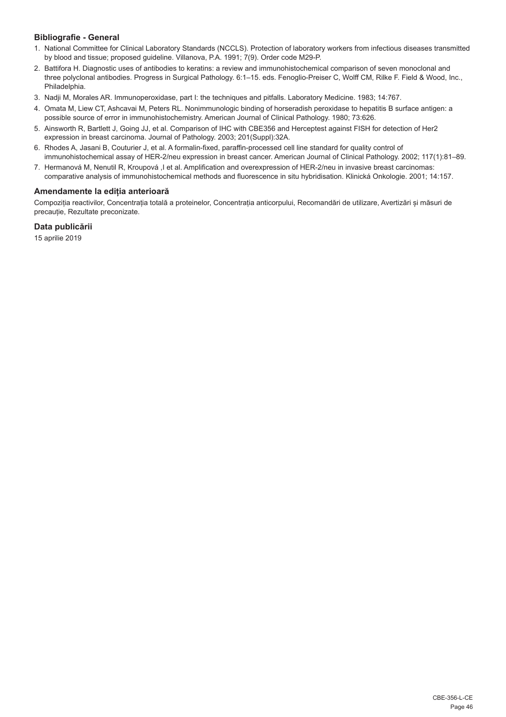## **Bibliografie - General**

- 1. National Committee for Clinical Laboratory Standards (NCCLS). Protection of laboratory workers from infectious diseases transmitted by blood and tissue; proposed guideline. Villanova, P.A. 1991; 7(9). Order code M29-P.
- 2. Battifora H. Diagnostic uses of antibodies to keratins: a review and immunohistochemical comparison of seven monoclonal and three polyclonal antibodies. Progress in Surgical Pathology. 6:1–15. eds. Fenoglio-Preiser C, Wolff CM, Rilke F. Field & Wood, Inc., Philadelphia.
- 3. Nadji M, Morales AR. Immunoperoxidase, part I: the techniques and pitfalls. Laboratory Medicine. 1983; 14:767.
- 4. Omata M, Liew CT, Ashcavai M, Peters RL. Nonimmunologic binding of horseradish peroxidase to hepatitis B surface antigen: a possible source of error in immunohistochemistry. American Journal of Clinical Pathology. 1980; 73:626.
- 5. Ainsworth R, Bartlett J, Going JJ, et al. Comparison of IHC with CBE356 and Herceptest against FISH for detection of Her2 expression in breast carcinoma. Journal of Pathology. 2003; 201(Suppl):32A.
- 6. Rhodes A, Jasani B, Couturier J, et al. A formalin-fixed, paraffin-processed cell line standard for quality control of immunohistochemical assay of HER-2/neu expression in breast cancer. American Journal of Clinical Pathology. 2002; 117(1):81–89.
- 7. Hermanová M, Nenutil R, Kroupová ,I et al. Amplification and overexpression of HER-2/neu in invasive breast carcinomas: comparative analysis of immunohistochemical methods and fluorescence in situ hybridisation. Klinická Onkologie. 2001; 14:157.

## **Amendamente la ediția anterioară**

Compoziția reactivilor, Concentrația totală a proteinelor, Concentrația anticorpului, Recomandări de utilizare, Avertizări și măsuri de precauție, Rezultate preconizate.

## **Data publicării**

15 aprilie 2019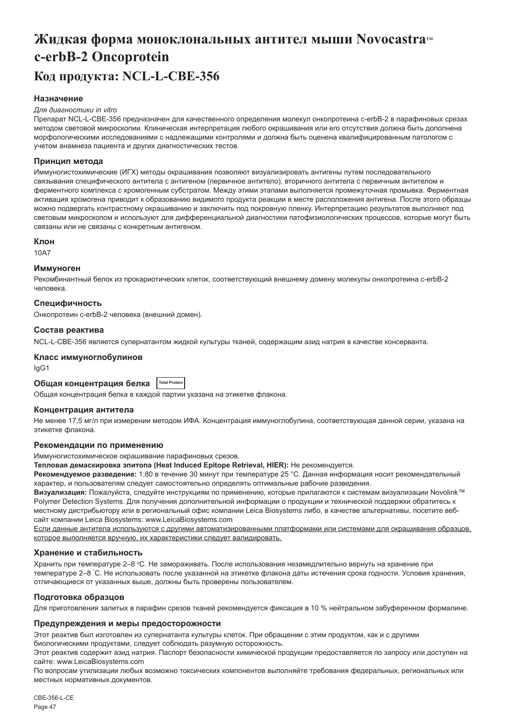## <span id="page-47-0"></span>**Жидкая форма моноклональных антител мыши Novocastra c-erbB-2 Oncoprotein Код продукта: NCL-L-CBE-356**

## **Назначение**

#### *Для диагностики in vitro*

Препарат NCL-L-CBE-356 предназначен для качественного определения молекул онкопротеина c-erbB-2 в парафиновых срезах методом световой микроскопии. Клиническая интерпретация любого окрашивания или его отсутствия должна быть дополнена морфологическими исследованиями с надлежащими контролями и должна быть оценена квалифицированным патологом с учетом анамнеза пациента и других диагностических тестов.

#### **Принцип метода**

Иммуногистохимические (ИГХ) методы окрашивания позволяют визуализировать антигены путем последовательного связывания специфического антитела с антигеном (первичное антитело), вторичного антитела с первичным антителом и ферментного комплекса с хромогенным субстратом. Между этими этапами выполняется промежуточная промывка. Ферментная активация хромогена приводит к образованию видимого продукта реакции в месте расположения антигена. После этого образцы можно подвергать контрастному окрашиванию и заключить под покровную пленку. Интерпретацию результатов выполняют под световым микроскопом и используют для дифференциальной диагностики патофизиологических процессов, которые могут быть связаны или не связаны с конкретным антигеном.

#### **Клон**

10A7

#### **Иммуноген**

Рекомбинантный белок из прокариотических клеток, соответствующий внешнему домену молекулы онкопротеина c-erbB-2 человека.

#### **Специфичность**

Онкопротеин c-erbB-2 человека (внешний домен).

#### **Состав реактива**

NCL-L-CBE-356 является супернатантом жидкой культуры тканей, содержащим азид натрия в качестве консерванта.

#### **Класс иммуноглобулинов**

IgG1

## **Общая концентрация белка Total Protein**

Общая концентрация белка в каждой партии указана на этикетке флакона.

#### **Концентрация антитела**

Не менее 17,5 мг/л при измерении методом ИФА. Концентрация иммуноглобулина, соответствующая данной серии, указана на этикетке флакона.

#### **Рекомендации по применению**

Иммуногистохимическое окрашивание парафиновых срезов.

**Тепловая демаскировка эпитопа (Heat Induced Epitope Retrieval, HIER):** Не рекомендуется.

**Рекомендуемое разведение:** 1:80 в течение 30 минут при температуре 25 °C. Данная информация носит рекомендательный характер, и пользователям следует самостоятельно определять оптимальные рабочие разведения.

**Визуализация:** Пожалуйста, следуйте инструкциям по применению, которые прилагаются к системам визуализации Novolink™ Polymer Detection Systems. Для получения дополнительной информации о продукции и технической поддержки обратитесь к местному дистрибьютору или в региональный офис компании Leica Biosystems либо, в качестве альтернативы, посетите вебсайт компании Leica Biosystems: www.LeicaBiosystems.com

Если данные антитела используются с другими автоматизированными платформами или системами для окрашивания образцов, которое выполняется вручную, их характеристики следует валидировать.

#### **Хранение и стабильность**

Хранить при температуре 2–8 °C. Не замораживать. После использования незамедлительно вернуть на хранение при температуре 2–8 ° C. Не использовать после указанной на этикетке флакона даты истечения срока годности. Условия хранения, отличающиеся от указанных выше, должны быть проверены пользователем.

## **Подготовка образцов**

Для приготовления залитых в парафин срезов тканей рекомендуется фиксация в 10 % нейтральном забуференном формалине.

### **Предупреждения и меры предосторожности**

Этот реактив был изготовлен из супернатанта культуры клеток. При обращении с этим продуктом, как и с другими биологическими продуктами, следует соблюдать разумную осторожность.

Этот реактив содержит азид натрия. Паспорт безопасности химической продукции предоставляется по запросу или доступен на сайте: www.LeicaBiosystems.com

По вопросам утилизации любых возможно токсических компонентов выполняйте требования федеральных, региональных или местных нормативных документов.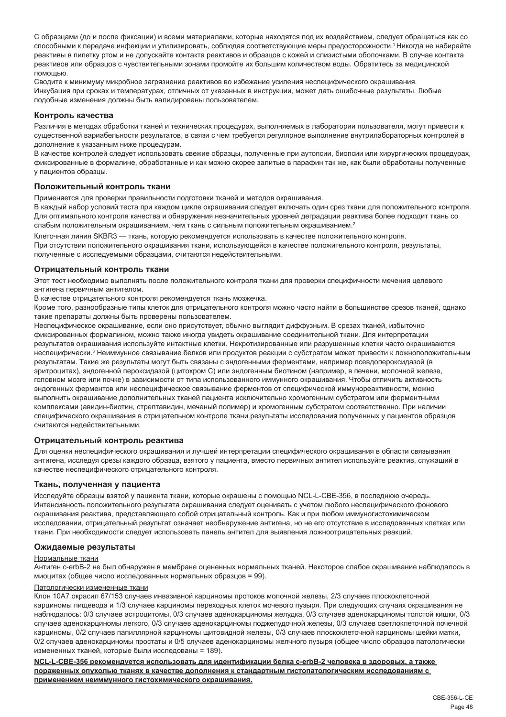С образцами (до и после фиксации) и всеми материалами, которые находятся под их воздействием, следует обращаться как со способными к передаче инфекции и утилизировать, соблюдая соответствующие меры предосторожности.<sup>1</sup>Никогда не набирайте реактивы в пипетку ртом и не допускайте контакта реактивов и образцов с кожей и слизистыми оболочками. В случае контакта реактивов или образцов с чувствительными зонами промойте их большим количеством воды. Обратитесь за медицинской помощью.

Сводите к минимуму микробное загрязнение реактивов во избежание усиления неспецифического окрашивания. Инкубация при сроках и температурах, отличных от указанных в инструкции, может дать ошибочные результаты. Любые подобные изменения должны быть валидированы пользователем.

#### **Контроль качества**

Различия в методах обработки тканей и технических процедурах, выполняемых в лаборатории пользователя, могут привести к существенной вариабельности результатов, в связи с чем требуется регулярное выполнение внутрилабораторных контролей в дополнение к указанным ниже процедурам.

В качестве контролей следует использовать свежие образцы, полученные при аутопсии, биопсии или хирургических процедурах, фиксированные в формалине, обработанные и как можно скорее залитые в парафин так же, как были обработаны полученные у пациентов образцы.

#### **Положительный контроль ткани**

Применяется для проверки правильности подготовки тканей и методов окрашивания.

В каждый набор условий теста при каждом цикле окрашивания следует включать один срез ткани для положительного контроля. Для оптимального контроля качества и обнаружения незначительных уровней деградации реактива более подходит ткань со слабым положительным окрашиванием, чем ткань с сильным положительным окрашиванием.<sup>2</sup>

Клеточная линия SKBR3 — ткань, которую рекомендуется использовать в качестве положительного контроля. При отсутствии положительного окрашивания ткани, использующейся в качестве положительного контроля, результаты, полученные с исследуемыми образцами, считаются недействительными.

#### **Отрицательный контроль ткани**

Этот тест необходимо выполнять после положительного контроля ткани для проверки специфичности мечения целевого антигена первичным антителом.

В качестве отрицательного контроля рекомендуется ткань мозжечка.

Кроме того, разнообразные типы клеток для отрицательного контроля можно часто найти в большинстве срезов тканей, однако такие препараты должны быть проверены пользователем.

Неспецифическое окрашивание, если оно присутствует, обычно выглядит диффузным. В срезах тканей, избыточно фиксированных формалином, можно также иногда увидеть окрашивание соединительной ткани. Для интерпретации результатов окрашивания используйте интактные клетки. Некротизированные или разрушенные клетки часто окрашиваются неспецифически.<sup>з</sup> Неиммунное связывание белков или продуктов реакции с субстратом может привести к ложноположительным результатам. Такие же результаты могут быть связаны с эндогенными ферментами, например псевдопероксидазой (в эритроцитах), эндогенной пероксидазой (цитохром C) или эндогенным биотином (например, в печени, молочной железе, головном мозге или почке) в зависимости от типа использованного иммунного окрашивания. Чтобы отличить активность эндогенных ферментов или неспецифическое связывание ферментов от специфической иммунореактивности, можно выполнить окрашивание дополнительных тканей пациента исключительно хромогенным субстратом или ферментными комплексами (авидин-биотин, стрептавидин, меченый полимер) и хромогенным субстратом соответственно. При наличии специфического окрашивания в отрицательном контроле ткани результаты исследования полученных у пациентов образцов считаются недействительными.

#### **Отрицательный контроль реактива**

Для оценки неспецифического окрашивания и лучшей интерпретации специфического окрашивания в области связывания антигена, исследуя срезы каждого образца, взятого у пациента, вместо первичных антител используйте реактив, служащий в качестве неспецифического отрицательного контроля.

#### **Ткань, полученная у пациента**

Исследуйте образцы взятой у пациента ткани, которые окрашены с помощью NCL-L-CBE-356, в последнюю очередь. Интенсивность положительного результата окрашивания следует оценивать с учетом любого неспецифического фонового окрашивания реактива, представляющего собой отрицательный контроль. Как и при любом иммуногистохимическом исследовании, отрицательный результат означает необнаружение антигена, но не его отсутствие в исследованных клетках или ткани. При необходимости следует использовать панель антител для выявления ложноотрицательных реакций.

#### **Ожидаемые результаты**

#### Нормальные ткани

Антиген c-erbB-2 не был обнаружен в мембране оцененных нормальных тканей. Некоторое слабое окрашивание наблюдалось в миоцитах (общее число исследованных нормальных образцов = 99).

#### Патологически измененные ткани

Клон 10A7 окрасил 67/153 случаев инвазивной карциномы протоков молочной железы, 2/3 случаев плоскоклеточной карциномы пищевода и 1/3 случаев карциномы переходных клеток мочевого пузыря. При следующих случаях окрашивания не наблюдалось: 0/3 случаев астроцитомы, 0/3 случаев аденокарциномы желудка, 0/3 случаев аденокарциномы толстой кишки, 0/3 случаев аденокарциномы легкого, 0/3 случаев аденокарциномы поджелудочной железы, 0/3 случаев светлоклеточной почечной карциномы, 0/2 случаев папиллярной карциномы щитовидной железы, 0/3 случаев плоскоклеточной карциномы шейки матки, 0/2 случаев аденокарциномы простаты и 0/5 случаев аденокарциномы желчного пузыря (общее число образцов патологически измененных тканей, которые были исследованы = 189).

**NCL-L-CBE-356 рекомендуется использовать для идентификации белка c-erbB-2 человека в здоровых, а также пораженных опухолью тканях в качестве дополнения к стандартным гистопатологическим исследованиям с применением неиммунного гистохимического окрашивания.**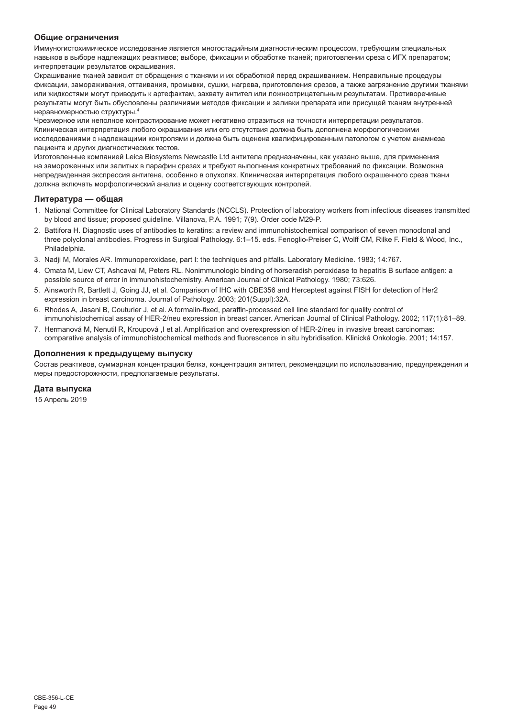## **Общие ограничения**

Иммуногистохимическое исследование является многостадийным диагностическим процессом, требующим специальных навыков в выборе надлежащих реактивов; выборе, фиксации и обработке тканей; приготовлении среза с ИГХ препаратом; интерпретации результатов окрашивания.

Окрашивание тканей зависит от обращения с тканями и их обработкой перед окрашиванием. Неправильные процедуры фиксации, замораживания, оттаивания, промывки, сушки, нагрева, приготовления срезов, а также загрязнение другими тканями или жидкостями могут приводить к артефактам, захвату антител или ложноотрицательным результатам. Противоречивые результаты могут быть обусловлены различиями методов фиксации и заливки препарата или присущей тканям внутренней неравномерностью структуры.<sup>4</sup>

Чрезмерное или неполное контрастирование может негативно отразиться на точности интерпретации результатов. Клиническая интерпретация любого окрашивания или его отсутствия должна быть дополнена морфологическими исследованиями с надлежащими контролями и должна быть оценена квалифицированным патологом с учетом анамнеза пациента и других диагностических тестов.

Изготовленные компанией Leica Biosystems Newcastle Ltd антитела предназначены, как указано выше, для применения на замороженных или залитых в парафин срезах и требуют выполнения конкретных требований по фиксации. Возможна непредвиденная экспрессия антигена, особенно в опухолях. Клиническая интерпретация любого окрашенного среза ткани должна включать морфологический анализ и оценку соответствующих контролей.

## **Литература — общая**

- 1. National Committee for Clinical Laboratory Standards (NCCLS). Protection of laboratory workers from infectious diseases transmitted by blood and tissue; proposed guideline. Villanova, P.A. 1991; 7(9). Order code M29-P.
- 2. Battifora H. Diagnostic uses of antibodies to keratins: a review and immunohistochemical comparison of seven monoclonal and three polyclonal antibodies. Progress in Surgical Pathology. 6:1–15. eds. Fenoglio-Preiser C, Wolff CM, Rilke F. Field & Wood, Inc., Philadelphia
- 3. Nadji M, Morales AR. Immunoperoxidase, part I: the techniques and pitfalls. Laboratory Medicine. 1983; 14:767.
- 4. Omata M, Liew CT, Ashcavai M, Peters RL. Nonimmunologic binding of horseradish peroxidase to hepatitis B surface antigen: a possible source of error in immunohistochemistry. American Journal of Clinical Pathology. 1980; 73:626.
- 5. Ainsworth R, Bartlett J, Going JJ, et al. Comparison of IHC with CBE356 and Herceptest against FISH for detection of Her2 expression in breast carcinoma. Journal of Pathology. 2003; 201(Suppl):32A.
- 6. Rhodes A, Jasani B, Couturier J, et al. A formalin-fixed, paraffin-processed cell line standard for quality control of immunohistochemical assay of HER-2/neu expression in breast cancer. American Journal of Clinical Pathology. 2002; 117(1):81–89.
- 7. Hermanová M, Nenutil R, Kroupová ,I et al. Amplification and overexpression of HER-2/neu in invasive breast carcinomas: comparative analysis of immunohistochemical methods and fluorescence in situ hybridisation. Klinická Onkologie. 2001; 14:157.

## **Дополнения к предыдущему выпуску**

Состав реактивов, суммарная концентрация белка, концентрация антител, рекомендации по использованию, предупреждения и меры предосторожности, предполагаемые результаты.

## **Дата выпуска**

15 Апрель 2019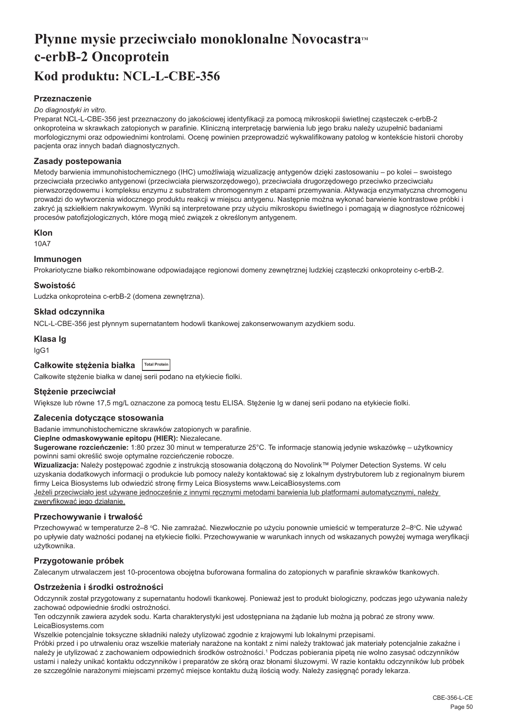## <span id="page-50-0"></span>**Płynne mysie przeciwciało monoklonalne Novocastra<sup>***M***</sup> c-erbB-2 Oncoprotein Kod produktu: NCL-L-CBE-356**

## **Przeznaczenie**

#### *Do diagnostyki in vitro.*

Preparat NCL-L-CBE-356 jest przeznaczony do jakościowej identyfikacji za pomocą mikroskopii świetlnej cząsteczek c-erbB-2 onkoproteina w skrawkach zatopionych w parafinie. Kliniczną interpretację barwienia lub jego braku należy uzupełnić badaniami morfologicznymi oraz odpowiednimi kontrolami. Ocenę powinien przeprowadzić wykwalifikowany patolog w kontekście historii choroby pacjenta oraz innych badań diagnostycznych.

#### **Zasady postepowania**

Metody barwienia immunohistochemicznego (IHC) umożliwiają wizualizację antygenów dzięki zastosowaniu – po kolei – swoistego przeciwciała przeciwko antygenowi (przeciwciała pierwszorzędowego), przeciwciała drugorzędowego przeciwko przeciwciału pierwszorzędowemu i kompleksu enzymu z substratem chromogennym z etapami przemywania. Aktywacja enzymatyczna chromogenu prowadzi do wytworzenia widocznego produktu reakcji w miejscu antygenu. Następnie można wykonać barwienie kontrastowe próbki i zakryć ją szkiełkiem nakrywkowym. Wyniki są interpretowane przy użyciu mikroskopu świetlnego i pomagają w diagnostyce różnicowej procesów patofizjologicznych, które mogą mieć związek z określonym antygenem.

#### **Klon**

10A7

### **Immunogen**

Prokariotyczne białko rekombinowane odpowiadające regionowi domeny zewnętrznej ludzkiej cząsteczki onkoproteiny c-erbB-2.

#### **Swoistość**

Ludzka onkoproteina c-erbB-2 (domena zewnętrzna).

## **Skład odczynnika**

NCL-L-CBE-356 jest płynnym supernatantem hodowli tkankowej zakonserwowanym azydkiem sodu.

#### **Klasa Ig**

IgG1

| Całkowite stężenia białka Total Protein |  |
|-----------------------------------------|--|
|-----------------------------------------|--|

Całkowite stężenie białka w danej serii podano na etykiecie fiolki.

## **Stężenie przeciwciał**

Większe lub równe 17,5 mg/L oznaczone za pomocą testu ELISA. Stężenie Ig w danej serii podano na etykiecie fiolki.

#### **Zalecenia dotyczące stosowania**

Badanie immunohistochemiczne skrawków zatopionych w parafinie.

**Cieplne odmaskowywanie epitopu (HIER):** Niezalecane.

**Sugerowane rozcieńczenie:** 1:80 przez 30 minut w temperaturze 25°C. Te informacje stanowią jedynie wskazówkę – użytkownicy powinni sami określić swoje optymalne rozcieńczenie robocze.

**Wizualizacja:** Należy postępować zgodnie z instrukcją stosowania dołączoną do Novolink™ Polymer Detection Systems. W celu uzyskania dodatkowych informacji o produkcie lub pomocy należy kontaktować się z lokalnym dystrybutorem lub z regionalnym biurem firmy Leica Biosystems lub odwiedzić stronę firmy Leica Biosystems www.LeicaBiosystems.com

Jeżeli przeciwciało jest używane jednocześnie z innymi ręcznymi metodami barwienia lub platformami automatycznymi, należy zweryfikować jego działanie.

#### **Przechowywanie i trwałość**

Przechowywać w temperaturze 2–8 °C. Nie zamrażać. Niezwłocznie po użyciu ponownie umieścić w temperaturze 2–8°C. Nie używać po upływie daty ważności podanej na etykiecie fiolki. Przechowywanie w warunkach innych od wskazanych powyżej wymaga weryfikacji użytkownika.

## **Przygotowanie próbek**

Zalecanym utrwalaczem jest 10-procentowa obojętna buforowana formalina do zatopionych w parafinie skrawków tkankowych.

## **Ostrzeżenia i środki ostrożności**

Odczynnik został przygotowany z supernatantu hodowli tkankowej. Ponieważ jest to produkt biologiczny, podczas jego używania należy zachować odpowiednie środki ostrożności.

Ten odczynnik zawiera azydek sodu. Karta charakterystyki jest udostępniana na żądanie lub można ją pobrać ze strony www. LeicaBiosystems.com

Wszelkie potencjalnie toksyczne składniki należy utylizować zgodnie z krajowymi lub lokalnymi przepisami.

Próbki przed i po utrwaleniu oraz wszelkie materiały narażone na kontakt z nimi należy traktować jak materiały potencjalnie zakaźne i należy je utylizować z zachowaniem odpowiednich środków ostrożności.1 Podczas pobierania pipetą nie wolno zasysać odczynników ustami i należy unikać kontaktu odczynników i preparatów ze skórą oraz błonami śluzowymi. W razie kontaktu odczynników lub próbek ze szczególnie narażonymi miejscami przemyć miejsce kontaktu dużą ilością wody. Należy zasięgnąć porady lekarza.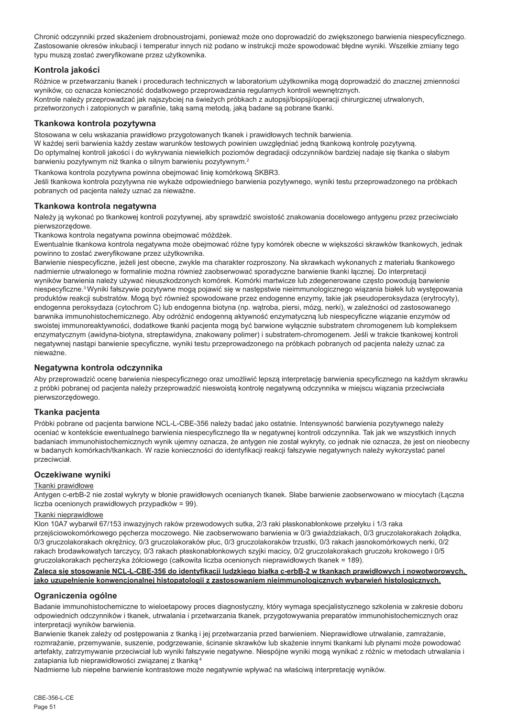Chronić odczynniki przed skażeniem drobnoustrojami, ponieważ może ono doprowadzić do zwiększonego barwienia niespecyficznego. Zastosowanie okresów inkubacji i temperatur innych niż podano w instrukcji może spowodować błędne wyniki. Wszelkie zmiany tego typu muszą zostać zweryfikowane przez użytkownika.

## **Kontrola jakości**

Różnice w przetwarzaniu tkanek i procedurach technicznych w laboratorium użytkownika mogą doprowadzić do znacznej zmienności wyników, co oznacza konieczność dodatkowego przeprowadzania regularnych kontroli wewnętrznych. Kontrole należy przeprowadzać jak najszybciej na świeżych próbkach z autopsji/biopsji/operacji chirurgicznej utrwalonych, przetworzonych i zatopionych w parafinie, taką samą metodą, jaką badane są pobrane tkanki.

## **Tkankowa kontrola pozytywna**

Stosowana w celu wskazania prawidłowo przygotowanych tkanek i prawidłowych technik barwienia.

W każdej serii barwienia każdy zestaw warunków testowych powinien uwzględniać jedną tkankową kontrolę pozytywną. Do optymalnej kontroli jakości i do wykrywania niewielkich poziomów degradacji odczynników bardziej nadaje się tkanka o słabym barwieniu pozytywnym niż tkanka o silnym barwieniu pozytywnym.<sup>2</sup>

Tkankowa kontrola pozytywna powinna obejmować linię komórkową SKBR3.

Jeśli tkankowa kontrola pozytywna nie wykaże odpowiedniego barwienia pozytywnego, wyniki testu przeprowadzonego na próbkach pobranych od pacjenta należy uznać za nieważne.

## **Tkankowa kontrola negatywna**

Należy ja wykonać po tkankowej kontroli pozytywnej, aby sprawdzić swoistość znakowania docelowego antygenu przez przeciwciało pierwszorzędowe.

Tkankowa kontrola negatywna powinna obejmować móżdżek.

Ewentualnie tkankowa kontrola negatywna może obejmować różne typy komórek obecne w większości skrawków tkankowych, jednak powinno to zostać zweryfikowane przez użytkownika.

Barwienie niespecyficzne, jeżeli jest obecne, zwykle ma charakter rozproszony. Na skrawkach wykonanych z materiału tkankowego nadmiernie utrwalonego w formalinie można również zaobserwować sporadyczne barwienie tkanki łącznej. Do interpretacji wyników barwienia należy używać nieuszkodzonych komórek. Komórki martwicze lub zdegenerowane często powodują barwienie niespecyficzne.<sup>3</sup>Wyniki fałszywie pozytywne mogą pojawić się w następstwie nieimmunologicznego wiązania białek lub występowania produktów reakcji substratów. Mogą być również spowodowane przez endogenne enzymy, takie jak pseudoperoksydaza (erytrocyty), endogenna peroksydaza (cytochrom C) lub endogenna biotyna (np. wątroba, piersi, mózg, nerki), w zależności od zastosowanego barwnika immunohistochemicznego. Aby odróżnić endogenną aktywność enzymatyczną lub niespecyficzne wiązanie enzymów od swoistej immunoreaktywności, dodatkowe tkanki pacjenta mogą być barwione wyłącznie substratem chromogenem lub kompleksem enzymatycznym (awidyna-biotyna, streptawidyna, znakowany polimer) i substratem-chromogenem. Jeśli w trakcie tkankowej kontroli negatywnej nastąpi barwienie specyficzne, wyniki testu przeprowadzonego na próbkach pobranych od pacjenta należy uznać za nieważne.

## **Negatywna kontrola odczynnika**

Aby przeprowadzić ocenę barwienia niespecyficznego oraz umożliwić lepszą interpretację barwienia specyficznego na każdym skrawku z próbki pobranej od pacjenta należy przeprowadzić nieswoistą kontrolę negatywną odczynnika w miejscu wiązania przeciwciała pierwszorzędowego.

## **Tkanka pacjenta**

Próbki pobrane od pacjenta barwione NCL-L-CBE-356 należy badać jako ostatnie. Intensywność barwienia pozytywnego należy oceniać w kontekście ewentualnego barwienia niespecyficznego tła w negatywnej kontroli odczynnika. Tak jak we wszystkich innych badaniach immunohistochemicznych wynik ujemny oznacza, że antygen nie został wykryty, co jednak nie oznacza, że jest on nieobecny w badanych komórkach/tkankach. W razie konieczności do identyfikacji reakcji fałszywie negatywnych należy wykorzystać panel przeciwciał.

## **Oczekiwane wyniki**

## Tkanki prawidłowe

Antygen c-erbB-2 nie został wykryty w błonie prawidłowych ocenianych tkanek. Słabe barwienie zaobserwowano w miocytach (Łączna liczba ocenionych prawidłowych przypadków = 99).

#### Tkanki nieprawidłowe

Klon 10A7 wybarwił 67/153 inwazyjnych raków przewodowych sutka, 2/3 raki płaskonabłonkowe przełyku i 1/3 raka przejściowokomórkowego pęcherza moczowego. Nie zaobserwowano barwienia w 0/3 gwiaździakach, 0/3 gruczolakorakach żołądka, 0/3 gruczolakorakach okrężnicy, 0/3 gruczolakoraków płuc, 0/3 gruczolakoraków trzustki, 0/3 rakach jasnokomórkowych nerki, 0/2 rakach brodawkowatych tarczycy, 0/3 rakach płaskonabłonkowych szyjki macicy, 0/2 gruczolakorakach gruczołu krokowego i 0/5 gruczolakorakach pęcherzyka żółciowego (całkowita liczba ocenionych nieprawidłowych tkanek = 189).

#### **Zaleca się stosowanie NCL-L-CBE-356 do identyfikacji ludzkiego białka c-erbB-2 w tkankach prawidłowych i nowotworowych, jako uzupełnienie konwencjonalnej histopatologii z zastosowaniem nieimmunologicznych wybarwień histologicznych.**

## **Ograniczenia ogólne**

Badanie immunohistochemiczne to wieloetapowy proces diagnostyczny, który wymaga specjalistycznego szkolenia w zakresie doboru odpowiednich odczynników i tkanek, utrwalania i przetwarzania tkanek, przygotowywania preparatów immunohistochemicznych oraz interpretacji wyników barwienia.

Barwienie tkanek zależy od postępowania z tkanką i jej przetwarzania przed barwieniem. Nieprawidłowe utrwalanie, zamrażanie, rozmrażanie, przemywanie, suszenie, podgrzewanie, ścinanie skrawków lub skażenie innymi tkankami lub płynami może powodować artefakty, zatrzymywanie przeciwciał lub wyniki fałszywie negatywne. Niespójne wyniki mogą wynikać z różnic w metodach utrwalania i zatapiania lub nieprawidłowości związanej z tkanką.4

Nadmierne lub niepełne barwienie kontrastowe może negatywnie wpływać na właściwą interpretację wyników.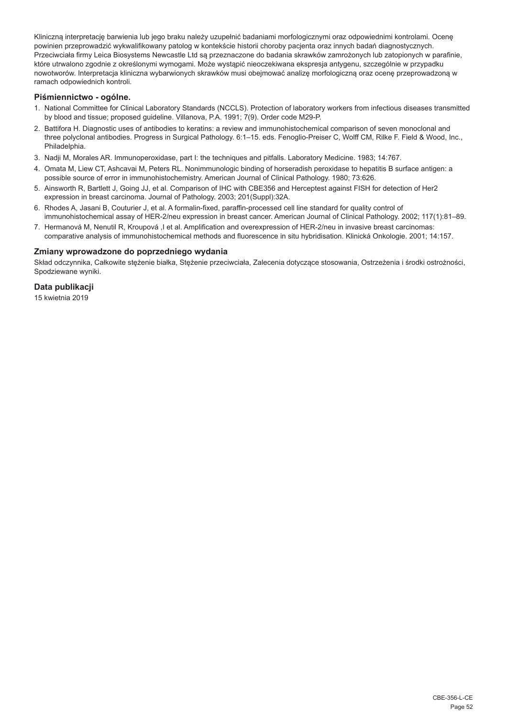Kliniczną interpretację barwienia lub jego braku należy uzupełnić badaniami morfologicznymi oraz odpowiednimi kontrolami. Ocenę powinien przeprowadzić wykwalifikowany patolog w kontekście historii choroby pacjenta oraz innych badań diagnostycznych. Przeciwciała firmy Leica Biosystems Newcastle Ltd są przeznaczone do badania skrawków zamrożonych lub zatopionych w parafinie, które utrwalono zgodnie z określonymi wymogami. Może wystąpić nieoczekiwana ekspresja antygenu, szczególnie w przypadku nowotworów. Interpretacja kliniczna wybarwionych skrawków musi obejmować analizę morfologiczną oraz ocenę przeprowadzoną w ramach odpowiednich kontroli.

## **Piśmiennictwo - ogólne.**

- 1. National Committee for Clinical Laboratory Standards (NCCLS). Protection of laboratory workers from infectious diseases transmitted by blood and tissue; proposed guideline. Villanova, P.A. 1991; 7(9). Order code M29-P.
- 2. Battifora H. Diagnostic uses of antibodies to keratins: a review and immunohistochemical comparison of seven monoclonal and three polyclonal antibodies. Progress in Surgical Pathology. 6:1–15. eds. Fenoglio-Preiser C, Wolff CM, Rilke F. Field & Wood, Inc., Philadelphia.
- 3. Nadji M, Morales AR. Immunoperoxidase, part I: the techniques and pitfalls. Laboratory Medicine. 1983; 14:767.
- 4. Omata M, Liew CT, Ashcavai M, Peters RL. Nonimmunologic binding of horseradish peroxidase to hepatitis B surface antigen: a possible source of error in immunohistochemistry. American Journal of Clinical Pathology. 1980; 73:626.
- 5. Ainsworth R, Bartlett J, Going JJ, et al. Comparison of IHC with CBE356 and Herceptest against FISH for detection of Her2 expression in breast carcinoma. Journal of Pathology. 2003; 201(Suppl):32A.
- 6. Rhodes A, Jasani B, Couturier J, et al. A formalin-fixed, paraffin-processed cell line standard for quality control of immunohistochemical assay of HER-2/neu expression in breast cancer. American Journal of Clinical Pathology. 2002; 117(1):81–89.
- 7. Hermanová M, Nenutil R, Kroupová ,I et al. Amplification and overexpression of HER-2/neu in invasive breast carcinomas: comparative analysis of immunohistochemical methods and fluorescence in situ hybridisation. Klinická Onkologie. 2001; 14:157.

## **Zmiany wprowadzone do poprzedniego wydania**

Skład odczynnika, Całkowite stężenie białka, Stężenie przeciwciała, Zalecenia dotyczące stosowania, Ostrzeżenia i środki ostrożności, Spodziewane wyniki.

## **Data publikacji**

15 kwietnia 2019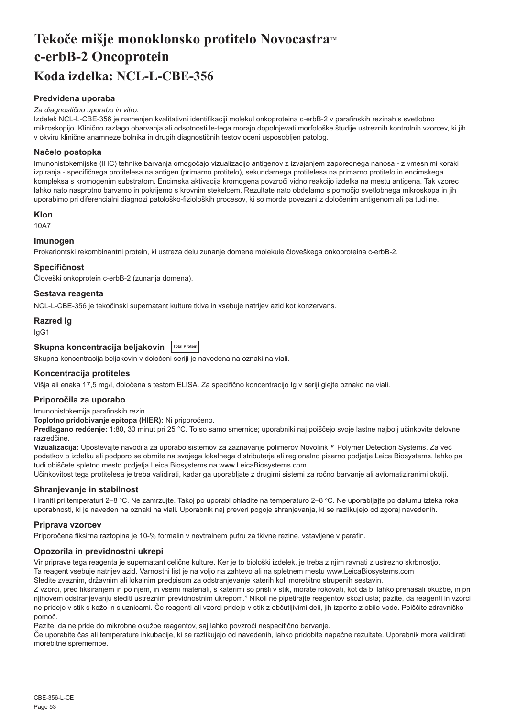## <span id="page-53-0"></span>Tekoče mišje monoklonsko protitelo Novocastra™ **c-erbB-2 Oncoprotein Koda izdelka: NCL-L-CBE-356**

## **Predvidena uporaba**

#### *Za diagnostično uporabo in vitro.*

Izdelek NCL-L-CBE-356 je namenjen kvalitativni identifikaciji molekul onkoproteina c-erbB-2 v parafinskih rezinah s svetlobno mikroskopijo. Klinično razlago obarvanja ali odsotnosti le-tega morajo dopolnjevati morfološke študije ustreznih kontrolnih vzorcev, ki jih v okviru klinične anamneze bolnika in drugih diagnostičnih testov oceni usposobljen patolog.

#### **Načelo postopka**

Imunohistokemijske (IHC) tehnike barvanja omogočajo vizualizacijo antigenov z izvajanjem zaporednega nanosa - z vmesnimi koraki izpiranja - specifičnega protitelesa na antigen (primarno protitelo), sekundarnega protitelesa na primarno protitelo in encimskega kompleksa s kromogenim substratom. Encimska aktivacija kromogena povzroči vidno reakcijo izdelka na mestu antigena. Tak vzorec lahko nato nasprotno barvamo in pokrijemo s krovnim stekelcem. Rezultate nato obdelamo s pomočjo svetlobnega mikroskopa in jih uporabimo pri diferencialni diagnozi patološko-fizioloških procesov, ki so morda povezani z določenim antigenom ali pa tudi ne.

#### **Klon**

10A7

## **Imunogen**

Prokariontski rekombinantni protein, ki ustreza delu zunanje domene molekule človeškega onkoproteina c-erbB-2.

#### **Specifičnost**

Človeški onkoprotein c-erbB-2 (zunanja domena).

#### **Sestava reagenta**

NCL-L-CBE-356 je tekočinski supernatant kulture tkiva in vsebuje natrijev azid kot konzervans.

#### **Razred Ig**

IgG1

## **Skupna koncentracija beljakovin Total Protein**

Skupna koncentracija beljakovin v določeni seriji je navedena na oznaki na viali.

## **Koncentracija protiteles**

Višja ali enaka 17,5 mg/l, določena s testom ELISA. Za specifično koncentracijo Ig v seriji glejte oznako na viali.

#### **Priporočila za uporabo**

Imunohistokemija parafinskih rezin.

**Toplotno pridobivanje epitopa (HIER):** Ni priporočeno.

**Predlagano redčenje:** 1:80, 30 minut pri 25 °C. To so samo smernice; uporabniki naj poiščejo svoje lastne najbolj učinkovite delovne razredčine.

**Vizualizacija:** Upoštevajte navodila za uporabo sistemov za zaznavanje polimerov Novolink™ Polymer Detection Systems. Za več podatkov o izdelku ali podporo se obrnite na svojega lokalnega distributerja ali regionalno pisarno podjetja Leica Biosystems, lahko pa tudi obiščete spletno mesto podjetja Leica Biosystems na www.LeicaBiosystems.com

Učinkovitost tega protitelesa je treba validirati, kadar ga uporabljate z drugimi sistemi za ročno barvanje ali avtomatiziranimi okolji.

#### **Shranjevanje in stabilnost**

Hraniti pri temperaturi 2–8 °C. Ne zamrzujte. Takoj po uporabi ohladite na temperaturo 2–8 °C. Ne uporabljajte po datumu izteka roka uporabnosti, ki je naveden na oznaki na viali. Uporabnik naj preveri pogoje shranjevanja, ki se razlikujejo od zgoraj navedenih.

#### **Priprava vzorcev**

Priporočena fiksirna raztopina ie 10-% formalin v nevtralnem pufru za tkivne rezine, vstavljene v parafin.

#### **Opozorila in previdnostni ukrepi**

Vir priprave tega reagenta je supernatant celične kulture. Ker je to biološki izdelek, je treba z njim ravnati z ustrezno skrbnostjo.

Ta reagent vsebuje natrijev azid. Varnostni list je na voljo na zahtevo ali na spletnem mestu www.LeicaBiosystems.com

Sledite zveznim, državnim ali lokalnim predpisom za odstranjevanje katerih koli morebitno strupenih sestavin.

Z vzorci, pred fiksiranjem in po njem, in vsemi materiali, s katerimi so prišli v stik, morate rokovati, kot da bi lahko prenašali okužbe, in pri njihovem odstranjevanju slediti ustreznim previdnostnim ukrepom.<sup>1</sup> Nikoli ne pipetirajte reagentov skozi usta; pazite, da reagenti in vzorci ne pridejo v stik s kožo in sluznicami. Če reagenti ali vzorci pridejo v stik z občutljivimi deli, jih izperite z obilo vode. Poiščite zdravniško pomoč.

Pazite, da ne pride do mikrobne okužbe reagentov, saj lahko povzroči nespecifično barvanje.

Če uporabite čas ali temperature inkubacije, ki se razlikujejo od navedenih, lahko pridobite napačne rezultate. Uporabnik mora validirati morebitne spremembe.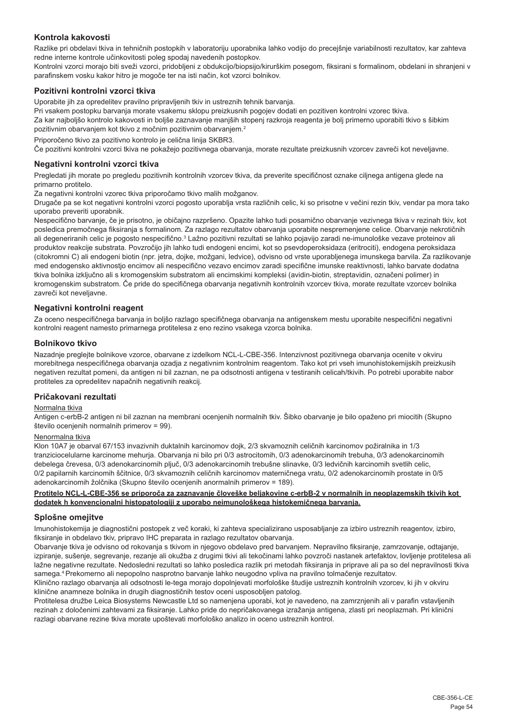## **Kontrola kakovosti**

Razlike pri obdelavi tkiva in tehničnih postopkih v laboratoriju uporabnika lahko vodijo do precejšnje variabilnosti rezultatov, kar zahteva redne interne kontrole učinkovitosti poleg spodaj navedenih postopkov.

Kontrolni vzorci morajo biti sveži vzorci, pridobljeni z obdukcijo/biopsijo/kirurškim posegom, fiksirani s formalinom, obdelani in shranjeni v parafinskem vosku kakor hitro je mogoče ter na isti način, kot vzorci bolnikov.

## **Pozitivni kontrolni vzorci tkiva**

Uporabite jih za opredelitev pravilno pripravljenih tkiv in ustreznih tehnik barvanja.

Pri vsakem postopku barvanja morate vsakemu sklopu preizkusnih pogojev dodati en pozitiven kontrolni vzorec tkiva. Za kar najboljšo kontrolo kakovosti in boljše zaznavanje manjših stopenj razkroja reagenta je bolj primerno uporabiti tkivo s šibkim pozitivnim obarvanjem kot tkivo z močnim pozitivnim obarvanjem.<sup>2</sup>

Priporočeno tkivo za pozitivno kontrolo je celična linija SKBR3.

Če pozitivni kontrolni vzorci tkiva ne pokažejo pozitivnega obarvanja, morate rezultate preizkusnih vzorcev zavreči kot neveljavne.

#### **Negativni kontrolni vzorci tkiva**

Pregledati jih morate po pregledu pozitivnih kontrolnih vzorcev tkiva, da preverite specifičnost oznake ciljnega antigena glede na primarno protitelo.

Za negativni kontrolni vzorec tkiva priporočamo tkivo malih možganov.

Drugače pa se kot negativni kontrolni vzorci pogosto uporablja vrsta različnih celic, ki so prisotne v večini rezin tkiv, vendar pa mora tako uporabo preveriti uporabnik.

Nespecifično barvanje, če je prisotno, je običajno razpršeno. Opazite lahko tudi posamično obarvanje vezivnega tkiva v rezinah tkiv, kot posledica premočnega fiksiranja s formalinom. Za razlago rezultatov obarvanja uporabite nespremenjene celice. Obarvanje nekrotičnih ali degeneriranih celic je pogosto nespecifično.<sup>3</sup> Lažno pozitivni rezultati se lahko pojavijo zaradi ne-imunološke vezave proteinov ali produktov reakcije substrata. Povzročijo jih lahko tudi endogeni encimi, kot so psevdoperoksidaza (eritrociti), endogena peroksidaza (citokromni C) ali endogeni biotin (npr. jetra, dojke, možgani, ledvice), odvisno od vrste uporabljenega imunskega barvila. Za razlikovanje med endogensko aktivnostjo encimov ali nespecifično vezavo encimov zaradi specifične imunske reaktivnosti, lahko barvate dodatna tkiva bolnika izključno ali s kromogenskim substratom ali encimskimi kompleksi (avidin-biotin, streptavidin, označeni polimer) in kromogenskim substratom. Če pride do specifičnega obarvanja negativnih kontrolnih vzorcev tkiva, morate rezultate vzorcev bolnika zavreči kot neveljavne.

#### **Negativni kontrolni reagent**

Za oceno nespecifičnega barvanja in boljšo razlago specifičnega obarvanja na antigenskem mestu uporabite nespecifični negativni kontrolni reagent namesto primarnega protitelesa z eno rezino vsakega vzorca bolnika.

#### **Bolnikovo tkivo**

Nazadnje preglejte bolnikove vzorce, obarvane z izdelkom NCL-L-CBE-356. Intenzivnost pozitivnega obarvanja ocenite v okviru morebitnega nespecifičnega obarvanja ozadja z negativnim kontrolnim reagentom. Tako kot pri vseh imunohistokemijskih preizkusih negativen rezultat pomeni, da antigen ni bil zaznan, ne pa odsotnosti antigena v testiranih celicah/tkivih. Po potrebi uporabite nabor protiteles za opredelitev napačnih negativnih reakcij.

## **Pričakovani rezultati**

#### Normalna tkiva

Antigen c-erbB-2 antigen ni bil zaznan na membrani ocenjenih normalnih tkiv. Šibko obarvanje je bilo opaženo pri miocitih (Skupno število ocenjenih normalnih primerov = 99).

#### Nenormalna tkiva

Klon 10A7 je obarval 67/153 invazivnih duktalnih karcinomov dojk, 2/3 skvamoznih celičnih karcinomov požiralnika in 1/3 tranziciocelularne karcinome mehurja. Obarvanja ni bilo pri 0/3 astrocitomih, 0/3 adenokarcinomih trebuha, 0/3 adenokarcinomih debelega črevesa, 0/3 adenokarcinomih pljuč, 0/3 adenokarcinomih trebušne slinavke, 0/3 ledvičnih karcinomih svetlih celic, 0/2 papilarnih karcinomih ščitnice, 0/3 skvamoznih celičnih karcinomov materničnega vratu, 0/2 adenokarcinomih prostate in 0/5 adenokarcinomih žolčnika (Skupno število ocenjenih anormalnih primerov = 189).

#### **Protitelo NCL-L-CBE-356 se priporoča za zaznavanje človeške beljakovine c-erbB-2 v normalnih in neoplazemskih tkivih kot dodatek h konvencionalni histopatologiji z uporabo neimunološkega histokemičnega barvanja.**

#### **Splošne omejitve**

Imunohistokemija je diagnostični postopek z več koraki, ki zahteva specializirano usposabljanje za izbiro ustreznih reagentov, izbiro, fiksiranje in obdelavo tkiv, pripravo IHC preparata in razlago rezultatov obarvanja.

Obarvanje tkiva je odvisno od rokovanja s tkivom in njegovo obdelavo pred barvanjem. Nepravilno fiksiranje, zamrzovanje, odtajanje, izpiranje, sušenje, segrevanje, rezanje ali okužba z drugimi tkivi ali tekočinami lahko povzroči nastanek artefaktov, lovljenje protitelesa ali lažne negativne rezultate. Nedosledni rezultati so lahko posledica razlik pri metodah fiksiranja in priprave ali pa so del nepravilnosti tkiva samega.<sup>4</sup> Prekomerno ali nepopolno nasprotno barvanje lahko neugodno vpliva na pravilno tolmačenje rezultatov.

Klinično razlago obarvanja ali odsotnosti le-tega morajo dopolnjevati morfološke študije ustreznih kontrolnih vzorcev, ki jih v okviru klinične anamneze bolnika in drugih diagnostičnih testov oceni usposobljen patolog.

Protitelesa družbe Leica Biosystems Newcastle Ltd so namenjena uporabi, kot je navedeno, na zamrznjenih ali v parafin vstavljenih rezinah z določenimi zahtevami za fiksiranje. Lahko pride do nepričakovanega izražanja antigena, zlasti pri neoplazmah. Pri klinični razlagi obarvane rezine tkiva morate upoštevati morfološko analizo in oceno ustreznih kontrol.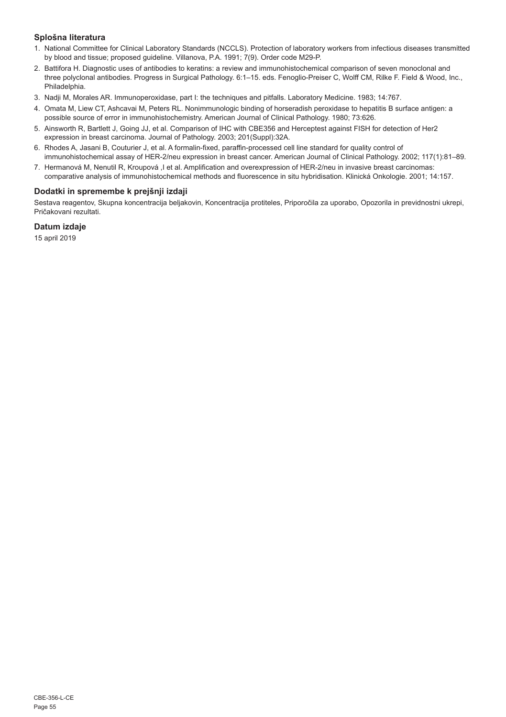## **Splošna literatura**

- 1. National Committee for Clinical Laboratory Standards (NCCLS). Protection of laboratory workers from infectious diseases transmitted by blood and tissue; proposed guideline. Villanova, P.A. 1991; 7(9). Order code M29-P.
- 2. Battifora H. Diagnostic uses of antibodies to keratins: a review and immunohistochemical comparison of seven monoclonal and three polyclonal antibodies. Progress in Surgical Pathology. 6:1–15. eds. Fenoglio-Preiser C, Wolff CM, Rilke F. Field & Wood, Inc., Philadelphia.
- 3. Nadji M, Morales AR. Immunoperoxidase, part I: the techniques and pitfalls. Laboratory Medicine. 1983; 14:767.
- 4. Omata M, Liew CT, Ashcavai M, Peters RL. Nonimmunologic binding of horseradish peroxidase to hepatitis B surface antigen: a possible source of error in immunohistochemistry. American Journal of Clinical Pathology. 1980; 73:626.
- 5. Ainsworth R, Bartlett J, Going JJ, et al. Comparison of IHC with CBE356 and Herceptest against FISH for detection of Her2 expression in breast carcinoma. Journal of Pathology. 2003; 201(Suppl):32A.
- 6. Rhodes A, Jasani B, Couturier J, et al. A formalin-fixed, paraffin-processed cell line standard for quality control of immunohistochemical assay of HER-2/neu expression in breast cancer. American Journal of Clinical Pathology. 2002; 117(1):81–89.
- 7. Hermanová M, Nenutil R, Kroupová ,I et al. Amplification and overexpression of HER-2/neu in invasive breast carcinomas: comparative analysis of immunohistochemical methods and fluorescence in situ hybridisation. Klinická Onkologie. 2001; 14:157.

## **Dodatki in spremembe k prejšnji izdaji**

Sestava reagentov, Skupna koncentracija beljakovin, Koncentracija protiteles, Priporočila za uporabo, Opozorila in previdnostni ukrepi, Pričakovani rezultati.

## **Datum izdaje**

15 april 2019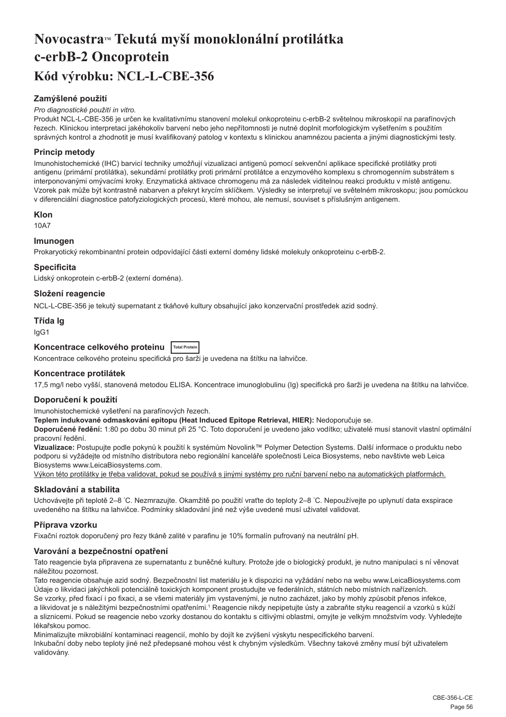## <span id="page-56-0"></span>**NovocastraTM Tekutá myší monoklonální protilátka c-erbB-2 Oncoprotein Kód výrobku: NCL-L-CBE-356**

## **Zamýšlené použití**

#### *Pro diagnostické použití in vitro.*

Produkt NCL-L-CBE-356 je určen ke kvalitativnímu stanovení molekul onkoproteinu c-erbB-2 světelnou mikroskopií na parafínových řezech. Klinickou interpretaci jakéhokoliv barvení nebo jeho nepřítomnosti je nutné doplnit morfologickým vyšetřením s použitím správných kontrol a zhodnotit je musí kvalifikovaný patolog v kontextu s klinickou anamnézou pacienta a jinými diagnostickými testy.

## **Princip metody**

Imunohistochemické (IHC) barvicí techniky umožňují vizualizaci antigenů pomocí sekvenční aplikace specifické protilátky proti antigenu (primární protilátka), sekundární protilátky proti primární protilátce a enzymového komplexu s chromogenním substrátem s interponovanými omývacími kroky. Enzymatická aktivace chromogenu má za následek viditelnou reakci produktu v místě antigenu. Vzorek pak může být kontrastně nabarven a překryt krycím sklíčkem. Výsledky se interpretují ve světelném mikroskopu; jsou pomůckou v diferenciální diagnostice patofyziologických procesů, které mohou, ale nemusí, souviset s příslušným antigenem.

#### **Klon**

10A7

## **Imunogen**

Prokaryotický rekombinantní protein odpovídající části externí domény lidské molekuly onkoproteinu c-erbB-2.

#### **Specificita**

Lidský onkoprotein c-erbB-2 (externí doména).

## **Složení reagencie**

NCL-L-CBE-356 je tekutý supernatant z tkáňové kultury obsahující jako konzervační prostředek azid sodný.

## **Třída Ig**

IgG1

| Koncentrace celkového proteinu  Total Protein |  |
|-----------------------------------------------|--|
|-----------------------------------------------|--|

Koncentrace celkového proteinu specifická pro šarži je uvedena na štítku na lahvičce.

## **Koncentrace protilátek**

17,5 mg/l nebo vyšší, stanovená metodou ELISA. Koncentrace imunoglobulinu (Ig) specifická pro šarži je uvedena na štítku na lahvičce.

#### **Doporučení k použití**

Imunohistochemické vyšetření na parafínových řezech.

**Teplem indukované odmaskování epitopu (Heat Induced Epitope Retrieval, HIER):** Nedoporučuje se.

**Doporučené ředění:** 1:80 po dobu 30 minut při 25 °C. Toto doporučení je uvedeno jako vodítko; uživatelé musí stanovit vlastní optimální pracovní ředění.

**Vizualizace:** Postupujte podle pokynů k použití k systémům Novolink™ Polymer Detection Systems. Další informace o produktu nebo podporu si vyžádejte od místního distributora nebo regionální kanceláře společnosti Leica Biosystems, nebo navštivte web Leica Biosystems www.LeicaBiosystems.com.

Výkon této protilátky je třeba validovat, pokud se používá s jinými systémy pro ruční barvení nebo na automatických platformách.

## **Skladování a stabilita**

Uchovávejte při teplotě 2–8 ˚C. Nezmrazujte. Okamžitě po použití vraťte do teploty 2–8 ˚C. Nepoužívejte po uplynutí data exspirace uvedeného na štítku na lahvičce. Podmínky skladování jiné než výše uvedené musí uživatel validovat.

## **Příprava vzorku**

Fixační roztok doporučený pro řezy tkáně zalité v parafinu je 10% formalín pufrovaný na neutrální pH.

## **Varování a bezpečnostní opatření**

Tato reagencie byla připravena ze supernatantu z buněčné kultury. Protože jde o biologický produkt, je nutno manipulaci s ní věnovat náležitou pozornost.

Tato reagencie obsahuje azid sodný. Bezpečnostní list materiálu je k dispozici na vyžádání nebo na webu www.LeicaBiosystems.com Údaje o likvidaci jakýchkoli potenciálně toxických komponent prostudujte ve federálních, státních nebo místních nařízeních.

Se vzorky, před fixací i po fixaci, a se všemi materiály jim vystavenými, je nutno zacházet, jako by mohly způsobit přenos infekce, a likvidovat je s náležitými bezpečnostními opatřeními.1 Reagencie nikdy nepipetujte ústy a zabraňte styku reagencií a vzorků s kůží a sliznicemi. Pokud se reagencie nebo vzorky dostanou do kontaktu s citlivými oblastmi, omyjte je velkým množstvím vody. Vyhledejte lékařskou pomoc.

Minimalizujte mikrobiální kontaminaci reagencií, mohlo by dojít ke zvýšení výskytu nespecifického barvení. Inkubační doby nebo teploty jiné než předepsané mohou vést k chybným výsledkům. Všechny takové změny musí být uživatelem validovány.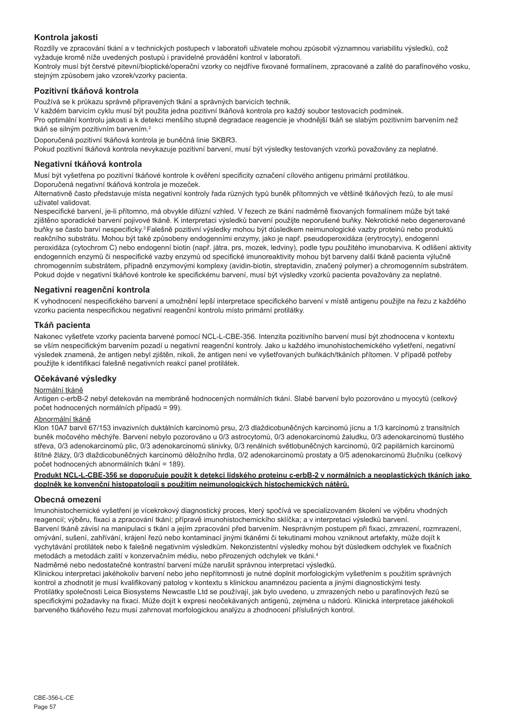## **Kontrola jakosti**

Rozdíly ve zpracování tkání a v technických postupech v laboratoři uživatele mohou způsobit významnou variabilitu výsledků, což vyžaduje kromě níže uvedených postupů i pravidelné provádění kontrol v laboratoři.

Kontroly musí být čerstvé pitevní/bioptické/operační vzorky co nejdříve fixované formalínem, zpracované a zalité do parafínového vosku, stejným způsobem jako vzorek/vzorky pacienta.

## **Pozitivní tkáňová kontrola**

Používá se k průkazu správně připravených tkání a správných barvicích technik.

V každém barvicím cyklu musí být použita jedna pozitivní tkáňová kontrola pro každý soubor testovacích podmínek.

Pro optimální kontrolu jakosti a k detekci menšího stupně degradace reagencie je vhodnější tkáň se slabým pozitivním barvením než tkáň se silným pozitivním barvením.<sup>2</sup>

Doporučená pozitivní tkáňová kontrola je buněčná linie SKBR3.

Pokud pozitivní tkáňová kontrola nevykazuje pozitivní barvení, musí být výsledky testovaných vzorků považovány za neplatné.

### **Negativní tkáňová kontrola**

Musí být vyšetřena po pozitivní tkáňové kontrole k ověření specificity označení cílového antigenu primární protilátkou. Doporučená negativní tkáňová kontrola je mozeček.

Alternativně často představuje místa negativní kontroly řada různých typů buněk přítomných ve většině tkáňových řezů, to ale musí uživatel validovat.

Nespecifické barvení, je-li přítomno, má obvykle difúzní vzhled. V řezech ze tkání nadměrně fixovaných formalínem může být také zjištěno sporadické barvení pojivové tkáně. K interpretaci výsledků barvení použijte neporušené buňky. Nekrotické nebo degenerované buňky se často barví nespecificky.<sup>3</sup>Falešně pozitivní výsledky mohou být důsledkem neimunologické vazby proteinů nebo produktů reakčního substrátu. Mohou být také způsobeny endogenními enzymy, jako je např. pseudoperoxidáza (erytrocyty), endogenní peroxidáza (cytochrom C) nebo endogenní biotin (např. játra, prs, mozek, ledviny), podle typu použitého imunobarviva. K odlišení aktivity endogenních enzymů či nespecifické vazby enzymů od specifické imunoreaktivity mohou být barveny další tkáně pacienta výlučně chromogenním substrátem, případně enzymovými komplexy (avidin-biotin, streptavidin, značený polymer) a chromogenním substrátem. Pokud dojde v negativní tkáňové kontrole ke specifickému barvení, musí být výsledky vzorků pacienta považovány za neplatné.

## **Negativní reagenční kontrola**

K vyhodnocení nespecifického barvení a umožnění lepší interpretace specifického barvení v místě antigenu použijte na řezu z každého vzorku pacienta nespecifickou negativní reagenční kontrolu místo primární protilátky.

## **Tkáň pacienta**

Nakonec vyšetřete vzorky pacienta barvené pomocí NCL-L-CBE-356. Intenzita pozitivního barvení musí být zhodnocena v kontextu se vším nespecifickým barvením pozadí u negativní reagenční kontroly. Jako u každého imunohistochemického vyšetření, negativní výsledek znamená, že antigen nebyl zjištěn, nikoli, že antigen není ve vyšetřovaných buňkách/tkáních přítomen. V případě potřeby použijte k identifikaci falešně negativních reakcí panel protilátek.

## **Očekávané výsledky**

## Normální tkáně

Antigen c-erbB-2 nebyl detekován na membráně hodnocených normálních tkání. Slabé barvení bylo pozorováno u myocytů (celkový počet hodnocených normálních případů = 99).

#### Abnormální tkáně

Klon 10A7 barvil 67/153 invazivních duktálních karcinomů prsu, 2/3 dlaždicobuněčných karcinomů jícnu a 1/3 karcinomů z transitních buněk močového měchýře. Barvení nebylo pozorováno u 0/3 astrocytomů, 0/3 adenokarcinomů žaludku, 0/3 adenokarcinomů tlustého střeva, 0/3 adenokarcinomů plic, 0/3 adenokarcinomů slinivky, 0/3 renálních světlobuněčných karcinomů, 0/2 papilárních karcinomů štítné žlázy, 0/3 dlaždicobuněčných karcinomů děložního hrdla, 0/2 adenokarcinomů prostaty a 0/5 adenokarcinomů žlučníku (celkový počet hodnocených abnormálních tkání = 189).

#### **Produkt NCL-L-CBE-356 se doporučuje použít k detekci lidského proteinu c-erbB-2 v normálních a neoplastických tkáních jako doplněk ke konvenční histopatologii s použitím neimunologických histochemických nátěrů.**

## **Obecná omezení**

Imunohistochemické vyšetření je vícekrokový diagnostický proces, který spočívá ve specializovaném školení ve výběru vhodných reagencií; výběru, fixaci a zpracování tkání; přípravě imunohistochemickího sklíčka; a v interpretaci výsledků barvení. Barvení tkáně závisí na manipulaci s tkání a jejím zpracování před barvením. Nesprávným postupem při fixaci, zmrazení, rozmrazení, omývání, sušení, zahřívání, krájení řezů nebo kontaminací jinými tkáněmi či tekutinami mohou vzniknout artefakty, může dojít k vychytávání protilátek nebo k falešně negativním výsledkům. Nekonzistentní výsledky mohou být důsledkem odchylek ve fixačních metodách a metodách zalití v konzervačním médiu, nebo přirozených odchylek ve tkáni.<sup>4</sup>

Nadměrné nebo nedostatečné kontrastní barvení může narušit správnou interpretaci výsledků.

Klinickou interpretaci jakéhokoliv barvení nebo jeho nepřítomnosti je nutné doplnit morfologickým vyšetřením s použitím správných kontrol a zhodnotit je musí kvalifikovaný patolog v kontextu s klinickou anamnézou pacienta a jinými diagnostickými testy. Protilátky společnosti Leica Biosystems Newcastle Ltd se používají, jak bylo uvedeno, u zmrazených nebo u parafínových řezů se specifickými požadavky na fixaci. Může dojít k expresi neočekávaných antigenů, zejména u nádorů. Klinická interpretace jakéhokoli barveného tkáňového řezu musí zahrnovat morfologickou analýzu a zhodnocení příslušných kontrol.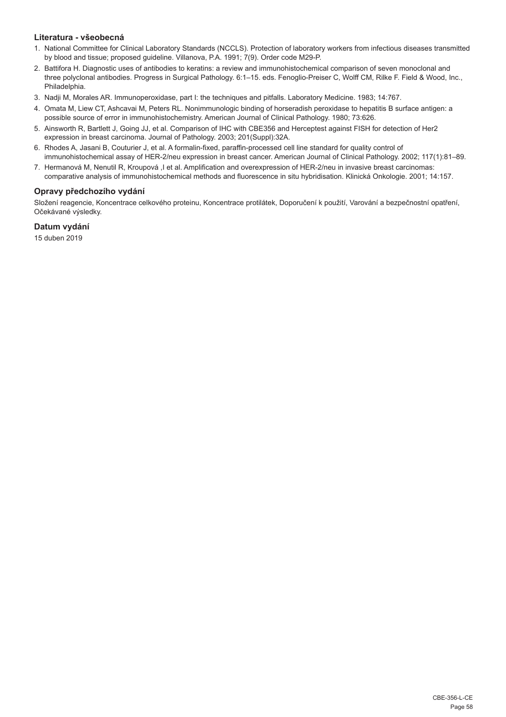## **Literatura - všeobecná**

- 1. National Committee for Clinical Laboratory Standards (NCCLS). Protection of laboratory workers from infectious diseases transmitted by blood and tissue; proposed guideline. Villanova, P.A. 1991; 7(9). Order code M29-P.
- 2. Battifora H. Diagnostic uses of antibodies to keratins: a review and immunohistochemical comparison of seven monoclonal and three polyclonal antibodies. Progress in Surgical Pathology. 6:1–15. eds. Fenoglio-Preiser C, Wolff CM, Rilke F. Field & Wood, Inc., Philadelphia.
- 3. Nadji M, Morales AR. Immunoperoxidase, part I: the techniques and pitfalls. Laboratory Medicine. 1983; 14:767.
- 4. Omata M, Liew CT, Ashcavai M, Peters RL. Nonimmunologic binding of horseradish peroxidase to hepatitis B surface antigen: a possible source of error in immunohistochemistry. American Journal of Clinical Pathology. 1980; 73:626.
- 5. Ainsworth R, Bartlett J, Going JJ, et al. Comparison of IHC with CBE356 and Herceptest against FISH for detection of Her2 expression in breast carcinoma. Journal of Pathology. 2003; 201(Suppl):32A.
- 6. Rhodes A, Jasani B, Couturier J, et al. A formalin-fixed, paraffin-processed cell line standard for quality control of immunohistochemical assay of HER-2/neu expression in breast cancer. American Journal of Clinical Pathology. 2002; 117(1):81–89.
- 7. Hermanová M, Nenutil R, Kroupová ,I et al. Amplification and overexpression of HER-2/neu in invasive breast carcinomas: comparative analysis of immunohistochemical methods and fluorescence in situ hybridisation. Klinická Onkologie. 2001; 14:157.

## **Opravy předchozího vydání**

Složení reagencie, Koncentrace celkového proteinu, Koncentrace protilátek, Doporučení k použití, Varování a bezpečnostní opatření, Očekávané výsledky.

## **Datum vydání**

15 duben 2019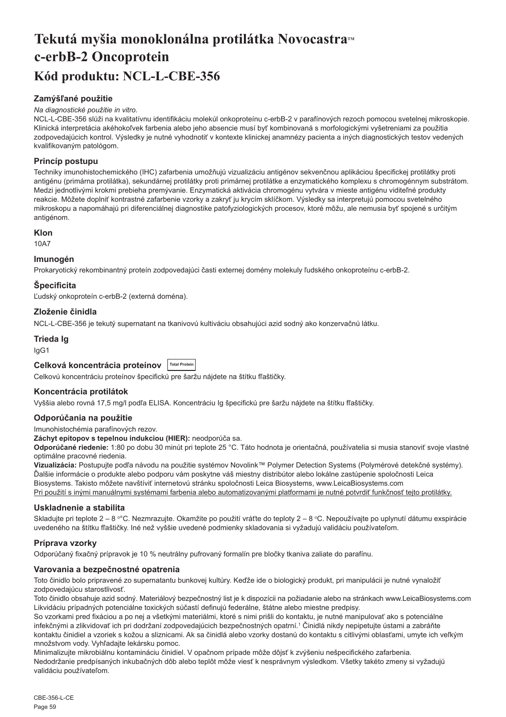## <span id="page-59-0"></span>Tekutá myšia monoklonálna protilátka Novocastra<sup>*M*</sup> **c-erbB-2 Oncoprotein Kód produktu: NCL-L-CBE-356**

## **Zamýšľané použitie**

#### *Na diagnostické použitie in vitro.*

NCL-L-CBE-356 slúži na kvalitatívnu identifikáciu molekúl onkoproteínu c-erbB-2 v parafínových rezoch pomocou svetelnej mikroskopie. Klinická interpretácia akéhokoľvek farbenia alebo jeho absencie musí byť kombinovaná s morfologickými vyšetreniami za použitia zodpovedajúcich kontrol. Výsledky je nutné vyhodnotiť v kontexte klinickej anamnézy pacienta a iných diagnostických testov vedených kvalifikovaným patológom.

## **Princíp postupu**

Techniky imunohistochemického (IHC) zafarbenia umožňujú vizualizáciu antigénov sekvenčnou aplikáciou špecifickej protilátky proti antigénu (primárna protilátka), sekundárnej protilátky proti primárnej protilátke a enzymatického komplexu s chromogénnym substrátom. Medzi jednotlivými krokmi prebieha premývanie. Enzymatická aktivácia chromogénu vytvára v mieste antigénu viditeľné produkty reakcie. Môžete doplniť kontrastné zafarbenie vzorky a zakryť ju krycím sklíčkom. Výsledky sa interpretujú pomocou svetelného mikroskopu a napomáhajú pri diferenciálnej diagnostike patofyziologických procesov, ktoré môžu, ale nemusia byť spojené s určitým antigénom.

## **Klon**

10A7

## **Imunogén**

Prokaryotický rekombinantný proteín zodpovedajúci časti externej domény molekuly ľudského onkoproteínu c-erbB-2.

## **Špecificita**

Ľudský onkoproteín c-erbB-2 (externá doména).

## **Zloženie činidla**

NCL-L-CBE-356 je tekutý supernatant na tkanivovú kultiváciu obsahujúci azid sodný ako konzervačnú látku.

#### **Trieda Ig**

IgG1

## **Celková koncentrácia proteínov Total Protein**

Celkovú koncentráciu proteínov špecifickú pre šaržu nájdete na štítku fľaštičky.

## **Koncentrácia protilátok**

Vyššia alebo rovná 17,5 mg/l podľa ELISA. Koncentráciu Ig špecifickú pre šaržu nájdete na štítku fľaštičky.

#### **Odporúčania na použitie**

Imunohistochémia parafínových rezov.

**Záchyt epitopov s tepelnou indukciou (HIER):** neodporúča sa.

**Odporúčané riedenie:** 1:80 po dobu 30 minút pri teplote 25 °C. Táto hodnota je orientačná, používatelia si musia stanoviť svoje vlastné optimálne pracovné riedenia.

**Vizualizácia:** Postupujte podľa návodu na použitie systémov Novolink™ Polymer Detection Systems (Polymérové detekčné systémy). Ďalšie informácie o produkte alebo podporu vám poskytne váš miestny distribútor alebo lokálne zastúpenie spoločnosti Leica Biosystems. Takisto môžete navštíviť internetovú stránku spoločnosti Leica Biosystems, www.LeicaBiosystems.com Pri použití s inými manuálnymi systémami farbenia alebo automatizovanými platformami je nutné potvrdiť funkčnosť tejto protilátky.

#### **Uskladnenie a stabilita**

Skladujte pri teplote 2 – 8 °°C. Nezmrazujte. Okamžite po použití vráťte do teploty 2 – 8 °C. Nepoužívajte po uplynutí dátumu exspirácie uvedeného na štítku fľaštičky. Iné než vyššie uvedené podmienky skladovania si vyžadujú validáciu používateľom.

## **Príprava vzorky**

Odporúčaný fixačný prípravok je 10 % neutrálny pufrovaný formalín pre bločky tkaniva zaliate do parafínu.

## **Varovania a bezpečnostné opatrenia**

Toto činidlo bolo pripravené zo supernatantu bunkovej kultúry. Keďže ide o biologický produkt, pri manipulácii je nutné vynaložiť zodpovedajúcu starostlivosť.

Toto činidlo obsahuje azid sodný. Materiálový bezpečnostný list je k dispozícii na požiadanie alebo na stránkach www.LeicaBiosystems.com Likvidáciu prípadných potenciálne toxických súčastí definujú federálne, štátne alebo miestne predpisy.

So vzorkami pred fixáciou a po nej a všetkými materiálmi, ktoré s nimi prišli do kontaktu, je nutné manipulovať ako s potenciálne infekčnými a zlikvidovať ich pri dodržaní zodpovedajúcich bezpečnostných opatrní.<sup>1</sup> Činidlá nikdy nepipetujte ústami a zabráňte kontaktu činidiel a vzoriek s kožou a sliznicami. Ak sa činidlá alebo vzorky dostanú do kontaktu s citlivými oblasťami, umyte ich veľkým množstvom vody. Vyhľadajte lekársku pomoc.

Minimalizujte mikrobiálnu kontamináciu činidiel. V opačnom prípade môže dôjsť k zvýšeniu nešpecifického zafarbenia. Nedodržanie predpísaných inkubačných dôb alebo teplôt môže viesť k nesprávnym výsledkom. Všetky takéto zmeny si vyžadujú validáciu používateľom.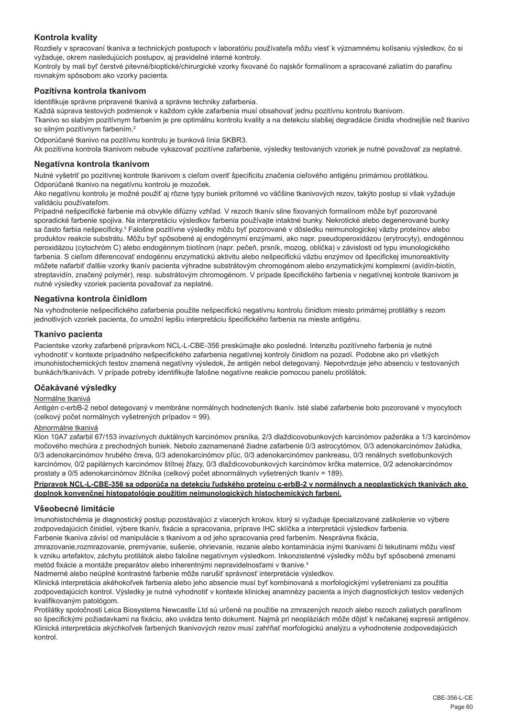## **Kontrola kvality**

Rozdiely v spracovaní tkaniva a technických postupoch v laboratóriu používateľa môžu viesť k významnému kolísaniu výsledkov, čo si vyžaduje, okrem nasledujúcich postupov, aj pravidelné interné kontroly.

Kontroly by mali byť čerstvé pitevné/bioptické/chirurgické vzorky fixované čo najskôr formalínom a spracované zaliatím do parafínu rovnakým spôsobom ako vzorky pacienta.

## **Pozitívna kontrola tkanivom**

Identifikuje správne pripravené tkanivá a správne techniky zafarbenia.

Každá súprava testových podmienok v každom cykle zafarbenia musí obsahovať jednu pozitívnu kontrolu tkanivom.

Tkanivo so slabým pozitívnym farbením je pre optimálnu kontrolu kvality a na detekciu slabšej degradácie činidla vhodnejšie než tkanivo so silným pozitívnym farbením.<sup>2</sup>

Odporúčané tkanivo na pozitívnu kontrolu je bunková línia SKBR3.

Ak pozitívna kontrola tkanivom nebude vykazovať pozitívne zafarbenie, výsledky testovaných vzoriek je nutné považovať za neplatné.

#### **Negatívna kontrola tkanivom**

Nutné vyšetriť po pozitívnej kontrole tkanivom s cieľom overiť špecificitu značenia cieľového antigénu primárnou protilátkou. Odporúčané tkanivo na negatívnu kontrolu je mozoček.

Ako negatívnu kontrolu je možné použiť aj rôzne typy buniek prítomné vo väčšine tkanivových rezov, takýto postup si však vyžaduje validáciu používateľom.

Prípadné nešpecifické farbenie má obvykle difúzny vzhľad. V rezoch tkanív silne fixovaných formalínom môže byť pozorované sporadické farbenie spojiva. Na interpretáciu výsledkov farbenia používajte intaktné bunky. Nekrotické alebo degenerované bunky sa často farbia nešpecificky.<sup>3</sup> Falošne pozitívne výsledky môžu byť pozorované v dôsledku neimunologickej väzby proteínov alebo produktov reakcie substrátu. Môžu byť spôsobené aj endogénnymi enzýmami, ako napr. pseudoperoxidázou (erytrocyty), endogénnou peroxidázou (cytochróm C) alebo endogénnym biotínom (napr. pečeň, prsník, mozog, oblička) v závislosti od typu imunologického farbenia. S cieľom diferencovať endogénnu enzymatickú aktivitu alebo nešpecifickú väzbu enzýmov od špecifickej imunoreaktivity môžete nafarbiť ďalšie vzorky tkanív pacienta výhradne substrátovým chromogénom alebo enzymatickými komplexmi (avidín-biotín, streptavidín, značený polymér), resp. substrátovým chromogénom. V prípade špecifického farbenia v negatívnej kontrole tkanivom je nutné výsledky vzoriek pacienta považovať za neplatné.

## **Negatívna kontrola činidlom**

Na vyhodnotenie nešpecifického zafarbenia použite nešpecifickú negatívnu kontrolu činidlom miesto primárnej protilátky s rezom jednotlivých vzoriek pacienta, čo umožní lepšiu interpretáciu špecifického farbenia na mieste antigénu.

## **Tkanivo pacienta**

Pacientske vzorky zafarbené prípravkom NCL-L-CBE-356 preskúmajte ako posledné. Intenzitu pozitívneho farbenia je nutné vyhodnotiť v kontexte prípadného nešpecifického zafarbenia negatívnej kontroly činidlom na pozadí. Podobne ako pri všetkých imunohistochemických testov znamená negatívny výsledok, že antigén nebol detegovaný. Nepotvrdzuje jeho absenciu v testovaných bunkách/tkanivách. V prípade potreby identifikujte falošne negatívne reakcie pomocou panelu protilátok.

#### **Očakávané výsledky**

#### Normálne tkanivá

Antigén c-erbB-2 nebol detegovaný v membráne normálnych hodnotených tkanív. Isté slabé zafarbenie bolo pozorované v myocytoch (celkový počet normálnych vyšetrených prípadov = 99).

## Abnormálne tkanivá

Klon 10A7 zafarbil 67/153 invazívnych duktálnych karcinómov prsníka, 2/3 dlaždicovobunkových karcinómov pažeráka a 1/3 karcinómov močového mechúra z prechodných buniek. Nebolo zaznamenané žiadne zafarbenie 0/3 astrocytómov, 0/3 adenokarcinómov žalúdka, 0/3 adenokarcinómov hrubého čreva, 0/3 adenokarcinómov pľúc, 0/3 adenokarcinómov pankreasu, 0/3 renálnych svetlobunkových karcinómov, 0/2 papilárnych karcinómov štítnej žľazy, 0/3 dlaždicovobunkových karcinómov krčka maternice, 0/2 adenokarcinómov prostaty a 0/5 adenokarcinómov žlčníka (celkový počet abnormálnych vyšetrených tkanív = 189).

#### **Prípravok NCL-L-CBE-356 sa odporúča na detekciu ľudského proteínu c-erbB-2 v normálnych a neoplastických tkanivách ako doplnok konvenčnej histopatológie použitím neimunologických histochemických farbení.**

#### **Všeobecné limitácie**

Imunohistochémia je diagnostický postup pozostávajúci z viacerých krokov, ktorý si vyžaduje špecializované zaškolenie vo výbere zodpovedajúcich činidiel, výbere tkanív, fixácie a spracovania, príprave IHC sklíčka a interpretácii výsledkov farbenia. Farbenie tkaniva závisí od manipulácie s tkanivom a od jeho spracovania pred farbením. Nesprávna fixácia,

zmrazovanie,rozmrazovanie, premývanie, sušenie, ohrievanie, rezanie alebo kontaminácia inými tkanivami či tekutinami môžu viesť k vzniku artefaktov, záchytu protilátok alebo falošne negatívnym výsledkom. Inkonzistentné výsledky môžu byť spôsobené zmenami metód fixácie a montáže preparátov alebo inherentnými nepravidelnosťami v tkanive.<sup>4</sup>

Nadmerné alebo neúplné kontrastné farbenie môže narušiť správnosť interpretácie výsledkov.

Klinická interpretácia akéhokoľvek farbenia alebo jeho absencie musí byť kombinovaná s morfologickými vyšetreniami za použitia zodpovedajúcich kontrol. Výsledky je nutné vyhodnotiť v kontexte klinickej anamnézy pacienta a iných diagnostických testov vedených kvalifikovaným patológom.

Protilátky spoločnosti Leica Biosystems Newcastle Ltd sú určené na použitie na zmrazených rezoch alebo rezoch zaliatych parafínom so špecifickými požiadavkami na fixáciu, ako uvádza tento dokument. Najmä pri neopláziách môže dôjsť k nečakanej expresii antigénov. Klinická interpretácia akýchkoľvek farbených tkanivových rezov musí zahŕňať morfologickú analýzu a vyhodnotenie zodpovedajúcich kontrol.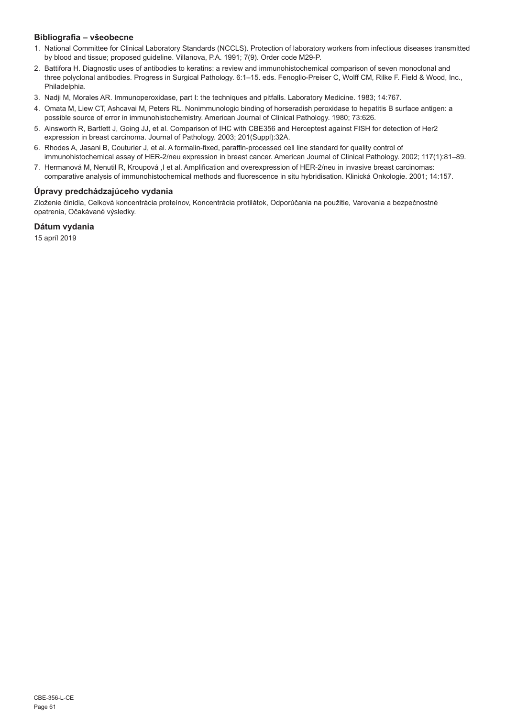## **Bibliografia – všeobecne**

- 1. National Committee for Clinical Laboratory Standards (NCCLS). Protection of laboratory workers from infectious diseases transmitted by blood and tissue; proposed guideline. Villanova, P.A. 1991; 7(9). Order code M29-P.
- 2. Battifora H. Diagnostic uses of antibodies to keratins: a review and immunohistochemical comparison of seven monoclonal and three polyclonal antibodies. Progress in Surgical Pathology. 6:1–15. eds. Fenoglio-Preiser C, Wolff CM, Rilke F. Field & Wood, Inc., Philadelphia.
- 3. Nadji M, Morales AR. Immunoperoxidase, part I: the techniques and pitfalls. Laboratory Medicine. 1983; 14:767.
- 4. Omata M, Liew CT, Ashcavai M, Peters RL. Nonimmunologic binding of horseradish peroxidase to hepatitis B surface antigen: a possible source of error in immunohistochemistry. American Journal of Clinical Pathology. 1980; 73:626.
- 5. Ainsworth R, Bartlett J, Going JJ, et al. Comparison of IHC with CBE356 and Herceptest against FISH for detection of Her2 expression in breast carcinoma. Journal of Pathology. 2003; 201(Suppl):32A.
- 6. Rhodes A, Jasani B, Couturier J, et al. A formalin-fixed, paraffin-processed cell line standard for quality control of immunohistochemical assay of HER-2/neu expression in breast cancer. American Journal of Clinical Pathology. 2002; 117(1):81–89.
- 7. Hermanová M, Nenutil R, Kroupová ,I et al. Amplification and overexpression of HER-2/neu in invasive breast carcinomas: comparative analysis of immunohistochemical methods and fluorescence in situ hybridisation. Klinická Onkologie. 2001; 14:157.

## **Úpravy predchádzajúceho vydania**

Zloženie činidla, Celková koncentrácia proteínov, Koncentrácia protilátok, Odporúčania na použitie, Varovania a bezpečnostné opatrenia, Očakávané výsledky.

## **Dátum vydania**

15 apríl 2019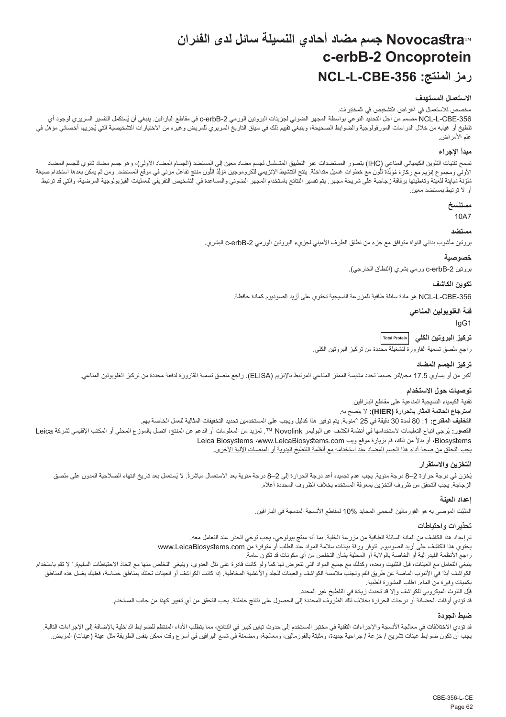## **NovocastraTM جسم مضاد أحادي النسيلة سائل لدى الفئران c-erbB-2 Oncoprotein NCL-L-CBE-356 :المنتج رمز**

#### **االستعمال المستهدف**

مخصص لالستعمال في أغراض التشخيص في المختبرات.

<span id="page-62-0"></span>NCL-L-CBE-356 مصمم من اجل التحديد النوعي بواسطة المجهر الضوئي لجزيئات البروتين الورمي c-erbB-2 في مقاطع البارافين. ينبغي ان يُستكمل التفسير السريري لوجود اي لطيخ أو غيابه من خلال الدراسات المورفولوجية والضوابط الصحيحة، وينبغي تقييم ذلك في سياق التاريخ المريض وغيره من الأختبارات التشخيصية التي يُجريها اخصائي مؤهل في علم الأمراض.

#### **مبدأ اإلجراء**

سَمح تقيك التلوين الكيميائي المناعي (HC) بتسور المستضدات عبر التطبيق المشمس المستخدم الجسم المصدد الأولي)، وهو جسم مصاد ثانوي الجسم المصاد<br>الأولي ومجموع إنزيم مع ركازة مَوَلِّذَة الْون مع خطوات غسل منظمة الإنتشار المنتجات ļ َّ֧֦֧֖֖֖֖֖֧֚֚֚֚֚֚֚֚֡֝֬<u>֓</u> نافية مُبلِنة للعينة وتغطيتها برقاقة زجاجية على شريحة مجهر. يتم تفسير النتئج باستخدام المراعة والتشخيص التفريقي للعمليات الفيزيولوجية المرصية، والتي قد ترتبط أو ال ترتبط بمستضد معين.

## **مستنسخ**

10A7

#### **مستضد**

بروتين مأشوب بدائي النواة متوافق مع جزء من نطاق الطرف األميني لجزيء البروتين الورمي -2erbB-c البشري.

#### **خصوصية**

بروتين 2-c-erbB ورمي بشري (النطاق الخارجي).

#### **تكوين الكاشف**

-356CBE-L-NCL هو مادة سائلة طافية للمزرعة النسيجية تحتوي على أزيد الصوديوم كمادة حافظة.

**فئة الغلوبولين المناعي**

IgG1

**تركيز البروتين الكلي Total Protein**

راجع ملصق تسمية القارورة لتشغيلة محددة من تركيز البروتين الكلي.

## **تركيز الجسم المضاد**

أكبر من أو يساوي 17.5 مجم/لتر حسبما تحدد مقايسة الممتز المناعي المرتبط باإلنزيم )ELISA). راجع ملصق تسمية القارورة لدفعة محددة من تركيز الغلوبولين المناعي.

### **توصيات حول االستخدام**

تقنية الكيمياء النسيجية المناعية على مقاطع البارافين. **استرجاع الحاتمة المثار بالحرارة )HIER):** ال ينصح به. **التخفيف المقترح:** :1 80 لمدة 30 دقيقة في 25 °مئوية. يتم توفير هذا كدليل ويجب على المستخدمين تحديد التخفيفات المثالية للعمل الخاصة بهم.

ا**لتصور**: يُرجى اتباع التعليمات لاستخدامها في انظمة الكشف عن البوليمر Novolink™ . لمزيد من المعلومات أو المحلي أو المحلي أو المكتب الإقليمي لشركة Leica Biosystems، أو بدلاً من ذلك، قم بزيارة موقع ويب Leica Biosystems ‹www.LeicaBiosystems.com يجب التحقق من صحة أداء هذا الجسم المضاد عند استخدامه مع أنظمة التلطيخ اليدوية أو المنصات اآللية األخرى.

#### **التخزين واالستقرار**

بُخزن في درجة حرارة 2–8 درجة مئوية. يجب عدم تجميده أعد درجة الحرارة إلى 2–8 درجة مئوية بعد الاستعمال ملتب الشعاء الصلاحية المدون على ملصق الزجاجة. يجب التحقق من ظروف التخزين بمعرفة المستخدم بخالف الظروف المحددة أعاله.

#### **إعداد العينة**

المثَّبِّت الموصى به هو الفور مالين المحمي المحايد 10% لمقاطع الانسجة المدمجة في البار افين.

### **تحذيرات واحتياطات**

تم إعداد هذا الكاشف من المادة السائلة الطافية من مزرعة الخلية. بما أنه منتج بيولوجي، يجب توخي الحذر عند التعامل معه. يحتوي هذا الكاشف على أزيد الصوديوم. تتوفر ورقة بيانات سالمة المواد عند الطلب أو متوفرة من com.LeicaBiosystems.www راجع الأنظمة الفيدرالية أو الخاصة بالولاية أو المحلية بشأن التخلص من أي مكونات قد تكون سامة. بنبغي التعامل مع العينات، قبل التثبيت وبعده، وكذلك مع جميع المواد التي تتنم كان كانت قادرة على نقل العنوى وينبغي التخلص منها مع اتخاذ الاحتياطات السليمة.' لا تقم باستخدام الكواشف أبدًا في الأنبوب الماصة عن طريق الفم وتجنب ملامسة الكواشف الجارا والأعقية المخاطية. إذا كانت الكواشف أو العينات تحتك بمناطق حساسة، فعليك بغسل هذه المناطق بكميات وفيرة من الماء. اطلب المشورة الطبية. ِل التلوث الميكروبي للكواشف وإال قد تحدث زيادة في التلطيخ غير المحدد. قل j

قد تؤدي أوقات الحضانة أو درجات الحرارة بخالف تلك الظروف المحددة إلى الحصول على نتائج خاطئة. يجب التحقق من أي تغيير كهذا من جانب المستخدم.

#### **ضبط الجودة**

قد تزدي الاختلافات في معالجة الأنسجة والإجراءات التقنية في مختبر المستخدم إلى حدوث تباين كبير في النتائج، مما يتطلب الناشر الماستان المنافة بالإضافة إلى الإجراءات التالية. يجب أن تكون ضوابط عينات تشريح / خز عة / جراحية جديدة، ومثبتة بالفورمالين، ومعالجة، ومضمنة في شمع البرافين في أسرع وقت ممكن بنفس الطريقة مثل عينة (عينات) المريض.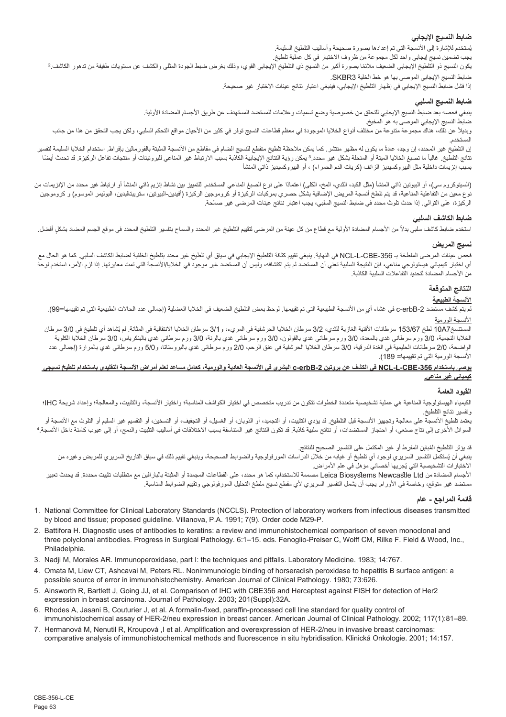## **ضابط النسيج اإليجابي**

بُستخدم للإشارة إلى الانسجة التي تم إعدادها بصنورة صحيحة واساليب التلطيخ السليمة.

بجب تضمين نسيج إيجابي واحد لكل مجموعة من ظروف الاختبار في كل عملية تلطيخ.<br>يكون النسيج ذو التلطيخ الإيجابي الضعيف ملائمًا بصورة أكبر من النسيج ذي التلفية والتلف التحاري المعالي والكشف عن مستويات طفيفة من تدهور الكاشف.2 ضابط النسيج اإليجابي الموصى بها هو خط الخلية 3SKBR.

إذا فشل ضابط النسيج اإليجابي في إظهار التلطيخ اإليجابي، فينبغي اعتبار نتائج عينات االختبار غير صحيحة.

## **ضابط النسيج السلبي**

ينبغي فحصه بعد ضابط النسيج اإليجابي للتحقق من خصوصية وضع تسميات وعالمات للمستضد المستهدف عن طريق األجسام المضادة األولية.

ضابط النسيج اإليجابي الموصى به هو المخيخ.

ربديلاً عن ذلك، هناك مجموعة متنوعة من مختلف أنواع الخلايا الموجودة في معظم قطاعات النسيج توفر في كالها على المعاه عامل التحكم السلبي، ولكن يجب التحقق من هذا من جانب

لمستخدم.<br>إن التلطيخ غير المحده، إن وجد، عادةً ما يكون له مظهر منتشر . كما يمكن متكلم المصابح الشام الفتح الفتر المثل المثل المال السليمة لتفسير المسلمة لتفسير نتائج التلطيخ. غالبا مالم المنحا المنحلة المنحلة بشكل غير محدد.3 يمكن المناع المناع المرتباط المنسب الارتباط غير المناعي للبروتينات أو منتجات تفاعل الركيزة. قد تحدث أيضا بسبب إنزيمات داخلية مثل البيروكسيديز الزائف (كريات الدم الحمراء) ، أو البيروكسيديز ذاتي المنشأ

(السيتوكروم سي)، أو البيوتين ذاتي المنشأ (مثل الكبد، الثدي، الكلي) المنظم المنشخص الته المن المنسج المن المنشأ و المنشأ أو ارتباط غير محدد من الإنزيمات من نوع معين من التفاعلية المناعية، قد يتم تلطخ أنسجة المريض الإضافية المركبات الركيزة أو كروموجين الركيزة (أفيدين-البيوتين، ستريبتافيدين، البوليمر الموسوم) و كروموجين الركيزة، على التوالي. إذا حدث تلوث محدد في ضابط النسيج السلبي، يجب اعتبار نتائج عينات المرضى غير صالحة.

## **ضابط الكاشف السلبي**

استخدم ضابط كاشف سلبي بدلأ من الأجسام المضادة الأولية مع قطاع من كل المحل التحاريخ غير المحدد والسماح بتفسير التلطيخ المحدد في موقع الجسم المضاد بشكلٍ أفضل.

## **نسيج المريض**

فحص عينات المرضى الملطخة بـ -356CBE-L-NCL في النهاية. ينبغي تقييم كثافة التلطيخ اإليجابي في سياق أي تلطيخ غير محدد بتلطيخ الخلفية لضابط الكاشف السلبي. كما هو الحال مع أي اختبار كيميائي هيستولوجي مناعي، فإن النتيجة السلبية تعني أن المستضد ليستخدم التي تستم المستضد عبر المستخدم التي تمت معايرتها. إذا لزم الأمر، استخدم لوحة من الأجسام المضادة لتحديد التفاعلات السلبية الكاذبة.

#### **النتائج المتوقعة**

## **األنسجة الطبيعية**

لم يتم كشف مستضد 2-c-erbB في غشاء أي من الانسجة الطبيعية التي تم تقييمها. لوحظ بعض الفياس بعن الخلالية التلاليا الطبيعية التي تم تقييمها=99).

#### األنسجة الورمية

المستنسخ19677 لطح 153/67 سرطانات الأقنية الغازية للثدي، 3/2 سرطان الخلايا الحرشفية في المريء، و3/1 سرطان الخلايا الانتقالية في المثانة. لم يُشاهد اي تلطيخ في 3/0 سرطان الخلايا النجمية، 3/0 ورم سرطاني غدي بالمعدة، 3/0 ورم سرطاني غدي بالرئة، 3/0 ورم سرطاني غدي بالبنكرياس، 3/0 سرطان الخلايا الكلوية الواضحة، 2/0 سرطانات الحليمية في الغدة الدرقية، 3/0 سرطان الخلايا الحرشفية في عنق الرحم، 2/0 ورم الغاني و5/0 ورم سرطاني غدي بالمرارة (إجمالي عدد األنسجة الورمية التي تم تقييمها= 189(.

#### **يوصى باستخدام -356CBE-L-NCL في الكشف عن بروتين -2erbB-c البشري في األنسجة العادية والورمية، كعامل مساعد لعلم أمراض األنسجة التقليدي باستخدام تلطيخ نسيجي كيميائي غير مناعي.**

#### **القيود العامة**

الكيمياء الهيستولوجية المناعية هي عطية تشخيصية متعددة الخطوات تتكون متخصص في اختيار الكوائف المناسبة؛ واختيار الأنسجة، والتعليت، والمعالجة؛ وإعداد شريحة IHC؛ وتفسير نتائج التلطيخ.

يعتمد تلطيخ الأنسجة على معالجة وتجهيز الأنسجة قبل التلطيخ. قد يؤدي التثبيت، أو التجارية، أو التشوين، أو التقسيم غير السليم أو التلوث مع الأنسجة أو السوائل الأخرى إلى نتاج صنعي، أو احتجاز المستضدات، أو نتائج ملائبة قد تكون النتاسقة قد النسبب الأختلافات في اساليب التثبيت والدمج، أو إلى عيوب كامنة داخل الانسجة.

قد يؤثر التلطيخ المُباين المفرط او غير المكتمل على التفسير الصحيح للنتائج.

بنغي ان يُستكمل التفسير السريري لوجود اي تلطيخ او غيابه من خلال الدراسات المورفولوجية والضوابط الصحيحة، وينبغي تقييم ذلك في سياق التاريخ السريري للمريض وغيره من الأختبار ات التشخيصية التي يُجريها اخصـائي مؤهل في علم الأمر اض.

األجسام المضادة من Ltd Newcastle Biosystems Leica مصممة لالستخدام، كما هو محدد، على القطاعات المجمدة أو المثبتة بالبارافين مع متطلبات تثبيت محددة. قد يحدث تعبير مستضد غير متوقع، وخاصة في األورام. يجب أن يشمل التفسير السريري ألي مقطع نسيج ملطخ التحليل المورفولوجي وتقييم الضوابط المناسبة.

#### **قائمة المراجع - عام**

- 1. National Committee for Clinical Laboratory Standards (NCCLS). Protection of laboratory workers from infectious diseases transmitted by blood and tissue; proposed guideline. Villanova, P.A. 1991; 7(9). Order code M29-P.
- 2. Battifora H. Diagnostic uses of antibodies to keratins: a review and immunohistochemical comparison of seven monoclonal and three polyclonal antibodies. Progress in Surgical Pathology. 6:1–15. eds. Fenoglio-Preiser C, Wolff CM, Rilke F. Field & Wood, Inc., Philadelphia.
- 3. Nadji M, Morales AR. Immunoperoxidase, part I: the techniques and pitfalls. Laboratory Medicine. 1983; 14:767.
- 4. Omata M, Liew CT, Ashcavai M, Peters RL. Nonimmunologic binding of horseradish peroxidase to hepatitis B surface antigen: a possible source of error in immunohistochemistry. American Journal of Clinical Pathology. 1980; 73:626.
- 5. Ainsworth R, Bartlett J, Going JJ, et al. Comparison of IHC with CBE356 and Herceptest against FISH for detection of Her2 expression in breast carcinoma. Journal of Pathology. 2003; 201(Suppl):32A.
- 6. Rhodes A, Jasani B, Couturier J, et al. A formalin-fixed, paraffin-processed cell line standard for quality control of immunohistochemical assay of HER-2/neu expression in breast cancer. American Journal of Clinical Pathology. 2002; 117(1):81–89.
- 7. Hermanová M, Nenutil R, Kroupová ,I et al. Amplification and overexpression of HER-2/neu in invasive breast carcinomas: comparative analysis of immunohistochemical methods and fluorescence in situ hybridisation. Klinická Onkologie. 2001; 14:157.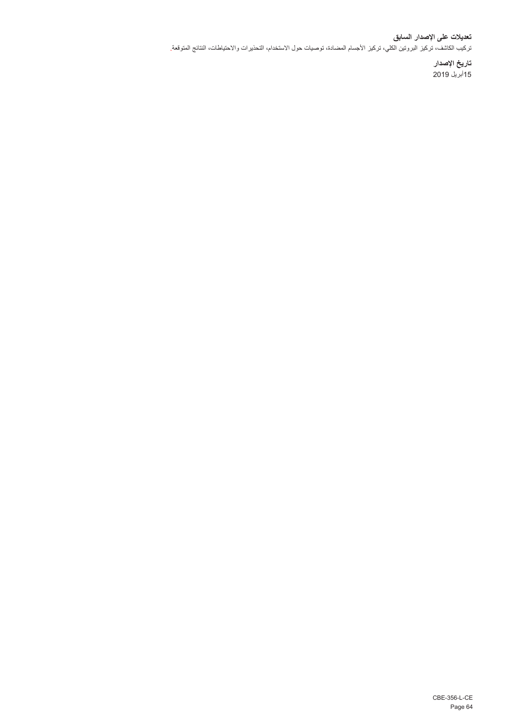## **تعديالت على اإلصدار السابق** تركيب الكاشف، تركيز البروتين الكلي، تركيز األجسام المضادة، توصيات حول االستخدام، التحذيرات واالحتياطات، النتائج المتوقعة.

**تاريخ اإلصدار** 15أبريل 2019